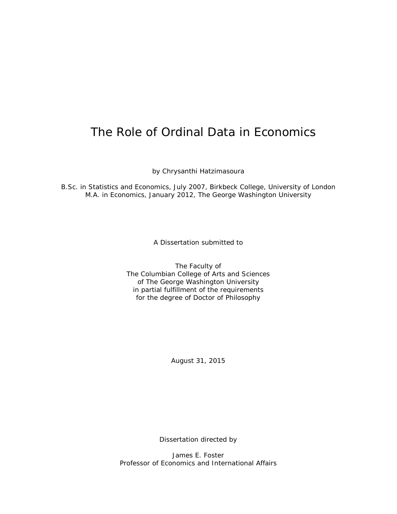# The Role of Ordinal Data in Economics

by Chrysanthi Hatzimasoura

B.Sc. in Statistics and Economics, July 2007, Birkbeck College, University of London M.A. in Economics, January 2012, The George Washington University

A Dissertation submitted to

The Faculty of The Columbian College of Arts and Sciences of The George Washington University in partial fulfillment of the requirements for the degree of Doctor of Philosophy

August 31, 2015

Dissertation directed by

James E. Foster Professor of Economics and International Affairs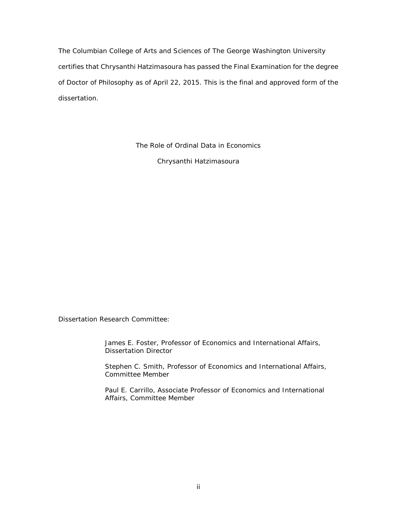The Columbian College of Arts and Sciences of The George Washington University certifies that Chrysanthi Hatzimasoura has passed the Final Examination for the degree of Doctor of Philosophy as of April 22, 2015. This is the final and approved form of the dissertation.

The Role of Ordinal Data in Economics

Chrysanthi Hatzimasoura

Dissertation Research Committee:

James E. Foster, Professor of Economics and International Affairs, Dissertation Director

Stephen C. Smith, Professor of Economics and International Affairs, Committee Member

Paul E. Carrillo, Associate Professor of Economics and International Affairs, Committee Member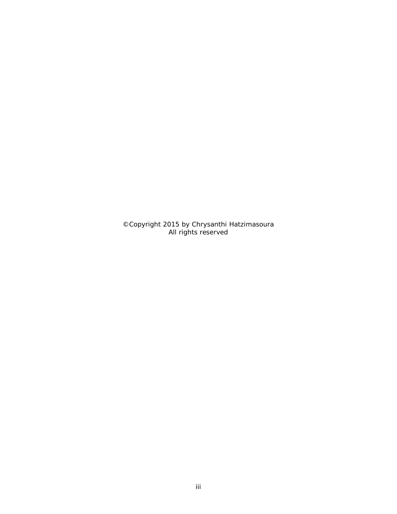©Copyright 2015 by Chrysanthi Hatzimasoura All rights reserved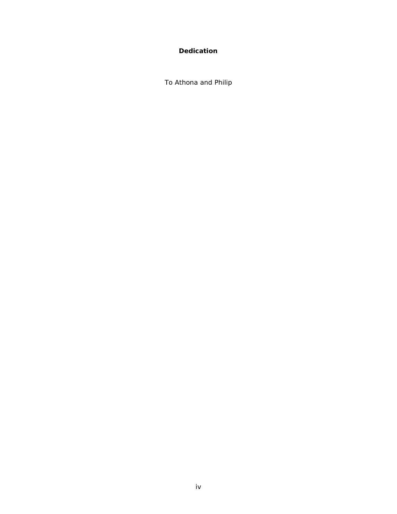# **Dedication**

<span id="page-3-0"></span>To Athona and Philip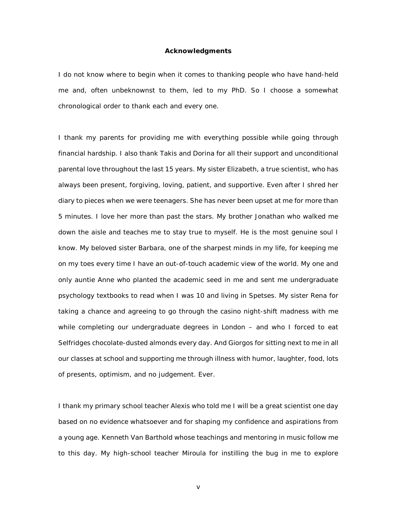#### **Acknowledgments**

<span id="page-4-0"></span>I do not know where to begin when it comes to thanking people who have hand-held me and, often unbeknownst to them, led to my PhD. So I choose a somewhat chronological order to thank each and every one.

I thank my parents for providing me with everything possible while going through financial hardship. I also thank Takis and Dorina for all their support and unconditional parental love throughout the last 15 years. My sister Elizabeth, a true scientist, who has always been present, forgiving, loving, patient, and supportive. Even after I shred her diary to pieces when we were teenagers. She has never been upset at me for more than 5 minutes. I love her more than past the stars. My brother Jonathan who walked me down the aisle and teaches me to stay true to myself. He is the most genuine soul I know. My beloved sister Barbara, one of the sharpest minds in my life, for keeping me on my toes every time I have an out-of-touch academic view of the world. My one and only auntie Anne who planted the academic seed in me and sent me undergraduate psychology textbooks to read when I was 10 and living in Spetses. My sister Rena for taking a chance and agreeing to go through the casino night-shift madness with me while completing our undergraduate degrees in London – and who I forced to eat Selfridges chocolate-dusted almonds every day. And Giorgos for sitting next to me in all our classes at school and supporting me through illness with humor, laughter, food, lots of presents, optimism, and no judgement. Ever.

I thank my primary school teacher Alexis who told me I will be a great scientist one day based on no evidence whatsoever and for shaping my confidence and aspirations from a young age. Kenneth Van Barthold whose teachings and mentoring in music follow me to this day. My high-school teacher Miroula for instilling the bug in me to explore

v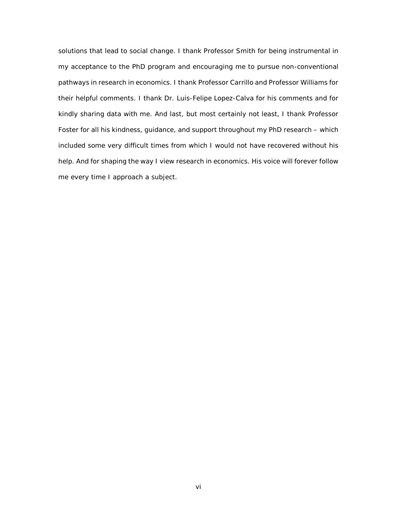solutions that lead to social change. I thank Professor Smith for being instrumental in my acceptance to the PhD program and encouraging me to pursue non-conventional pathways in research in economics. I thank Professor Carrillo and Professor Williams for their helpful comments. I thank Dr. Luis-Felipe Lopez-Calva for his comments and for kindly sharing data with me. And last, but most certainly not least, I thank Professor Foster for all his kindness, guidance, and support throughout my PhD research – which included some very difficult times from which I would not have recovered without his help. And for shaping the way I view research in economics. His voice will forever follow me every time I approach a subject.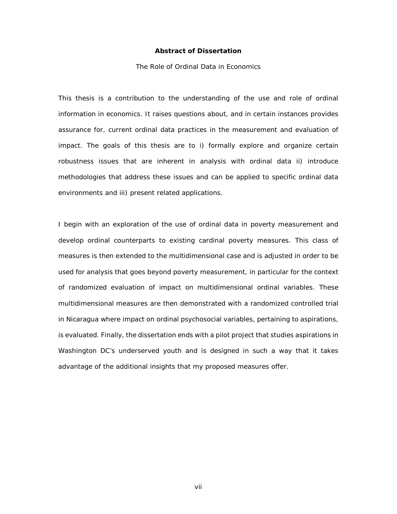#### **Abstract of Dissertation**

#### The Role of Ordinal Data in Economics

<span id="page-6-0"></span>This thesis is a contribution to the understanding of the use and role of ordinal information in economics. It raises questions about, and in certain instances provides assurance for, current ordinal data practices in the measurement and evaluation of impact. The goals of this thesis are to i) formally explore and organize certain robustness issues that are inherent in analysis with ordinal data ii) introduce methodologies that address these issues and can be applied to specific ordinal data environments and iii) present related applications.

I begin with an exploration of the use of ordinal data in poverty measurement and develop ordinal counterparts to existing cardinal poverty measures. This class of measures is then extended to the multidimensional case and is adjusted in order to be used for analysis that goes beyond poverty measurement, in particular for the context of randomized evaluation of impact on multidimensional ordinal variables. These multidimensional measures are then demonstrated with a randomized controlled trial in Nicaragua where impact on ordinal psychosocial variables, pertaining to aspirations, is evaluated. Finally, the dissertation ends with a pilot project that studies aspirations in Washington DC's underserved youth and is designed in such a way that it takes advantage of the additional insights that my proposed measures offer.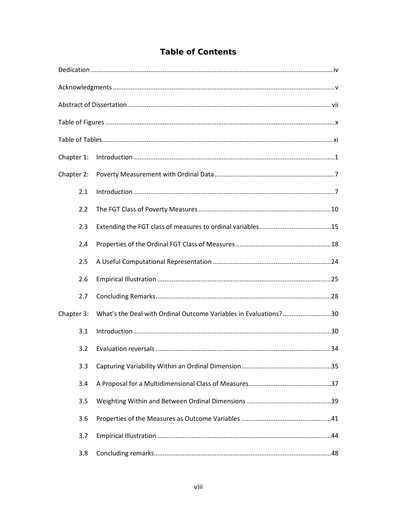|  | <b>Table of Contents</b> |
|--|--------------------------|
|  |                          |

| Chapter 1: |     |                                                                  |  |
|------------|-----|------------------------------------------------------------------|--|
| Chapter 2: |     |                                                                  |  |
|            | 2.1 |                                                                  |  |
|            | 2.2 |                                                                  |  |
|            | 2.3 |                                                                  |  |
|            | 2.4 |                                                                  |  |
|            | 2.5 |                                                                  |  |
|            | 2.6 |                                                                  |  |
|            | 2.7 |                                                                  |  |
| Chapter 3: |     | What's the Deal with Ordinal Outcome Variables in Evaluations?30 |  |
|            | 3.1 |                                                                  |  |
|            | 3.2 |                                                                  |  |
|            | 3.3 |                                                                  |  |
|            | 3.4 |                                                                  |  |
|            | 3.5 |                                                                  |  |
|            | 3.6 |                                                                  |  |
|            | 3.7 |                                                                  |  |
|            | 3.8 |                                                                  |  |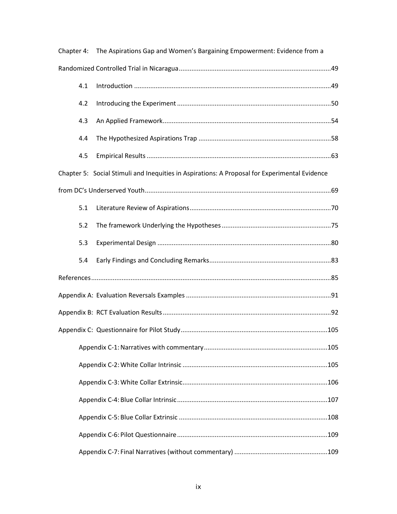| Chapter 4: |     | The Aspirations Gap and Women's Bargaining Empowerment: Evidence from a                       |  |
|------------|-----|-----------------------------------------------------------------------------------------------|--|
|            |     |                                                                                               |  |
|            | 4.1 |                                                                                               |  |
|            | 4.2 |                                                                                               |  |
|            | 4.3 |                                                                                               |  |
|            | 4.4 |                                                                                               |  |
|            | 4.5 |                                                                                               |  |
|            |     | Chapter 5: Social Stimuli and Inequities in Aspirations: A Proposal for Experimental Evidence |  |
|            |     |                                                                                               |  |
|            | 5.1 |                                                                                               |  |
|            | 5.2 |                                                                                               |  |
|            | 5.3 |                                                                                               |  |
|            | 5.4 |                                                                                               |  |
|            |     |                                                                                               |  |
|            |     |                                                                                               |  |
|            |     |                                                                                               |  |
|            |     |                                                                                               |  |
|            |     |                                                                                               |  |
|            |     |                                                                                               |  |
|            |     |                                                                                               |  |
|            |     |                                                                                               |  |
|            |     |                                                                                               |  |
|            |     |                                                                                               |  |
|            |     |                                                                                               |  |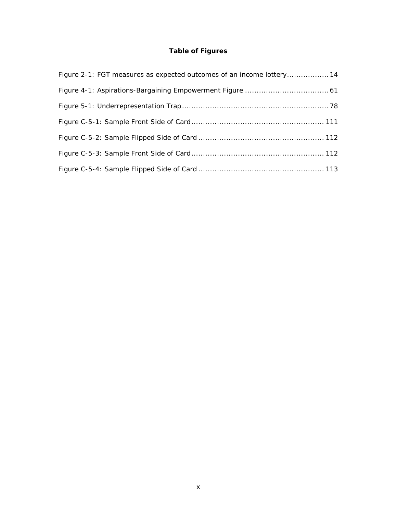# **Table of Figures**

<span id="page-9-0"></span>

| Figure 2-1: FGT measures as expected outcomes of an income lottery14 |
|----------------------------------------------------------------------|
|                                                                      |
|                                                                      |
|                                                                      |
|                                                                      |
|                                                                      |
|                                                                      |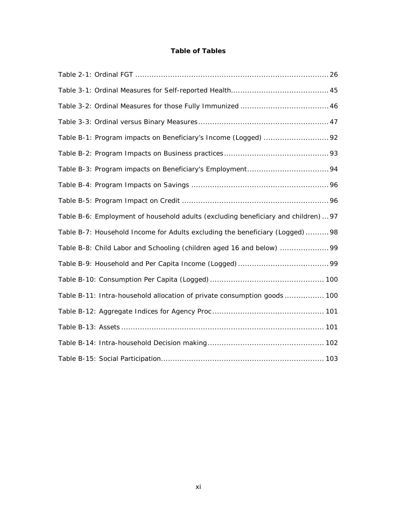# **Table of Tables**

<span id="page-10-0"></span>

| Table B-6: Employment of household adults (excluding beneficiary and children)  97 |
|------------------------------------------------------------------------------------|
| Table B-7: Household Income for Adults excluding the beneficiary (Logged)  98      |
| Table B-8: Child Labor and Schooling (children aged 16 and below)                  |
|                                                                                    |
|                                                                                    |
| Table B-11: Intra-household allocation of private consumption goods 100            |
|                                                                                    |
|                                                                                    |
|                                                                                    |
|                                                                                    |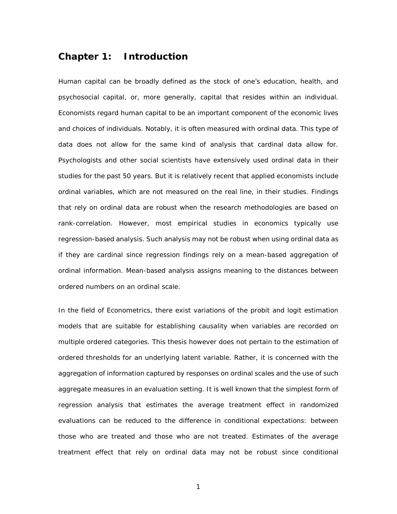# <span id="page-11-0"></span>**Chapter 1: Introduction**

Human capital can be broadly defined as the stock of one's education, health, and psychosocial capital, or, more generally, capital that resides within an individual. Economists regard human capital to be an important component of the economic lives and choices of individuals. Notably, it is often measured with ordinal data. This type of data does not allow for the same kind of analysis that cardinal data allow for. Psychologists and other social scientists have extensively used ordinal data in their studies for the past 50 years. But it is relatively recent that applied economists include ordinal variables, which are not measured on the real line, in their studies. Findings that rely on ordinal data are robust when the research methodologies are based on rank-correlation. However, most empirical studies in economics typically use regression-based analysis. Such analysis may not be robust when using ordinal data as if they are cardinal since regression findings rely on a mean-based aggregation of ordinal information. Mean-based analysis assigns meaning to the distances between ordered numbers on an ordinal scale.

In the field of Econometrics, there exist variations of the probit and logit estimation models that are suitable for establishing causality when variables are recorded on multiple ordered categories. This thesis however does not pertain to the estimation of ordered thresholds for an underlying latent variable. Rather, it is concerned with the *aggregation* of information captured by responses on ordinal scales and the use of such aggregate measures in an evaluation setting. It is well known that the simplest form of regression analysis that estimates the average treatment effect in randomized evaluations can be reduced to the difference in conditional expectations: between those who are treated and those who are not treated. Estimates of the average treatment effect that rely on ordinal data may not be robust since conditional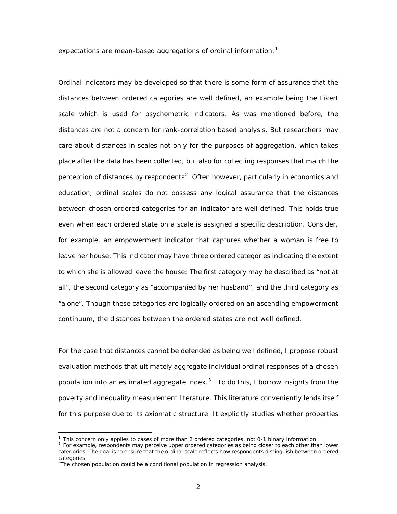expectations are mean-based aggregations of ordinal information.<sup>[1](#page-12-0)</sup>

Ordinal indicators may be developed so that there is some form of assurance that the distances between ordered categories are well defined, an example being the Likert scale which is used for psychometric indicators. As was mentioned before, the distances are not a concern for rank-correlation based analysis. But researchers may care about distances in scales not only for the purposes of aggregation, which takes place after the data has been collected, but also for collecting responses that match the perception of distances by respondents<sup>[2](#page-12-1)</sup>. Often however, particularly in economics and education, ordinal scales do not possess any logical assurance that the distances between chosen ordered categories for an indicator are well defined. This holds true even when each ordered state on a scale is assigned a specific description. Consider, for example, an empowerment indicator that captures whether a woman is free to leave her house. This indicator may have three ordered categories indicating the extent to which she is allowed leave the house: The first category may be described as "not at all", the second category as "accompanied by her husband", and the third category as "alone". Though these categories are logically ordered on an ascending empowerment continuum, the distances between the ordered states are not well defined.

For the case that distances cannot be defended as being well defined, I propose robust evaluation methods that ultimately aggregate individual ordinal responses of a chosen population into an estimated aggregate index. $3$  To do this, I borrow insights from the poverty and inequality measurement literature. This literature conveniently lends itself for this purpose due to its axiomatic structure. It explicitly studies whether properties

<sup>&</sup>lt;sup>1</sup> This concern only applies to cases of more than 2 ordered categories, not 0-1 binary information.

<span id="page-12-1"></span><span id="page-12-0"></span><sup>&</sup>lt;sup>2</sup> For example, respondents may perceive upper ordered categories as being closer to each other than lower categories. The goal is to ensure that the ordinal scale reflects how respondents distinguish between ordered categories.

<span id="page-12-2"></span><sup>&</sup>lt;sup>3</sup>The chosen population could be a conditional population in regression analysis.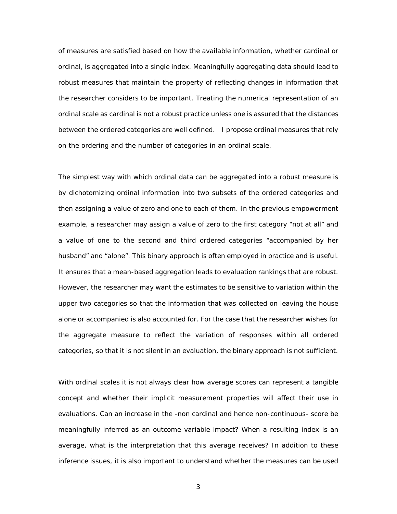of measures are satisfied based on how the available information, whether cardinal or ordinal, is aggregated into a single index. Meaningfully aggregating data should lead to robust measures that maintain the property of reflecting changes in information that the researcher considers to be important. Treating the numerical representation of an ordinal scale as cardinal is not a robust practice unless one is assured that the distances between the ordered categories are well defined. I propose ordinal measures that rely on the ordering and the number of categories in an ordinal scale.

The simplest way with which ordinal data can be aggregated into a robust measure is by dichotomizing ordinal information into two subsets of the ordered categories and then assigning a value of zero and one to each of them. In the previous empowerment example, a researcher may assign a value of zero to the first category "not at all" and a value of one to the second and third ordered categories "accompanied by her husband" and "alone". This binary approach is often employed in practice and is useful. It ensures that a mean-based aggregation leads to evaluation rankings that are robust. However, the researcher may want the estimates to be sensitive to variation within the upper two categories so that the information that was collected on leaving the house alone or accompanied is also accounted for. For the case that the researcher wishes for the aggregate measure to reflect the variation of responses within all ordered categories, so that it is not silent in an evaluation, the binary approach is not sufficient.

With ordinal scales it is not always clear how average scores can represent a tangible concept and whether their implicit measurement properties will affect their use in evaluations. Can an increase in the -non cardinal and hence non-continuous- score be meaningfully inferred as an outcome variable impact? When a resulting index is an average, what is the interpretation that this average receives? In addition to these inference issues, it is also important to understand whether the measures can be used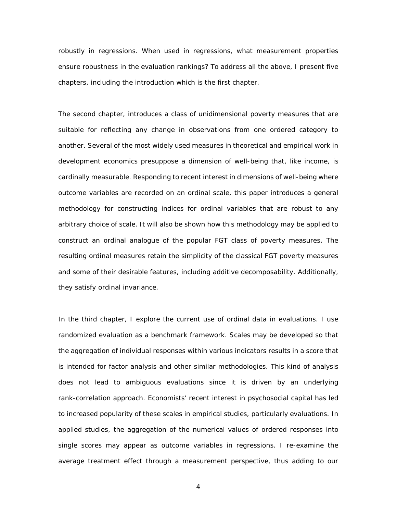robustly in regressions. When used in regressions, what measurement properties ensure robustness in the evaluation rankings? To address all the above, I present five chapters, including the introduction which is the first chapter.

The second chapter, introduces a class of unidimensional poverty measures that are suitable for reflecting any change in observations from one ordered category to another. Several of the most widely used measures in theoretical and empirical work in development economics presuppose a dimension of well-being that, like income, is cardinally measurable. Responding to recent interest in dimensions of well-being where outcome variables are recorded on an ordinal scale, this paper introduces a general methodology for constructing indices for ordinal variables that are robust to any arbitrary choice of scale. It will also be shown how this methodology may be applied to construct an ordinal analogue of the popular FGT class of poverty measures. The resulting ordinal measures retain the simplicity of the classical FGT poverty measures and some of their desirable features, including additive decomposability. Additionally, they satisfy ordinal invariance.

In the third chapter, I explore the current use of ordinal data in evaluations. I use randomized evaluation as a benchmark framework. Scales may be developed so that the aggregation of individual responses within various indicators results in a score that is intended for factor analysis and other similar methodologies. This kind of analysis does not lead to ambiguous evaluations since it is driven by an underlying rank-correlation approach. Economists' recent interest in psychosocial capital has led to increased popularity of these scales in empirical studies, particularly evaluations. In applied studies, the aggregation of the numerical values of ordered responses into single scores may appear as outcome variables in regressions. I re-examine the average treatment effect through a measurement perspective, thus adding to our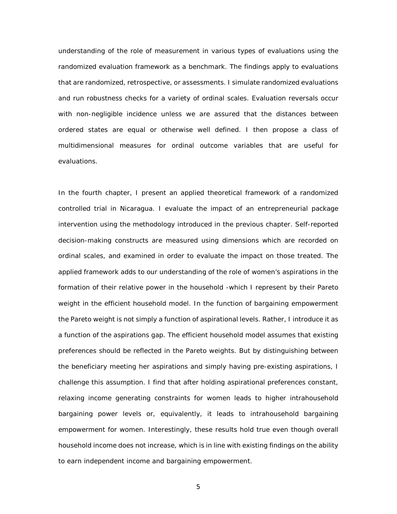understanding of the role of measurement in various types of evaluations using the randomized evaluation framework as a benchmark. The findings apply to evaluations that are randomized, retrospective, or assessments. I simulate randomized evaluations and run robustness checks for a variety of ordinal scales. Evaluation reversals occur with non-negligible incidence unless we are assured that the distances between ordered states are equal or otherwise well defined. I then propose a class of multidimensional measures for ordinal outcome variables that are useful for evaluations.

In the fourth chapter, I present an applied theoretical framework of a randomized controlled trial in Nicaragua. I evaluate the impact of an entrepreneurial package intervention using the methodology introduced in the previous chapter. Self-reported decision-making constructs are measured using dimensions which are recorded on ordinal scales, and examined in order to evaluate the impact on those treated. The applied framework adds to our understanding of the role of women's aspirations in the formation of their relative power in the household -which I represent by their Pareto weight in the efficient household model. In the function of bargaining empowerment the Pareto weight is not simply a function of aspirational levels. Rather, I introduce it as a function of the aspirations gap. The efficient household model assumes that existing preferences should be reflected in the Pareto weights. But by distinguishing between the beneficiary *meeting* her aspirations and simply *having* pre-existing aspirations, I challenge this assumption. I find that after holding aspirational preferences constant, relaxing income generating constraints for women leads to higher intrahousehold bargaining power levels or, equivalently, it leads to intrahousehold bargaining empowerment for women. Interestingly, these results hold true even though overall household income does not increase, which is in line with existing findings on the ability to earn independent income and bargaining empowerment.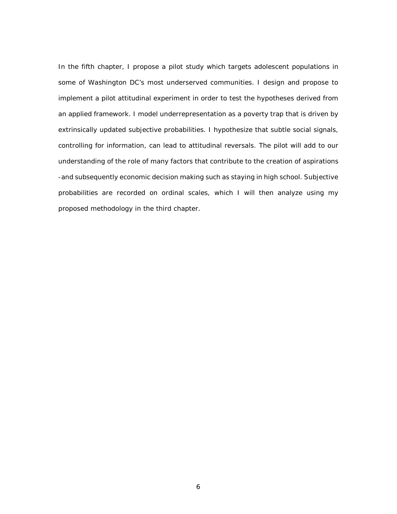In the fifth chapter, I propose a pilot study which targets adolescent populations in some of Washington DC's most underserved communities. I design and propose to implement a pilot attitudinal experiment in order to test the hypotheses derived from an applied framework. I model underrepresentation as a poverty trap that is driven by extrinsically updated subjective probabilities. I hypothesize that subtle social signals, controlling for information, can lead to attitudinal reversals. The pilot will add to our understanding of the role of many factors that contribute to the creation of aspirations -and subsequently economic decision making such as staying in high school. Subjective probabilities are recorded on ordinal scales, which I will then analyze using my proposed methodology in the third chapter.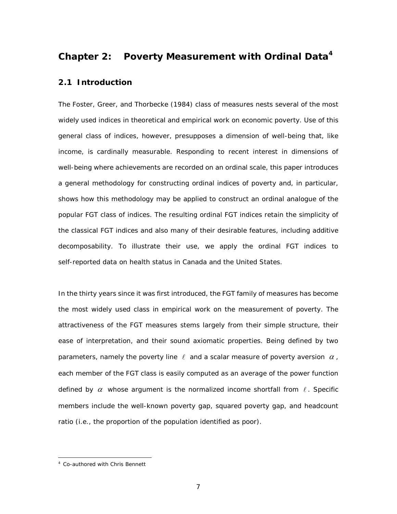# <span id="page-17-0"></span>**Chapter 2: Poverty Measurement with Ordinal Data[4](#page-17-2)**

# <span id="page-17-1"></span>**2.1 Introduction**

The [Foster, Greer, and Thorbecke \(1984\)](#page-97-0) class of measures nests several of the most widely used indices in theoretical and empirical work on economic poverty. Use of this general class of indices, however, presupposes a dimension of well-being that, like income, is cardinally measurable. Responding to recent interest in dimensions of well-being where achievements are recorded on an ordinal scale, this paper introduces a general methodology for constructing ordinal indices of poverty and, in particular, shows how this methodology may be applied to construct an ordinal analogue of the popular FGT class of indices. The resulting ordinal FGT indices retain the simplicity of the classical FGT indices and also many of their desirable features, including additive decomposability. To illustrate their use, we apply the ordinal FGT indices to self-reported data on health status in Canada and the United States.

In the thirty years since it was first introduced, the FGT family of measures has become the most widely used class in empirical work on the measurement of poverty. The attractiveness of the FGT measures stems largely from their simple structure, their ease of interpretation, and their sound axiomatic properties. Being defined by two parameters, namely the poverty line  $\ell$  and a scalar measure of poverty aversion  $\alpha$ , each member of the FGT class is easily computed as an average of the power function defined by  $\alpha$  whose argument is the normalized income shortfall from  $\ell$ . Specific members include the well-known poverty gap, squared poverty gap, and headcount ratio (i.e., the proportion of the population identified as poor).

<span id="page-17-2"></span> <sup>4</sup> Co-authored with Chris Bennett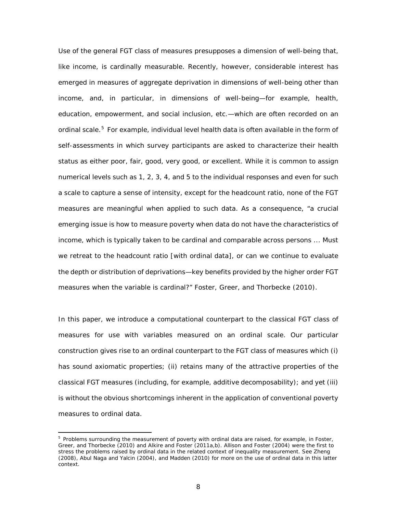Use of the general FGT class of measures presupposes a dimension of well-being that, like income, is cardinally measurable. Recently, however, considerable interest has emerged in measures of aggregate deprivation in dimensions of well-being other than income, and, in particular, in dimensions of well-being—for example, health, education, empowerment, and social inclusion, etc.—which are often recorded on an ordinal scale.<sup>[5](#page-18-0)</sup> For example, individual level health data is often available in the form of self-assessments in which survey participants are asked to characterize their health status as either *poor*, *fair*, *good*, *very good*, or *excellent*. While it is common to assign numerical levels such as 1, 2, 3, 4, and 5 to the individual responses and even for such a scale to capture a sense of intensity, except for the headcount ratio, none of the FGT measures are meaningful when applied to such data. As a consequence, "a crucial emerging issue is how to measure poverty when data do not have the characteristics of income, which is typically taken to be cardinal and comparable across persons ... Must we retreat to the headcount ratio [with ordinal data], or can we continue to evaluate the depth or distribution of deprivations—key benefits provided by the higher order FGT measures when the variable is cardinal?" [Foster, Greer, and Thorbecke \(2010\)](#page-97-1).

In this paper, we introduce a computational counterpart to the classical FGT class of measures for use with variables measured on an ordinal scale. Our particular construction gives rise to an ordinal counterpart to the FGT class of measures which (i) has sound axiomatic properties; (ii) retains many of the attractive properties of the classical FGT measures (including, for example, additive decomposability); and yet (iii) is without the obvious shortcomings inherent in the application of conventional poverty measures to ordinal data.

<span id="page-18-0"></span><sup>&</sup>lt;sup>5</sup> Problems surrounding the measurement of poverty with ordinal data are raised, for example, in Foster, Greer, and Thorbecke (2010) and Alkire and Foster (2011a,b). Allison and Foster (2004) were the first to stress the problems raised by ordinal data in the related context of inequality measurement. See Zheng (2008), Abul Naga and Yalcin (2004), and Madden (2010) for more on the use of ordinal data in this latter context.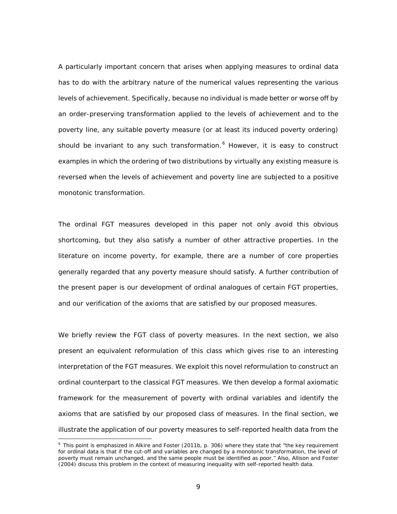A particularly important concern that arises when applying measures to ordinal data has to do with the arbitrary nature of the numerical values representing the various levels of achievement. Specifically, because no individual is made better or worse off by an order-preserving transformation applied to the levels of achievement and to the poverty line, any suitable poverty measure (or at least its induced poverty ordering) should be invariant to *any* such transformation.<sup>[6](#page-19-0)</sup> However, it is easy to construct examples in which the ordering of two distributions by virtually any existing measure is reversed when the levels of achievement and poverty line are subjected to a positive monotonic transformation.

The ordinal FGT measures developed in this paper not only avoid this obvious shortcoming, but they also satisfy a number of other attractive properties. In the literature on income poverty, for example, there are a number of core properties generally regarded that any poverty measure should satisfy. A further contribution of the present paper is our development of ordinal analogues of certain FGT properties, and our verification of the axioms that are satisfied by our proposed measures.

We briefly review the FGT class of poverty measures. In the next section, we also present an equivalent reformulation of this class which gives rise to an interesting interpretation of the FGT measures. We exploit this novel reformulation to construct an ordinal counterpart to the classical FGT measures. We then develop a formal axiomatic framework for the measurement of poverty with ordinal variables and identify the axioms that are satisfied by our proposed class of measures. In the final section, we illustrate the application of our poverty measures to self-reported health data from the

<span id="page-19-0"></span> $6$  This point is emphasized in Alkire and Foster (2011b, p. 306) where they state that "the key requirement for ordinal data is that if the cut-off and variables are changed by a monotonic transformation, the level of poverty must remain unchanged, and the same people must be identified as poor." Also, Allison and Foster (2004) discuss this problem in the context of measuring inequality with self-reported health data.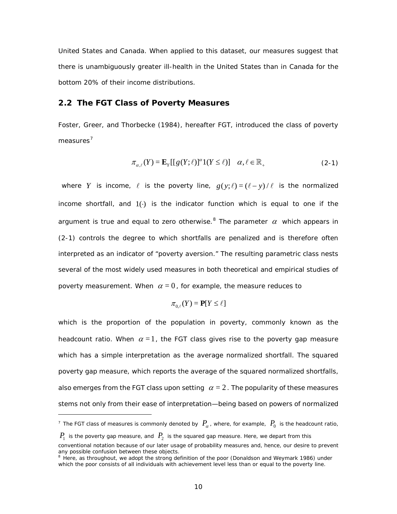United States and Canada. When applied to this dataset, our measures suggest that there is unambiguously greater ill-health in the United States than in Canada for the bottom 20% of their income distributions.

### <span id="page-20-0"></span>**2.2 The FGT Class of Poverty Measures**

[Foster, Greer, and Thorbecke \(1984\)](#page-97-0), hereafter FGT, introduced the class of poverty measures<sup>[7](#page-20-2)</sup>

<span id="page-20-1"></span>
$$
\pi_{\alpha,\ell}(Y) = \mathbf{E}_Y[[g(Y;\ell)]^\alpha 1(Y \le \ell)] \quad \alpha, \ell \in \mathbb{R}_+ \tag{2-1}
$$

where *Y* is income,  $\ell$  is the poverty line,  $g(y;\ell) = (\ell - y)/\ell$  is the normalized income shortfall, and  $1()$  is the indicator function which is equal to one if the argument is true and equal to zero otherwise.<sup>[8](#page-20-3)</sup> The parameter  $\alpha$  which appears in [\(2-1\)](#page-20-1) controls the degree to which shortfalls are penalized and is therefore often interpreted as an indicator of "poverty aversion." The resulting parametric class nests several of the most widely used measures in both theoretical and empirical studies of poverty measurement. When  $\alpha = 0$ , for example, the measure reduces to

$$
\pi_{0,\ell}(Y) = \mathbf{P}[Y \le \ell]
$$

which is the proportion of the population in poverty, commonly known as the *headcount ratio.* When  $\alpha = 1$ , the FGT class gives rise to the *poverty gap* measure which has a simple interpretation as the average normalized shortfall. The *squared poverty gap* measure, which reports the average of the *squared* normalized shortfalls, also emerges from the FGT class upon setting  $\alpha = 2$ . The popularity of these measures stems not only from their ease of interpretation—being based on powers of normalized

l

<span id="page-20-2"></span><sup>&</sup>lt;sup>7</sup> The FGT class of measures is commonly denoted by  $P_{\alpha}$ , where, for example,  $P_0$  is the headcount ratio,

 $P_1$  is the poverty gap measure, and  $P_2$  is the squared gap measure. Here, we depart from this

conventional notation because of our later usage of probability measures and, hence, our desire to prevent any possible confusion between these objects.

<span id="page-20-3"></span><sup>&</sup>lt;sup>8</sup> Here, as throughout, we adopt the strong definition of the poor (Donaldson and Weymark 1986) under which the poor consists of all individuals with achievement level less than or equal to the poverty line.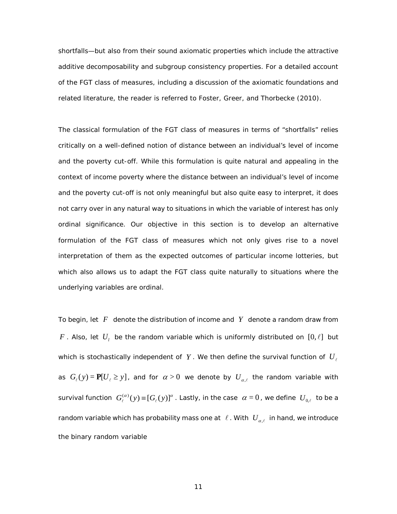shortfalls—but also from their sound axiomatic properties which include the attractive additive decomposability and subgroup consistency properties. For a detailed account of the FGT class of measures, including a discussion of the axiomatic foundations and related literature, the reader is referred to [Foster, Greer, and Thorbecke \(2010\)](#page-97-1).

The classical formulation of the FGT class of measures in terms of "shortfalls" relies critically on a well-defined notion of distance between an individual's level of income and the poverty cut-off. While this formulation is quite natural and appealing in the context of income poverty where the distance between an individual's level of income and the poverty cut-off is not only meaningful but also quite easy to interpret, it does not carry over in any natural way to situations in which the variable of interest has only ordinal significance. Our objective in this section is to develop an alternative formulation of the FGT class of measures which not only gives rise to a novel interpretation of them as the expected outcomes of particular income lotteries, but which also allows us to adapt the FGT class quite naturally to situations where the underlying variables are ordinal.

To begin, let *F* denote the distribution of income and *Y* denote a random draw from *F*. Also, let  $U_i$  be the random variable which is uniformly distributed on  $[0, l]$  but which is stochastically independent of  $Y$ . We then define the survival function of  $U_{\ell}$ as  $G_{\ell}(y) = \mathbf{P}[U_{\ell} \geq y]$ , and for  $\alpha > 0$  we denote by  $U_{\alpha,\ell}$  the random variable with survival function  $\ G^{(\alpha )}_\ell (y)\!\equiv\! [G_\ell(y)]^{\alpha}$  . Lastly, in the case  $\ \alpha=0$  , we define  $\ U_{0,\ell}^{}$  to be a random variable which has probability mass one at  $\ell$  . With  $U_{\alpha,\ell}^+$  in hand, we introduce the binary random variable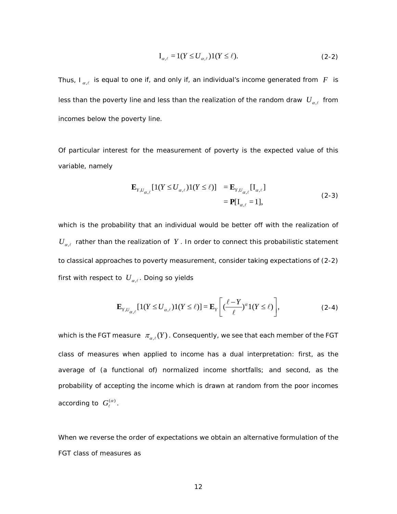<span id="page-22-0"></span>
$$
I_{\alpha,\ell} = 1(Y \le U_{\alpha,\ell})1(Y \le \ell). \tag{2-2}
$$

Thus,  $I_{\alpha,\ell}$  is equal to one if, and only if, an individual's income generated from  $F$  is less than the poverty line *and* less than the realization of the random draw  $U_{\alpha}$  from incomes below the poverty line.

Of particular interest for the measurement of poverty is the expected value of this variable, namely

$$
\mathbf{E}_{Y,U_{\alpha,\ell}}[1(Y \le U_{\alpha,\ell})1(Y \le \ell)] = \mathbf{E}_{Y,U_{\alpha,\ell}}[\mathbf{I}_{\alpha,\ell}]
$$
  
= 
$$
\mathbf{P}[\mathbf{I}_{\alpha,\ell} = 1],
$$
 (2-3)

which is the *probability* that an individual would be better off with the realization of  $U_{\alpha,\ell}$  rather than the realization of  $Y$ . In order to connect this probabilistic statement to classical approaches to poverty measurement, consider taking expectations of [\(2-2\)](#page-22-0) first with respect to  $U_{\alpha,\ell}$ . Doing so yields

$$
\mathbf{E}_{Y,U_{\alpha,\ell}}[1(Y \le U_{\alpha,\ell})1(Y \le \ell)] = \mathbf{E}_Y\left[ \left(\frac{\ell-Y}{\ell}\right)^{\alpha}1(Y \le \ell) \right],\tag{2-4}
$$

which is the FGT measure  $\pi_{\alpha,\ell}(Y)$ . Consequently, we see that each member of the FGT class of measures when applied to income has a dual interpretation: first, as the average of (a functional of) normalized income shortfalls; and second, as the probability of accepting the income which is drawn at random from the poor incomes according to  $|G_{\ell}^{(\alpha)}|$ .

When we reverse the order of expectations we obtain an alternative formulation of the FGT class of measures as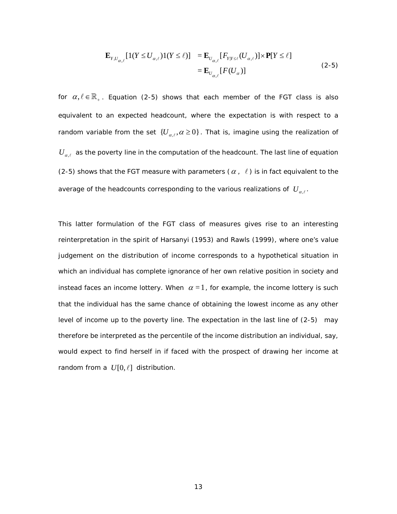<span id="page-23-0"></span>
$$
\mathbf{E}_{Y,U_{\alpha,\ell}}[1(Y \le U_{\alpha,\ell})1(Y \le \ell)] = \mathbf{E}_{U_{\alpha,\ell}}[F_{Y|Y \le \ell}(U_{\alpha,\ell})] \times \mathbf{P}[Y \le \ell]
$$
\n
$$
= \mathbf{E}_{U_{\alpha,\ell}}[F(U_{\alpha})]
$$
\n(2-5)

for  $\alpha, \ell \in \mathbb{R}_+$ . Equation [\(2-5\)](#page-23-0) shows that each member of the FGT class is also equivalent to an expected headcount, where the expectation is with respect to a random variable from the set  $\{U_{\alpha,\ell}, \alpha \geq 0\}$ . That is, imagine using the realization of  $U_{\alpha,\ell}$  as the poverty line in the computation of the headcount. The last line of equation [\(2-5\)](#page-23-0) shows that the FGT measure with parameters  $(\alpha, \ell)$  is in fact equivalent to the average of the headcounts corresponding to the various realizations of  $U_{\alpha}$ .

This latter formulation of the FGT class of measures gives rise to an interesting reinterpretation in the spirit of [Harsanyi \(1953\)](#page-98-0) and [Rawls \(1999\)](#page-99-0), where one's value judgement on the distribution of income corresponds to a hypothetical situation in which an individual has complete ignorance of her own relative position in society and instead faces an income lottery. When  $\alpha = 1$ , for example, the income lottery is such that the individual has the same chance of obtaining the lowest income as any other level of income up to the poverty line. The expectation in the last line of [\(2-5\)](#page-23-0) may therefore be interpreted as the percentile of the income distribution an individual, say, would expect to find herself in if faced with the prospect of drawing her income at random from a  $U[0, \ell]$  distribution.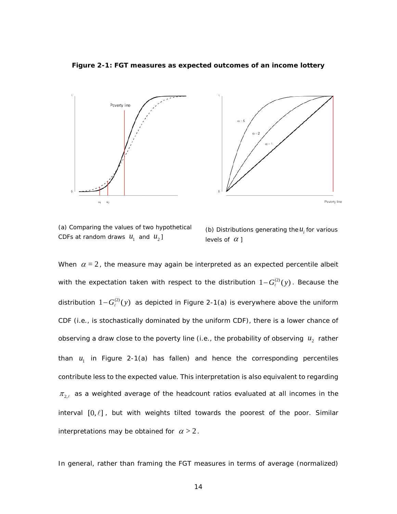<span id="page-24-0"></span>**Figure 2-1: FGT measures as expected outcomes of an income lottery**



(a) Comparing the values of two hypothetical CDFs at random draws  $u_1$  and  $u_2$ ]



When  $\alpha = 2$ , the measure may again be interpreted as an expected percentile albeit with the expectation taken with respect to the distribution  $1 - G^{(2)}_i(y)$ . Because the distribution  $1 - G_{\ell}^{(2)}(y)$  as depicted in [Figure 2-1\(](#page-24-0)a) is everywhere above the uniform CDF (i.e., is stochastically dominated by the uniform CDF), there is a lower chance of observing a draw close to the poverty line (i.e., the probability of observing  $u_2$  rather than  $u_i$  in [Figure 2-1\(](#page-24-0)a) has fallen) and hence the corresponding percentiles contribute less to the expected value. This interpretation is also equivalent to regarding  $\pi_{2,\ell}$  as a weighted average of the headcount ratios evaluated at all incomes in the interval  $[0, l]$ , but with weights tilted towards the poorest of the poor. Similar interpretations may be obtained for  $\alpha > 2$ .

In general, rather than framing the FGT measures in terms of average (normalized)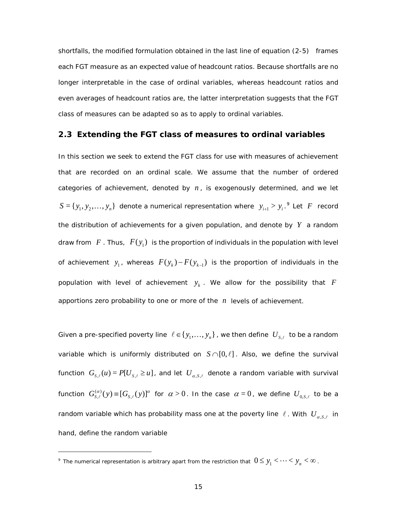shortfalls, the modified formulation obtained in the last line of equation [\(2-5\)](#page-23-0) frames each FGT measure as an expected value of headcount ratios. Because shortfalls are no longer interpretable in the case of ordinal variables, whereas headcount ratios and even averages of headcount ratios are, the latter interpretation suggests that the FGT class of measures can be adapted so as to apply to ordinal variables.

## <span id="page-25-0"></span>**2.3 Extending the FGT class of measures to ordinal variables**

In this section we seek to extend the FGT class for use with measures of achievement that are recorded on an ordinal scale. We assume that the number of ordered categories of achievement, denoted by *n* , is exogenously determined, and we let  $S = \{ y_1, y_2, \ldots, y_n \}$  denote a numerical representation where  $|y_{i+1} > y_i|^9$  $|y_{i+1} > y_i|^9$  Let  $F$  record the distribution of achievements for a given population, and denote by *Y* a random draw from  $F$ . Thus,  $F(y_1)$  is the proportion of individuals in the population with level of achievement  $y_1$ , whereas  $F(y_k) - F(y_{k-1})$  is the proportion of individuals in the population with level of achievement  $y_k$ . We allow for the possibility that  $F$ apportions zero probability to one or more of the *n* levels of achievement.

Given a pre-specified poverty line  $\ell \in \{y_1, ..., y_n\}$ , we then define  $U_{s,\ell}$  to be a random variable which is uniformly distributed on  $S \cap [0, \ell]$ . Also, we define the survival function  $G_{s,\ell}(u) = P[U_{s,\ell} \geq u]$ , and let  $U_{\alpha,s,\ell}$  denote a random variable with survival function  $G_{S,\ell}^{(\alpha)}(y)$   $\equiv$   $[G_{S,\ell}(y)]^{\alpha}$  for  $\alpha$   $>$   $0$  . In the case  $\alpha$   $=$   $0$  , we define  $U_{0,S,\ell}$  to be a random variable which has probability mass one at the poverty line  $\ell$ . With  $U_{\alpha,s,\ell}$  in hand, define the random variable

i,

<span id="page-25-1"></span><sup>&</sup>lt;sup>9</sup> The numerical representation is arbitrary apart from the restriction that  $0 \le y_1 < \cdots < y_n < \infty$ .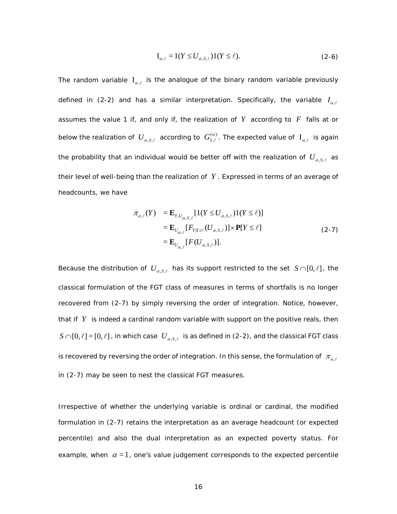$$
I_{\alpha,\ell} = 1(Y \le U_{\alpha,S,\ell})1(Y \le \ell). \tag{2-6}
$$

The random variable  $I_{\alpha,\ell}$  is the analogue of the binary random variable previously defined in [\(2-2\)](#page-22-0) and has a similar interpretation. Specifically, the variable  $I_{\alpha,\ell}$ assumes the value 1 if, and only if, the realization of  $Y$  according to  $F$  falls at or below the realization of  $\;U_{\alpha,S,\ell}\;$  according to  $\;G^{(\alpha)}_{S,\ell}$ . The expected value of  $\;{\rm I}_{\alpha,\ell}\;$  is again the probability that an individual would be better off with the realization of  $U_{\alpha, S, \ell}$  as their level of well-being than the realization of *Y* . Expressed in terms of an average of headcounts, we have

<span id="page-26-0"></span>
$$
\pi_{\alpha,\ell}(Y) = \mathbf{E}_{Y,U_{\alpha,S,\ell}}[\mathbf{1}(Y \le U_{\alpha,S,\ell})\mathbf{1}(Y \le \ell)]
$$
  
\n
$$
= \mathbf{E}_{U_{\alpha,\ell}}[F_{Y|Y \le \ell}(U_{\alpha,S,\ell})] \times \mathbf{P}[Y \le \ell]
$$
  
\n
$$
= \mathbf{E}_{U_{\alpha,\ell}}[F(U_{\alpha,S,\ell})].
$$
\n(2-7)

Because the distribution of  $U_{\alpha,s,\ell}$  has its support restricted to the set  $S \cap [0,\ell]$ , the classical formulation of the FGT class of measures in terms of shortfalls is no longer recovered from [\(2-7\)](#page-26-0) by simply reversing the order of integration. Notice, however, that if *Y* is indeed a cardinal random variable with support on the positive reals, then  $S \cap [0,\ell] = [0,\ell]$ , in which case  $U_{\alpha,s,\ell}$  is as defined in [\(2-2\),](#page-22-0) and the classical FGT class *is* recovered by reversing the order of integration. In this sense, the formulation of  $\pi_{\alpha,\ell}$ in [\(2-7\)](#page-26-0) may be seen to nest the classical FGT measures.

Irrespective of whether the underlying variable is ordinal or cardinal, the modified formulation in [\(2-7\)](#page-26-0) retains the interpretation as an average headcount (or expected percentile) and also the dual interpretation as an expected poverty status. For example, when  $\alpha = 1$ , one's value judgement corresponds to the expected percentile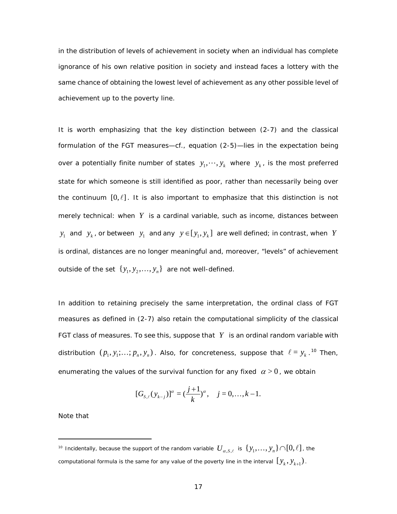in the distribution of levels of achievement in society when an individual has complete ignorance of his own relative position in society and instead faces a lottery with the same chance of obtaining the lowest level of achievement as any other possible level of achievement up to the poverty line.

It is worth emphasizing that the key distinction between [\(2-7\)](#page-26-0) and the classical formulation of the FGT measures—cf., equation [\(2-5\)—](#page-23-0)lies in the expectation being over a potentially finite number of states  $y_1, \dots, y_k$  where  $y_k$ , is the most preferred state for which someone is still identified as poor, rather than necessarily being over the continuum  $[0, l]$ . It is also important to emphasize that this distinction is not merely technical: when *Y* is a cardinal variable, such as income, distances between  $y_1$  and  $y_k$ , or between  $y_1$  and any  $y \in [y_1, y_k]$  are well defined; in contrast, when *Y* is ordinal, distances are no longer meaningful and, moreover, "levels" of achievement outside of the set  $\{y_1, y_2, ..., y_n\}$  are not well-defined.

In addition to retaining precisely the same interpretation, the ordinal class of FGT measures as defined in [\(2-7\)](#page-26-0) also retain the computational simplicity of the classical FGT class of measures. To see this, suppose that  $Y$  is an ordinal random variable with distribution  $(p_1, y_1; ...; p_n, y_n)$ . Also, for concreteness, suppose that  $\ell = y_k$ .<sup>[10](#page-27-0)</sup> Then, enumerating the values of the survival function for any fixed  $\alpha > 0$ , we obtain

$$
[G_{s,\ell}(y_{k-j})]^{\alpha} = (\frac{j+1}{k})^{\alpha}, \quad j = 0, \ldots, k-1.
$$

Note that

l

<span id="page-27-0"></span><sup>&</sup>lt;sup>10</sup> Incidentally, because the support of the random variable  $U_{\alpha, S, \ell}$  is  $\{y_1, \ldots, y_n\} \cap [0, \ell]$ , the computational formula is the same for any value of the poverty line in the interval  $\left[\,y_{k}, y_{k+\!1}\right)$ .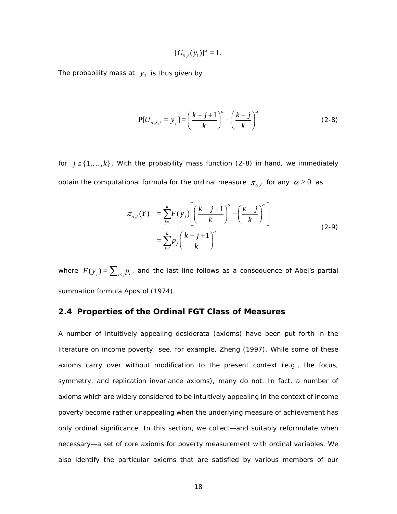<span id="page-28-1"></span>
$$
[G_{s,\ell}(y_1)]^{\alpha}=1.
$$

The probability mass at  $y_j$  is thus given by

$$
\mathbf{P}[U_{\alpha,S,\ell} = y_j] = \left(\frac{k-j+1}{k}\right)^{\alpha} - \left(\frac{k-j}{k}\right)^{\alpha} \tag{2-8}
$$

for  $j \in \{1, ..., k\}$ . With the probability mass function [\(2-8\)](#page-28-1) in hand, we immediately obtain the computational formula for the ordinal measure  $\pi_{\alpha,\ell}$  for any  $\alpha > 0$  as

$$
\pi_{\alpha,\ell}(Y) = \sum_{j=1}^{k} F(y_j) \left[ \left( \frac{k-j+1}{k} \right)^{\alpha} - \left( \frac{k-j}{k} \right)^{\alpha} \right]
$$
\n
$$
= \sum_{j=1}^{k} p_j \left( \frac{k-j+1}{k} \right)^{\alpha} \tag{2-9}
$$

where  $F(y_j) = \sum_{i \le j} p_i$ , and the last line follows as a consequence of Abel's partial summation formula [Apostol \(1974\)](#page-95-1).

## <span id="page-28-0"></span>**2.4 Properties of the Ordinal FGT Class of Measures**

A number of intuitively appealing desiderata (axioms) have been put forth in the literature on income poverty; see, for example, [Zheng \(1997\)](#page-100-0). While some of these axioms carry over without modification to the present context (e.g., the focus, symmetry, and replication invariance axioms), many do not. In fact, a number of axioms which are widely considered to be intuitively appealing in the context of income poverty become rather unappealing when the underlying measure of achievement has only ordinal significance. In this section, we collect—and suitably reformulate when necessary—a set of core axioms for poverty measurement with ordinal variables. We also identify the particular axioms that are satisfied by various members of our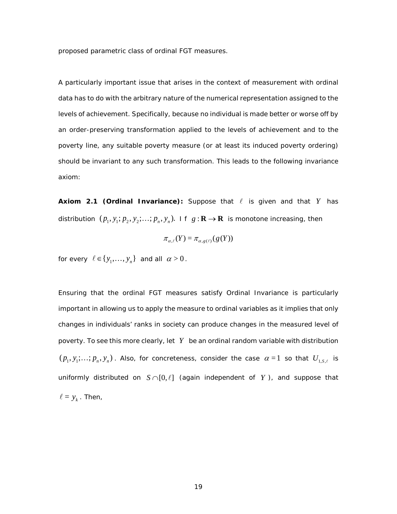proposed parametric class of ordinal FGT measures.

A particularly important issue that arises in the context of measurement with ordinal data has to do with the arbitrary nature of the numerical representation assigned to the levels of achievement. Specifically, because no individual is made better or worse off by an order-preserving transformation applied to the levels of achievement and to the poverty line, any suitable poverty measure (or at least its induced poverty ordering) should be invariant to *any* such transformation. This leads to the following *invariance*  axiom:

**Axiom 2.1 (Ordinal Invariance):** Suppose that  $\ell$  is given and that  $Y$  has distribution  $(p_1, y_1; p_2, y_2; \ldots; p_n, y_n)$ . If  $g: \mathbf{R} \to \mathbf{R}$  is monotone increasing, then

$$
\pi_{\alpha,\ell}(Y) = \pi_{\alpha,g(\ell)}(g(Y))
$$

for every  $l \in \{y_1, ..., y_n\}$  and all  $\alpha > 0$ .

Ensuring that the ordinal FGT measures satisfy Ordinal Invariance is particularly important in allowing us to apply the measure to ordinal variables as it implies that only changes in individuals' ranks in society can produce changes in the measured level of poverty. To see this more clearly, let *Y* be an ordinal random variable with distribution  $(p_1, y_1; \ldots; p_n, y_n)$ . Also, for concreteness, consider the case  $\alpha = 1$  so that  $U_{1, s, \ell}$  is uniformly distributed on  $S \cap [0, \ell]$  (again independent of *Y*), and suppose that  $\ell = y_k$ . Then,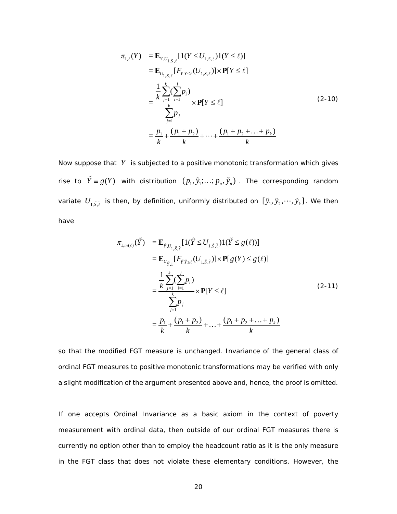$$
\pi_{1,\ell}(Y) = \mathbf{E}_{Y,U_{1,S,\ell}}[1(Y \le U_{1,S,\ell})1(Y \le \ell)]
$$
  
\n
$$
= \mathbf{E}_{U_{1,S,\ell}}[F_{Y|Y \le \ell}(U_{1,S,\ell})] \times \mathbf{P}[Y \le \ell]
$$
  
\n
$$
= \frac{\frac{1}{k} \sum_{j=1}^{k} (\sum_{i=1}^{j} p_i)}{\sum_{j=1}^{k} p_j}
$$
  
\n
$$
= \frac{p_1}{k} + \frac{(p_1 + p_2)}{k} + \dots + \frac{(p_1 + p_2 + \dots + p_k)}{k}
$$
  
\n(2-10)

Now suppose that *Y* is subjected to a positive monotonic transformation which gives rise to  $\tilde{Y} \equiv g(Y)$  with distribution  $(p_1, \tilde{y}_1; ...; p_n, \tilde{y}_n)$ . The corresponding random variate  $U_{_{1,\tilde{S},\tilde{\ell}}}$  is then, by definition, uniformly distributed on  $[\,\tilde{y}_1,\tilde{y}_2,\cdots,\tilde{y}_k\,]$  . We then have

$$
\pi_{1,m(\ell)}(\tilde{Y}) = \mathbf{E}_{\tilde{Y},U_{1,\tilde{S},\tilde{\ell}}} [1(\tilde{Y} \le U_{1,\tilde{S},\tilde{\ell}})1(\tilde{Y} \le g(\ell))]
$$
\n
$$
= \mathbf{E}_{U_{\tilde{Y},1}} [F_{\tilde{Y}|\tilde{Y} \le \ell}(U_{1,\tilde{S},\tilde{\ell}})] \times \mathbf{P}[g(Y) \le g(\ell)]
$$
\n
$$
= \frac{\frac{1}{k} \sum_{j=1}^{k} (\sum_{i=1}^{j} p_{i})}{\sum_{j=1}^{k} p_{j}} \times \mathbf{P}[Y \le \ell]
$$
\n
$$
= \frac{p_{1}}{k} + \frac{(p_{1} + p_{2})}{k} + ... + \frac{(p_{1} + p_{2} + ... + p_{k})}{k}
$$
\n(2-11)

so that the modified FGT measure is unchanged. Invariance of the general class of ordinal FGT measures to positive monotonic transformations may be verified with only a slight modification of the argument presented above and, hence, the proof is omitted.

If one accepts Ordinal Invariance as a basic axiom in the context of poverty measurement with ordinal data, then outside of our ordinal FGT measures there is currently no option other than to employ the headcount ratio as it is the only measure in the FGT class that does not violate these elementary conditions. However, the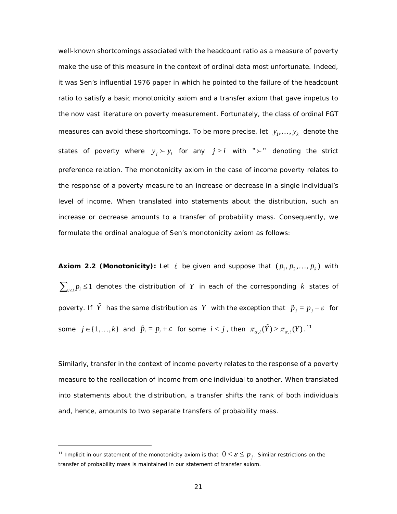well-known shortcomings associated with the headcount ratio as a measure of poverty make the use of this measure in the context of ordinal data most unfortunate. Indeed, it was Sen's influential 1976 paper in which he pointed to the failure of the headcount ratio to satisfy a basic monotonicity axiom and a transfer axiom that gave impetus to the now vast literature on poverty measurement. Fortunately, the class of ordinal FGT measures can avoid these shortcomings. To be more precise, let  $y_1, ..., y_k$  denote the states of poverty where  $y_i \succ y_i$  for any  $j > i$  with " $\succ$ " denoting the strict preference relation. The monotonicity axiom in the case of income poverty relates to the response of a poverty measure to an increase or decrease in a single individual's level of income. When translated into statements about the distribution, such an increase or decrease amounts to a transfer of probability mass. Consequently, we formulate the ordinal analogue of Sen's monotonicity axiom as follows:

**Axiom 2.2 (Monotonicity):** Let  $\ell$  be given and suppose that  $(p_1, p_2, ..., p_k)$  with  $\sum_{i \in I} p_i \leq 1$  denotes the distribution of Y in each of the corresponding k states of poverty. If  $\tilde{Y}$  has the same distribution as  $Y$  with the exception that  $\tilde{p}_j = p_j - \varepsilon$  for  $\text{some} \;\; j \in \{1, \dots, k\} \;\; \text{and} \;\; \tilde{p}_{i} = p_{i} + \varepsilon \;\; \text{for some} \;\; i < j$  , then  $\;\pi_{\alpha, \ell}(\tilde{Y}) > \pi_{\alpha, \ell}(Y)$  .  $^{11}$  $^{11}$  $^{11}$ 

Similarly, transfer in the context of income poverty relates to the response of a poverty measure to the reallocation of income from one individual to another. When translated into statements about the distribution, a transfer shifts the rank of both individuals and, hence, amounts to two separate transfers of probability mass.

i,

<span id="page-31-0"></span><sup>&</sup>lt;sup>11</sup> Implicit in our statement of the monotonicity axiom is that  $0 < \varepsilon \leq p_{j}$ . Similar restrictions on the transfer of probability mass is maintained in our statement of transfer axiom.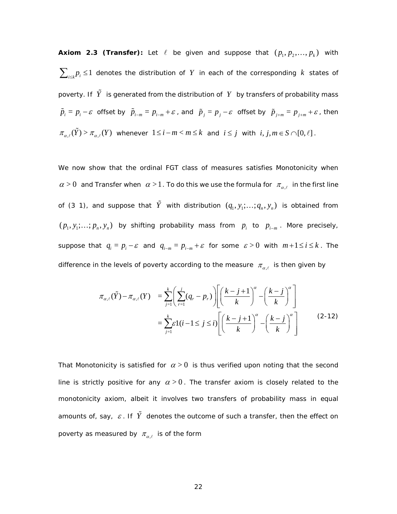**Axiom 2.3 (Transfer):** Let  $\ell$  be given and suppose that  $(p_1, p_2, ..., p_k)$  with  $\sum_{i\leq k}$  *p*<sub>*i*</sub> ≤ 1 denotes the distribution of *Y* in each of the corresponding *k* states of poverty. If  $\tilde{Y}$  is generated from the distribution of  $Y$  by transfers of probability mass  $\tilde{p}_i = p_i - \varepsilon$  offset by  $\tilde{p}_{i-m} = p_{i-m} + \varepsilon$ , and  $\tilde{p}_j = p_j - \varepsilon$  offset by  $\tilde{p}_{j+m} = p_{j+m} + \varepsilon$ , then  $\pi_{\alpha,\ell}(\tilde{Y}) > \pi_{\alpha,\ell}(Y)$  whenever  $1 \leq i-m < m \leq k$  and  $i \leq j$  with  $i, j, m \in S \cap [0,\ell]$ .

We now show that the ordinal FGT class of measures satisfies Monotonicity when  $\alpha > 0$  and Transfer when  $\alpha > 1$ . To do this we use the formula for  $\pi_{\alpha,\ell}$  in the first line of (3 1), and suppose that  $\tilde{Y}$  with distribution  $(q_1, y_1; ...; q_n, y_n)$  is obtained from  $(p_1, y_1; \ldots; p_n, y_n)$  by shifting probability mass from  $p_i$  to  $p_{i-m}$ . More precisely, suppose that  $q_i = p_i - \varepsilon$  and  $q_{i-m} = p_{i-m} + \varepsilon$  for some  $\varepsilon > 0$  with  $m+1 \le i \le k$ . The difference in the levels of poverty according to the measure  $\pi_{a,\ell}$  is then given by

$$
\pi_{\alpha,\ell}(\tilde{Y}) - \pi_{\alpha,\ell}(Y) = \sum_{j=1}^k \left( \sum_{r=1}^j (q_r - p_r) \right) \left[ \left( \frac{k-j+1}{k} \right)^{\alpha} - \left( \frac{k-j}{k} \right)^{\alpha} \right]
$$

$$
= \sum_{j=1}^k \varepsilon 1(i-1 \le j \le i) \left[ \left( \frac{k-j+1}{k} \right)^{\alpha} - \left( \frac{k-j}{k} \right)^{\alpha} \right]
$$
(2-12)

That Monotonicity is satisfied for  $\alpha > 0$  is thus verified upon noting that the second line is strictly positive for any  $\alpha > 0$ . The transfer axiom is closely related to the monotonicity axiom, albeit it involves two transfers of probability mass in equal amounts of, say,  $\varepsilon$ . If  $\tilde{Y}$  denotes the outcome of such a transfer, then the effect on poverty as measured by  $\pi_{\alpha,\ell}$  is of the form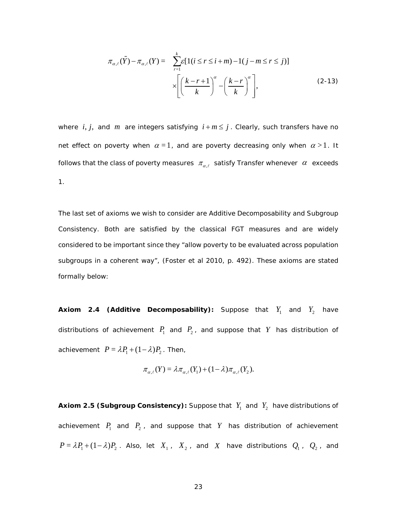$$
\pi_{\alpha,\ell}(\tilde{Y}) - \pi_{\alpha,\ell}(Y) = \sum_{r=1}^{k} \varepsilon [1(i \le r \le i+m) - 1(j-m \le r \le j)]
$$
\n
$$
\times \left[ \left(\frac{k-r+1}{k}\right)^{\alpha} - \left(\frac{k-r}{k}\right)^{\alpha} \right],
$$
\n(2-13)

where *i*, *j*, and *m* are integers satisfying  $i + m \leq j$ . Clearly, such transfers have no net effect on poverty when  $\alpha = 1$ , and are poverty decreasing only when  $\alpha > 1$ . It follows that the class of poverty measures  $\pi_{\alpha,\ell}$  satisfy Transfer whenever  $\alpha$  exceeds 1.

The last set of axioms we wish to consider are Additive Decomposability and Subgroup Consistency. Both are satisfied by the classical FGT measures and are widely considered to be important since they "allow poverty to be evaluated across population subgroups in a coherent way", (Foster et al 2010, p. 492). These axioms are stated formally below:

**Axiom 2.4 (Additive Decomposability):** Suppose that  $Y_1$  and  $Y_2$  have distributions of achievement  $P_1$  and  $P_2$ , and suppose that Y has distribution of achievement  $P = \lambda P_1 + (1 - \lambda) P_2$ . Then,

$$
\pi_{\alpha,\ell}(Y) = \lambda \pi_{\alpha,\ell}(Y_1) + (1-\lambda)\pi_{\alpha,\ell}(Y_2).
$$

**Axiom 2.5 (Subgroup Consistency):** Suppose that  $Y_1$  and  $Y_2$  have distributions of achievement  $P_1$  and  $P_2$ , and suppose that  $Y$  has distribution of achievement  $P = \lambda P_1 + (1 - \lambda) P_2$ . Also, let  $X_1$ ,  $X_2$ , and  $X$  have distributions  $Q_1$ ,  $Q_2$ , and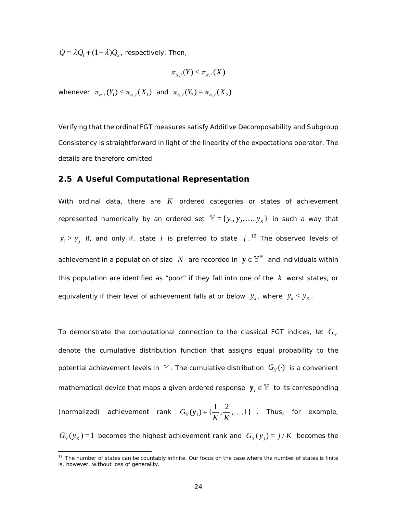$Q = \lambda Q_1 + (1 - \lambda) Q_2$ , respectively. Then,

$$
\pi_{\alpha,\ell}(Y) < \pi_{\alpha,\ell}(X)
$$

whenever  $\pi_{\alpha,\ell}(Y_1) < \pi_{\alpha,\ell}(X_1)$  and  $\pi_{\alpha,\ell}(Y_2) = \pi_{\alpha,\ell}(X_2)$ 

Verifying that the ordinal FGT measures satisfy Additive Decomposability and Subgroup Consistency is straightforward in light of the linearity of the expectations operator. The details are therefore omitted.

## <span id="page-34-0"></span>**2.5 A Useful Computational Representation**

With ordinal data, there are *K* ordered *categories* or *states* of achievement represented numerically by an ordered set  $\mathbb{Y} = \{y_1, y_2, ..., y_K\}$  in such a way that  $y_i > y_j$  if, and only if, state *i* is preferred to state *j* .<sup>[12](#page-34-1)</sup> The observed levels of achievement in a population of size  $N$  are recorded in  $\mathbf{y} \in \mathbb{Y}^N$  and individuals within this population are identified as "poor" if they fall into one of the *k* worst states, or equivalently if their *level* of achievement falls at or below  $y_k$ , where  $y_k < y_K$ .

To demonstrate the computational connection to the classical FGT indices, let  $G_{\mathbb{V}}$ denote the cumulative distribution function that assigns equal probability to the potential achievement levels in  $\mathbb Y$ . The cumulative distribution  $G_{\mathbb V}(\cdot)$  is a convenient mathematical device that maps a given ordered response  $\mathbf{y}_i \in \mathbb{Y}$  to its corresponding (normalized) achievement rank  $G_{\mathbb{Y}}(\mathbf{y}_i) \in \{\frac{1}{K}, \frac{2}{K}, ..., 1\}$ . Thus, for example,  $G_{\mathbb{Y}}(y_K)$  = 1 becomes the highest achievement rank and  $G_{\mathbb{Y}}(y_j) = j/K$  becomes the

<span id="page-34-1"></span><sup>&</sup>lt;sup>12</sup> The number of states can be countably infinite. Our focus on the case where the number of states is finite is, however, without loss of generality.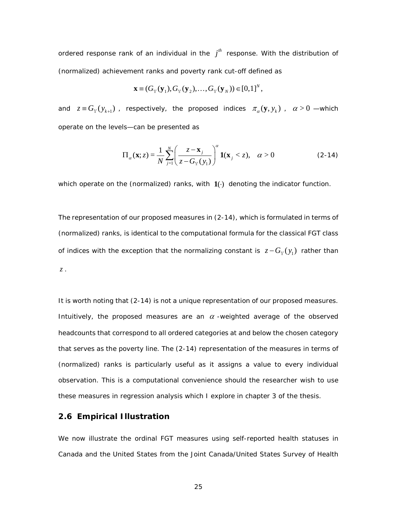ordered response rank of an individual in the  $j<sup>th</sup>$  response. With the distribution of (normalized) achievement ranks and poverty rank cut-off defined as

$$
\mathbf{x} \equiv (G_{\mathbf{y}}(\mathbf{y}_{1}), G_{\mathbf{y}}(\mathbf{y}_{2}), \ldots, G_{\mathbf{y}}(\mathbf{y}_{N})) \in [0,1]^{N},
$$

and  $z \equiv G_y(y_{k+1})$ , respectively, the proposed indices  $\pi_\alpha(y, y_k)$ ,  $\alpha > 0$  —which operate on the levels—can be presented as

<span id="page-35-1"></span>
$$
\Pi_{\alpha}(\mathbf{x}; z) = \frac{1}{N} \sum_{j=1}^{N} \left( \frac{z - \mathbf{x}_{j}}{z - G_{\mathbb{Y}}(y_{1})} \right)^{\alpha} \mathbf{1}(\mathbf{x}_{j} < z), \quad \alpha > 0
$$
\n(2-14)

which operate on the (normalized) ranks, with  $1(·)$  denoting the indicator function.

The representation of our proposed measures in [\(2-14\),](#page-35-1) which is formulated in terms of (normalized) ranks, is identical to the computational formula for the classical FGT class of indices with the exception that the normalizing constant is  $z - G_y(y_1)$  rather than *z* .

It is worth noting that [\(2-14\)](#page-35-1) is not a unique representation of our proposed measures. Intuitively, the proposed measures are an  $\alpha$  -weighted average of the observed headcounts that correspond to all ordered categories at and below the chosen category that serves as the poverty line. The [\(2-14\)](#page-35-1) representation of the measures in terms of (normalized) ranks is particularly useful as it assigns a value to every individual observation. This is a computational convenience should the researcher wish to use these measures in regression analysis which I explore in chapter 3 of the thesis.

## <span id="page-35-0"></span>**2.6 Empirical Illustration**

We now illustrate the ordinal FGT measures using self-reported health statuses in Canada and the United States from the Joint Canada/United States Survey of Health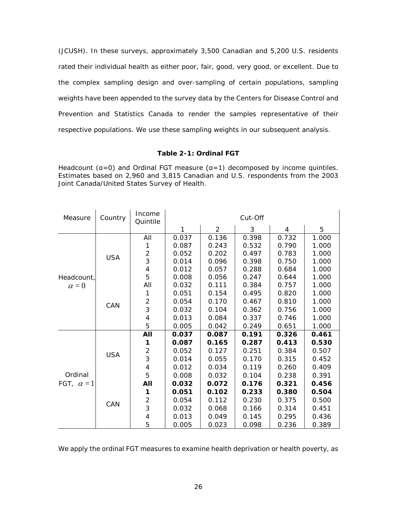(JCUSH). In these surveys, approximately 3,500 Canadian and 5,200 U.S. residents rated their individual health as either *poor, fair, good, very good, or excellent*. Due to the complex sampling design and over-sampling of certain populations, sampling weights have been appended to the survey data by the Centers for Disease Control and Prevention and Statistics Canada to render the samples representative of their respective populations. We use these sampling weights in our subsequent analysis.

## **Table 2-1: Ordinal FGT**

Headcount (a=0) and Ordinal FGT measure (a=1) decomposed by income quintiles. Estimates based on 2,960 and 3,815 Canadian and U.S. respondents from the 2003 Joint Canada/United States Survey of Health.

| Measure                      | Country    | Income<br>Quintile       | Cut-Off |       |       |       |       |
|------------------------------|------------|--------------------------|---------|-------|-------|-------|-------|
|                              |            |                          | 1       | 2     | 3     | 4     | 5     |
|                              |            | All                      | 0.037   | 0.136 | 0.398 | 0.732 | 1.000 |
|                              |            | 1                        | 0.087   | 0.243 | 0.532 | 0.790 | 1.000 |
|                              | <b>USA</b> | $\overline{c}$           | 0.052   | 0.202 | 0.497 | 0.783 | 1.000 |
|                              |            | 3                        | 0.014   | 0.096 | 0.398 | 0.750 | 1.000 |
|                              |            | $\overline{4}$           | 0.012   | 0.057 | 0.288 | 0.684 | 1.000 |
| Headcount,                   |            | 5                        | 0.008   | 0.056 | 0.247 | 0.644 | 1.000 |
| $\alpha = 0$                 |            | All                      | 0.032   | 0.111 | 0.384 | 0.757 | 1.000 |
|                              |            | 1                        | 0.051   | 0.154 | 0.495 | 0.820 | 1.000 |
|                              | CAN        | $\mathbf 2$              | 0.054   | 0.170 | 0.467 | 0.810 | 1.000 |
|                              |            | 3                        | 0.032   | 0.104 | 0.362 | 0.756 | 1.000 |
|                              |            | 4                        | 0.013   | 0.084 | 0.337 | 0.746 | 1.000 |
|                              |            | 5                        | 0.005   | 0.042 | 0.249 | 0.651 | 1.000 |
|                              |            | All                      | 0.037   | 0.087 | 0.191 | 0.326 | 0.461 |
| Ordinal<br>FGT, $\alpha = 1$ |            | 1                        | 0.087   | 0.165 | 0.287 | 0.413 | 0.530 |
|                              |            | $\overline{c}$           | 0.052   | 0.127 | 0.251 | 0.384 | 0.507 |
|                              | <b>USA</b> | $\overline{3}$           | 0.014   | 0.055 | 0.170 | 0.315 | 0.452 |
|                              |            | $\overline{\mathcal{A}}$ | 0.012   | 0.034 | 0.119 | 0.260 | 0.409 |
|                              |            | 5                        | 0.008   | 0.032 | 0.104 | 0.238 | 0.391 |
|                              | CAN        | All                      | 0.032   | 0.072 | 0.176 | 0.321 | 0.456 |
|                              |            | 1                        | 0.051   | 0.102 | 0.233 | 0.380 | 0.504 |
|                              |            | $\overline{c}$           | 0.054   | 0.112 | 0.230 | 0.375 | 0.500 |
|                              |            | 3                        | 0.032   | 0.068 | 0.166 | 0.314 | 0.451 |
|                              |            | $\overline{\mathcal{A}}$ | 0.013   | 0.049 | 0.145 | 0.295 | 0.436 |
|                              |            | 5                        | 0.005   | 0.023 | 0.098 | 0.236 | 0.389 |

We apply the ordinal FGT measures to examine health deprivation or health poverty, as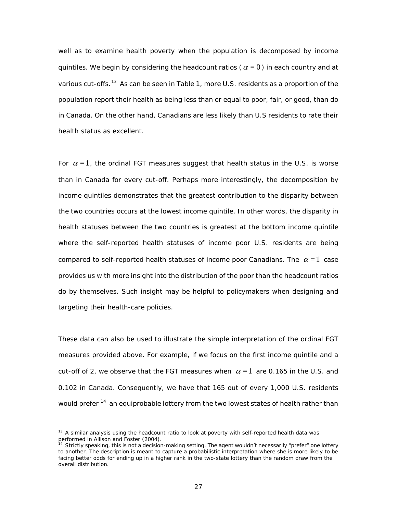well as to examine health poverty when the population is decomposed by income quintiles. We begin by considering the headcount ratios ( $\alpha = 0$ ) in each country and at various cut-offs.<sup>[13](#page-37-0)</sup> As can be seen in Table 1, more U.S. residents as a proportion of the population report their health as being less than or equal to *poor*, *fair*, or *good*, than do in Canada. On the other hand, Canadians are less likely than U.S residents to rate their health status as *excellent*.

For  $\alpha = 1$ , the ordinal FGT measures suggest that health status in the U.S. is worse than in Canada for every cut-off. Perhaps more interestingly, the decomposition by income quintiles demonstrates that the greatest contribution to the disparity between the two countries occurs at the lowest income quintile. In other words, the disparity in health statuses between the two countries is greatest at the bottom income quintile where the self-reported health statuses of income poor U.S. residents are being compared to self-reported health statuses of income poor Canadians. The  $\alpha = 1$  case provides us with more insight into the distribution of the poor than the headcount ratios do by themselves. Such insight may be helpful to policymakers when designing and targeting their health-care policies.

These data can also be used to illustrate the simple interpretation of the ordinal FGT measures provided above. For example, if we focus on the first income quintile and a cut-off of 2, we observe that the FGT measures when  $\alpha = 1$  are 0.165 in the U.S. and 0.102 in Canada. Consequently, we have that 165 out of every 1,000 U.S. residents would prefer <sup>14</sup> an equiprobable lottery from the two lowest states of health rather than

<span id="page-37-0"></span><sup>&</sup>lt;sup>13</sup> A similar analysis using the headcount ratio to look at poverty with self-reported health data was performed in Allison and Foster (2004).

<span id="page-37-1"></span>Strictly speaking, this is not a decision-making setting. The agent wouldn't necessarily "prefer" one lottery to another. The description is meant to capture a probabilistic interpretation where she is more likely to be facing better odds for ending up in a higher rank in the two-state lottery than the random draw from the overall distribution.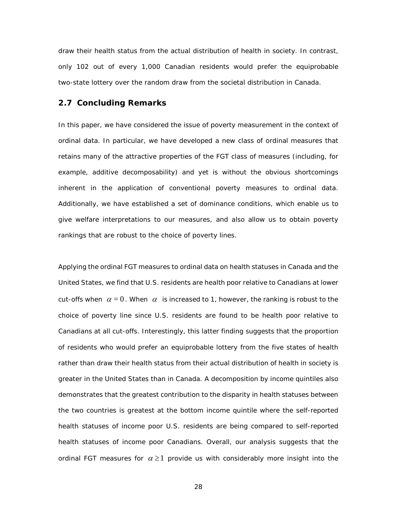draw their health status from the actual distribution of health in society. In contrast, only 102 out of every 1,000 Canadian residents would prefer the equiprobable two-state lottery over the random draw from the societal distribution in Canada.

#### **2.7 Concluding Remarks**

In this paper, we have considered the issue of poverty measurement in the context of ordinal data. In particular, we have developed a new class of ordinal measures that retains many of the attractive properties of the FGT class of measures (including, for example, additive decomposability) and yet is without the obvious shortcomings inherent in the application of conventional poverty measures to ordinal data. Additionally, we have established a set of dominance conditions, which enable us to give welfare interpretations to our measures, and also allow us to obtain poverty rankings that are robust to the choice of poverty lines.

Applying the ordinal FGT measures to ordinal data on health statuses in Canada and the United States, we find that U.S. residents are health poor relative to Canadians at lower cut-offs when  $\alpha = 0$ . When  $\alpha$  is increased to 1, however, the ranking is robust to the choice of poverty line since U.S. residents are found to be health poor relative to Canadians at all cut-offs. Interestingly, this latter finding suggests that the proportion of residents who would prefer an equiprobable lottery from the five states of health rather than draw their health status from their actual distribution of health in society is greater in the United States than in Canada. A decomposition by income quintiles also demonstrates that the greatest contribution to the disparity in health statuses between the two countries is greatest at the bottom income quintile where the self-reported health statuses of income poor U.S. residents are being compared to self-reported health statuses of income poor Canadians. Overall, our analysis suggests that the ordinal FGT measures for  $\alpha \geq 1$  provide us with considerably more insight into the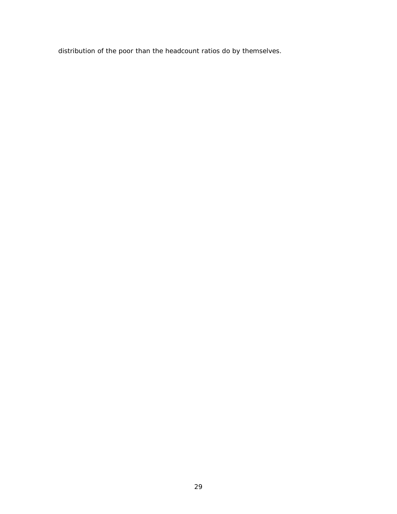distribution of the poor than the headcount ratios do by themselves.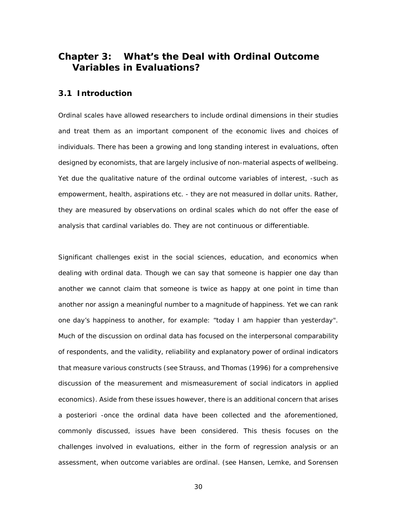## **Chapter 3: What's the Deal with Ordinal Outcome Variables in Evaluations?**

### **3.1 Introduction**

Ordinal scales have allowed researchers to include ordinal dimensions in their studies and treat them as an important component of the economic lives and choices of individuals. There has been a growing and long standing interest in evaluations, often designed by economists, that are largely inclusive of non-material aspects of wellbeing. Yet due the qualitative nature of the ordinal outcome variables of interest, -such as empowerment, health, aspirations etc. - they are not measured in dollar units. Rather, they are measured by observations on ordinal scales which do not offer the ease of analysis that cardinal variables do. They are not continuous or differentiable.

Significant challenges exist in the social sciences, education, and economics when dealing with ordinal data. Though we can say that someone is happier one day than another we cannot claim that someone is twice as happy at one point in time than another nor assign a meaningful number to a magnitude of happiness. Yet we can rank one day's happiness to another, for example: "today I am happier than yesterday". Much of the discussion on ordinal data has focused on the interpersonal comparability of respondents, and the validity, reliability and explanatory power of ordinal indicators that measure various constructs (see [Strauss, and Thomas \(1996\)](#page-99-0) for a comprehensive discussion of the measurement and mismeasurement of social indicators in applied economics). Aside from these issues however, there is an additional concern that arises a posteriori -once the ordinal data have been collected and the aforementioned, commonly discussed, issues have been considered. This thesis focuses on the challenges involved in evaluations, either in the form of regression analysis or an assessment, when outcome variables are ordinal. (see [Hansen, Lemke, and Sorensen](#page-97-0)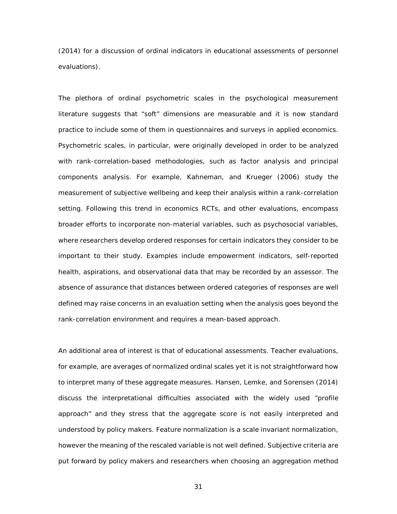[\(2014\)](#page-97-0) for a discussion of ordinal indicators in educational assessments of personnel evaluations).

The plethora of ordinal psychometric scales in the psychological measurement literature suggests that "soft" dimensions are measurable and it is now standard practice to include some of them in questionnaires and surveys in applied economics. Psychometric scales, in particular, were originally developed in order to be analyzed with rank-correlation-based methodologies, such as factor analysis and principal components analysis. For example, [Kahneman, and Krueger \(2006\)](#page-98-0) study the measurement of subjective wellbeing and keep their analysis within a rank-correlation setting. Following this trend in economics RCTs, and other evaluations, encompass broader efforts to incorporate non-material variables, such as psychosocial variables, where researchers develop ordered responses for certain indicators they consider to be important to their study. Examples include empowerment indicators, self-reported health, aspirations, and observational data that may be recorded by an assessor. The absence of assurance that distances between ordered categories of responses are well defined may raise concerns in an evaluation setting when the analysis goes beyond the rank-correlation environment and requires a mean-based approach.

An additional area of interest is that of educational assessments. Teacher evaluations, for example, are averages of normalized ordinal scales yet it is not straightforward how to interpret many of these aggregate measures. [Hansen, Lemke, and Sorensen \(2014\)](#page-97-0) discuss the interpretational difficulties associated with the widely used "profile approach" and they stress that the aggregate score is not easily interpreted and understood by policy makers. Feature normalization is a scale invariant normalization, however the meaning of the rescaled variable is not well defined. Subjective criteria are put forward by policy makers and researchers when choosing an aggregation method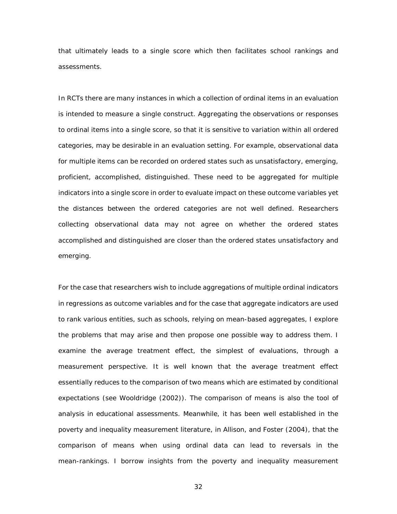that ultimately leads to a single score which then facilitates school rankings and assessments.

In RCTs there are many instances in which a collection of ordinal items in an evaluation is intended to measure a single construct. Aggregating the observations or responses to ordinal items into a single score, so that it is sensitive to variation within all ordered categories, may be desirable in an evaluation setting. For example, observational data for multiple items can be recorded on ordered states such as *unsatisfactory*, *emerging*, *proficient*, *accomplished*, *distinguished*. These need to be aggregated for multiple indicators into a single score in order to evaluate impact on these outcome variables yet the distances between the ordered categories are not well defined. Researchers collecting observational data may not agree on whether the ordered states *accomplished* and *distinguished* are closer than the ordered states *unsatisfactory* and *emerging*.

For the case that researchers wish to include aggregations of multiple ordinal indicators in regressions as outcome variables and for the case that aggregate indicators are used to rank various entities, such as schools, relying on mean-based aggregates, I explore the problems that may arise and then propose one possible way to address them. I examine the average treatment effect, the simplest of evaluations, through a measurement perspective. It is well known that the average treatment effect essentially reduces to the comparison of two means which are estimated by conditional expectations (see [Wooldridge \(2002\)](#page-100-0)). The comparison of means is also the tool of analysis in educational assessments. Meanwhile, it has been well established in the poverty and inequality measurement literature, in [Allison, and Foster \(2004\)](#page-95-0), that the comparison of means when using ordinal data can lead to reversals in the mean-rankings. I borrow insights from the poverty and inequality measurement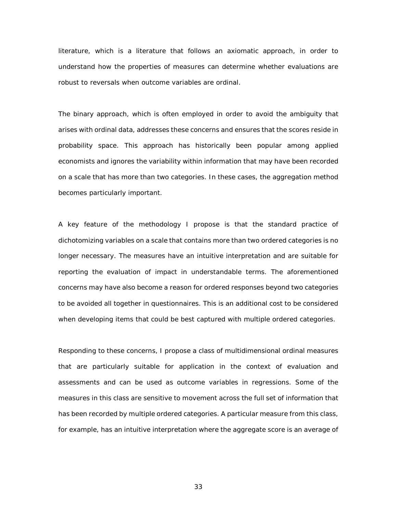literature, which is a literature that follows an axiomatic approach, in order to understand how the properties of measures can determine whether evaluations are robust to reversals when outcome variables are ordinal.

The binary approach, which is often employed in order to avoid the ambiguity that arises with ordinal data, addresses these concerns and ensures that the scores reside in probability space. This approach has historically been popular among applied economists and ignores the variability within information that may have been recorded on a scale that has more than two categories. In these cases, the aggregation method becomes particularly important.

A key feature of the methodology I propose is that the standard practice of dichotomizing variables on a scale that contains more than two ordered categories is no longer necessary. The measures have an intuitive interpretation and are suitable for reporting the evaluation of impact in understandable terms. The aforementioned concerns may have also become a reason for ordered responses beyond two categories to be avoided all together in questionnaires. This is an additional cost to be considered when developing items that could be best captured with multiple ordered categories.

Responding to these concerns, I propose a class of multidimensional ordinal measures that are particularly suitable for application in the context of evaluation and assessments and can be used as outcome variables in regressions. Some of the measures in this class are sensitive to movement across the full set of information that has been recorded by multiple ordered categories. A particular measure from this class, for example, has an intuitive interpretation where the aggregate score is an average of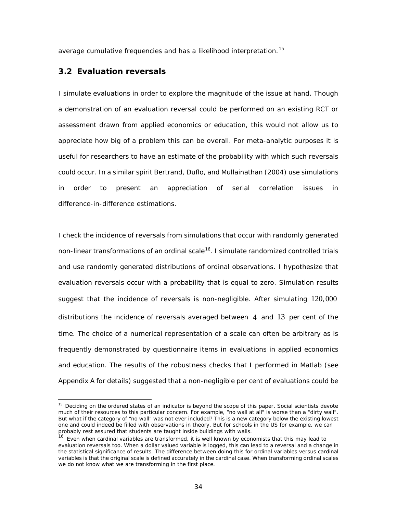average cumulative frequencies and has a likelihood interpretation.<sup>[15](#page-44-0)</sup>

## **3.2 Evaluation reversals**

I simulate evaluations in order to explore the magnitude of the issue at hand. Though a demonstration of an evaluation reversal could be performed on an existing RCT or assessment drawn from applied economics or education, this would not allow us to appreciate how big of a problem this can be overall. For meta-analytic purposes it is useful for researchers to have an estimate of the probability with which such reversals could occur. In a similar spiri[t Bertrand, Duflo, and Mullainathan \(2004\)](#page-96-0) use simulations in order to present an appreciation of serial correlation issues in difference-in-difference estimations.

I check the incidence of reversals from simulations that occur with randomly generated non-linear transformations of an ordinal scale<sup>16</sup>. I simulate randomized controlled trials and use randomly generated distributions of ordinal observations. I hypothesize that evaluation reversals occur with a probability that is equal to zero. Simulation results suggest that the incidence of reversals is non-negligible. After simulating 120,000 distributions the incidence of reversals averaged between 4 and 13 per cent of the time. The choice of a numerical representation of a scale can often be arbitrary as is frequently demonstrated by questionnaire items in evaluations in applied economics and education. The results of the robustness checks that I performed in Matlab (see Appendix A for details) suggested that a non-negligible per cent of evaluations could be

<span id="page-44-0"></span><sup>&</sup>lt;sup>15</sup> Deciding on the ordered states of an indicator is beyond the scope of this paper. Social scientists devote much of their resources to this particular concern. For example, "no wall at all" is worse than a "dirty wall". But what if the category of "no wall" was not ever included? This is a new category below the existing lowest one and could indeed be filled with observations in theory. But for schools in the US for example, we can probably rest assured that students are taught inside buildings with walls.

<span id="page-44-1"></span><sup>&</sup>lt;sup>16</sup> Even when cardinal variables are transformed, it is well known by economists that this may lead to evaluation reversals too. When a dollar valued variable is logged, this can lead to a reversal and a change in the statistical significance of results. The difference between doing this for ordinal variables versus cardinal variables is that the original scale is defined accurately in the cardinal case. When transforming ordinal scales we do not know what we are transforming in the first place.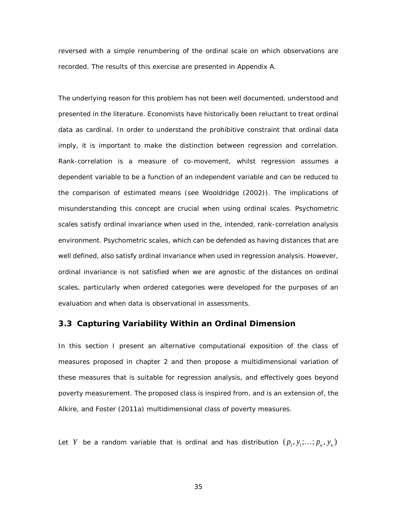reversed with a simple renumbering of the ordinal scale on which observations are recorded. The results of this exercise are presented in Appendix A.

The underlying reason for this problem has not been well documented, understood and presented in the literature. Economists have historically been reluctant to treat ordinal data as cardinal. In order to understand the prohibitive constraint that ordinal data imply, it is important to make the distinction between regression and correlation. Rank-correlation is a measure of co-movement, whilst regression assumes a dependent variable to be a function of an independent variable and can be reduced to the comparison of estimated means (see [Wooldridge \(2002\)](#page-100-0)). The implications of misunderstanding this concept are crucial when using ordinal scales. Psychometric scales satisfy ordinal invariance when used in the, intended, rank-correlation analysis environment. Psychometric scales, which can be defended as having distances that are well defined, also satisfy ordinal invariance when used in regression analysis. However, ordinal invariance is not satisfied when we are agnostic of the distances on ordinal scales, particularly when ordered categories were developed for the purposes of an evaluation and when data is observational in assessments.

## **3.3 Capturing Variability Within an Ordinal Dimension**

In this section I present an alternative computational exposition of the class of measures proposed in chapter 2 and then propose a multidimensional variation of these measures that is suitable for regression analysis, and effectively goes beyond poverty measurement. The proposed class is inspired from, and is an extension of, the [Alkire, and Foster \(2011a\)](#page-95-1) multidimensional class of poverty measures.

Let *Y* be a random variable that is ordinal and has distribution  $(p_1, y_1; \ldots; p_k, y_k)$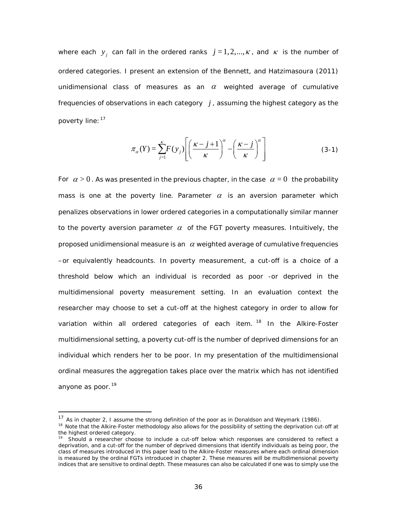where each  $y_i$  can fall in the ordered ranks  $j=1,2,...,k$ , and  $k$  is the number of ordered categories. I present an extension of the [Bennett, and Hatzimasoura \(2011\)](#page-96-1) unidimensional class of measures as an  $\alpha$  weighted average of cumulative frequencies of observations in each category *j* , assuming the highest category as the poverty line: [17](#page-46-0)

<span id="page-46-3"></span>
$$
\pi_{\alpha}(Y) = \sum_{j=1}^{K} F(y_j) \left[ \left( \frac{\kappa - j + 1}{\kappa} \right)^{\alpha} - \left( \frac{\kappa - j}{\kappa} \right)^{\alpha} \right] \tag{3-1}
$$

For  $\alpha > 0$ . As was presented in the previous chapter, in the case  $\alpha = 0$  the probability mass is one at the poverty line. Parameter  $\alpha$  is an aversion parameter which penalizes observations in lower ordered categories in a computationally similar manner to the poverty aversion parameter  $\alpha$  of the FGT poverty measures. Intuitively, the proposed unidimensional measure is an  $\alpha$  weighted average of cumulative frequencies –or equivalently headcounts. In poverty measurement, a cut-off is a choice of a threshold below which an individual is recorded as poor -or deprived in the multidimensional poverty measurement setting. In an evaluation context the researcher may choose to set a cut-off at the highest category in order to allow for variation within all ordered categories of each item.<sup>[18](#page-46-1)</sup> In the Alkire-Foster multidimensional setting, a poverty cut-off is the number of deprived dimensions for an individual which renders her to be poor. In my presentation of the multidimensional ordinal measures the aggregation takes place over the matrix which has not identified anyone as poor.<sup>[19](#page-46-2)</sup>

<span id="page-46-0"></span><sup>&</sup>lt;sup>17</sup> As in chapter 2, I assume the strong definition of the poor as in Donaldson and Weymark (1986).

<span id="page-46-1"></span><sup>&</sup>lt;sup>18</sup> Note that the Alkire-Foster methodology also allows for the possibility of setting the deprivation cut-off at the highest ordered category.

<span id="page-46-2"></span>Should a researcher choose to include a cut-off below which responses are considered to reflect a deprivation, and a cut-off for the number of deprived dimensions that identify individuals as being poor, the class of measures introduced in this paper lead to the Alkire-Foster measures where each ordinal dimension is measured by the ordinal FGTs introduced in chapter 2. These measures will be multidimensional poverty indices that are sensitive to ordinal depth. These measures can also be calculated if one was to simply use the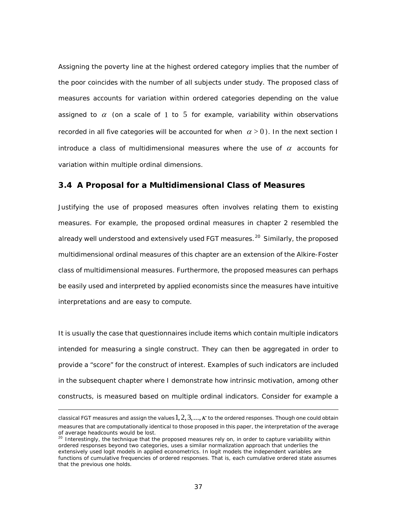Assigning the poverty line at the highest ordered category implies that the number of the poor coincides with the number of all subjects under study. The proposed class of measures accounts for variation within ordered categories depending on the value assigned to  $\alpha$  (on a scale of 1 to 5 for example, variability within observations recorded in all five categories will be accounted for when  $\alpha > 0$ ). In the next section I introduce a class of multidimensional measures where the use of  $\alpha$  accounts for variation within multiple ordinal dimensions.

#### **3.4 A Proposal for a Multidimensional Class of Measures**

Justifying the use of proposed measures often involves relating them to existing measures. For example, the proposed ordinal measures in chapter 2 resembled the already well understood and extensively used FGT measures.<sup>[20](#page-47-0)</sup> Similarly, the proposed multidimensional ordinal measures of this chapter are an extension of the Alkire-Foster class of multidimensional measures. Furthermore, the proposed measures can perhaps be easily used and interpreted by applied economists since the measures have intuitive interpretations and are easy to compute.

It is usually the case that questionnaires include items which contain multiple indicators intended for measuring a single construct. They can then be aggregated in order to provide a "score" for the construct of interest. Examples of such indicators are included in the subsequent chapter where I demonstrate how intrinsic motivation, among other constructs, is measured based on multiple ordinal indicators. Consider for example a

l

classical FGT measures and assign the values  $1, 2, 3,...,\kappa$  to the ordered responses. Though one could obtain measures that are computationally identical to those proposed in this paper, the interpretation of the average of average headcounts would be lost.

<span id="page-47-0"></span> $20$  Interestingly, the technique that the proposed measures rely on, in order to capture variability within ordered responses beyond two categories, uses a similar normalization approach that underlies the extensively used logit models in applied econometrics. In logit models the independent variables are functions of cumulative frequencies of ordered responses. That is, each cumulative ordered state assumes that the previous one holds.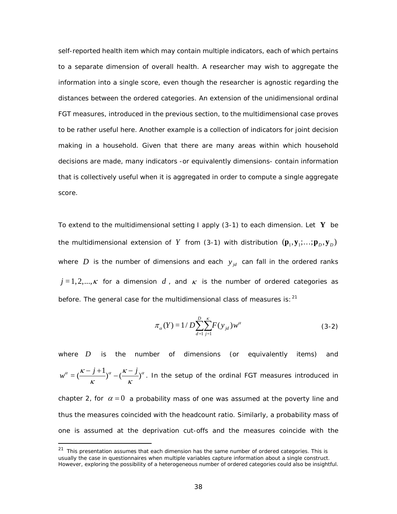self-reported health item which may contain multiple indicators, each of which pertains to a separate dimension of overall health. A researcher may wish to aggregate the information into a single score, even though the researcher is agnostic regarding the distances between the ordered categories. An extension of the unidimensional ordinal FGT measures, introduced in the previous section, to the multidimensional case proves to be rather useful here. Another example is a collection of indicators for joint decision making in a household. Given that there are many areas within which household decisions are made, many indicators -or equivalently dimensions- contain information that is collectively useful when it is aggregated in order to compute a single aggregate score.

To extend to the multidimensional setting I apply [\(3-1\)](#page-46-3) to each dimension. Let **Y** be the multidimensional extension of *Y* from (3-1) with distribution  $(\mathbf{p}_1, \mathbf{y}_1; \ldots; \mathbf{p}_D, \mathbf{y}_D)$ where  $D$  is the number of dimensions and each  $y_{id}$  can fall in the ordered ranks  $j = 1, 2, ..., \kappa$  for a dimension  $d$ , and  $\kappa$  is the number of ordered categories as before. The general case for the multidimensional class of measures is:  $21$ 

$$
\pi_{\alpha}(Y) = 1/D \sum_{d=1}^{D} \sum_{j=1}^{K} F(y_{jd}) w^{\alpha}
$$
 (3-2)

where *D* is the number of dimensions (or equivalently items) and  $w^{\alpha} = (\frac{\kappa - j + 1}{\kappa})^{\alpha} - (\frac{\kappa - j}{\kappa})^{\alpha}$ . In the setup of the ordinal FGT measures introduced in chapter 2, for  $\alpha = 0$  a probability mass of one was assumed at the poverty line and thus the measures coincided with the headcount ratio. Similarly, a probability mass of

one is assumed at the deprivation cut-offs and the measures coincide with the

<span id="page-48-0"></span> $21$  This presentation assumes that each dimension has the same number of ordered categories. This is usually the case in questionnaires when multiple variables capture information about a single construct. However, exploring the possibility of a heterogeneous number of ordered categories could also be insightful.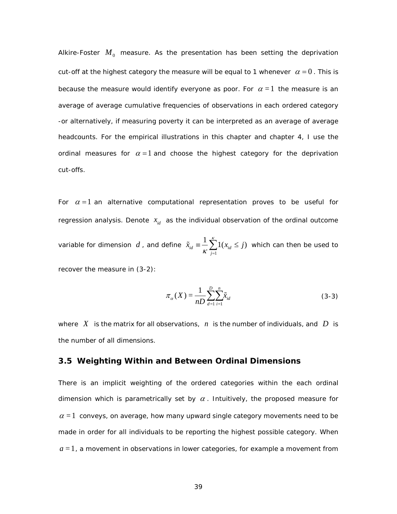Alkire-Foster  $M_0$  measure. As the presentation has been setting the deprivation cut-off at the highest category the measure will be equal to 1 whenever  $\alpha = 0$ . This is because the measure would identify everyone as poor. For  $\alpha = 1$  the measure is an average of average cumulative frequencies of observations in each ordered category -or alternatively, if measuring poverty it can be interpreted as an average of average headcounts. For the empirical illustrations in this chapter and chapter 4, I use the ordinal measures for  $\alpha = 1$  and choose the highest category for the deprivation cut-offs.

For  $\alpha = 1$  an alternative computational representation proves to be useful for regression analysis. Denote  $x_{id}$  as the individual observation of the ordinal outcome variable for dimension *d* , and define 1  $\sum_{id}^{\kappa} \equiv \frac{1}{n} \sum_{i=1}^{k} 1(x_{id} \leq j)$ *j*  $\tilde{x}_{id} \equiv \frac{1}{2} \sum_{i=1}^{k} 1(x_{id} \leq j)$  $\widetilde{x}_{id} \equiv \frac{1}{K} \sum_{j=1}^{K} 1(x_{id} \leq j)$  which can then be used to recover the measure in (3-2):

<span id="page-49-0"></span>
$$
\pi_{\alpha}(X) = \frac{1}{nD} \sum_{d=1}^{D} \sum_{i=1}^{n} \tilde{x}_{id}
$$
\n(3-3)

where  $X$  is the matrix for all observations,  $n$  is the number of individuals, and  $D$  is the number of all dimensions.

#### **3.5 Weighting Within and Between Ordinal Dimensions**

There is an implicit weighting of the ordered categories within the each ordinal dimension which is parametrically set by  $\alpha$ . Intuitively, the proposed measure for  $\alpha$  = 1 conveys, on average, how many upward single category movements need to be made in order for all individuals to be reporting the highest possible category. When  $a = 1$ , a movement in observations in lower categories, for example a movement from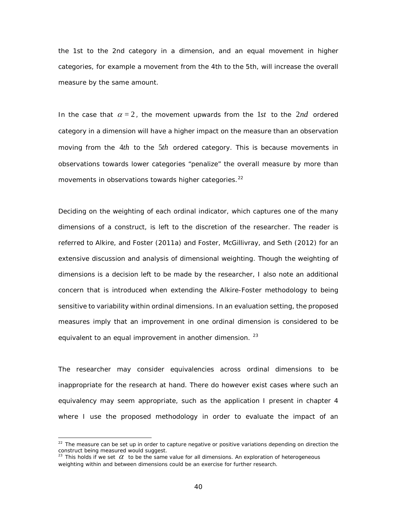the 1st to the 2nd category in a dimension, and an equal movement in higher categories, for example a movement from the 4th to the 5th, will increase the overall measure by the same amount.

In the case that  $\alpha = 2$ , the movement upwards from the 1st to the 2nd ordered category in a dimension will have a higher impact on the measure than an observation moving from the 4*th* to the 5*th* ordered category. This is because movements in observations towards lower categories "penalize" the overall measure by more than movements in observations towards higher categories.<sup>[22](#page-50-0)</sup>

Deciding on the weighting of each ordinal indicator, which captures one of the many dimensions of a construct, is left to the discretion of the researcher. The reader is referred to [Alkire, and Foster \(2011a\)](#page-95-1) and [Foster, McGillivray, and Seth \(2012\)](#page-97-1) for an extensive discussion and analysis of dimensional weighting. Though the weighting of dimensions is a decision left to be made by the researcher, I also note an additional concern that is introduced when extending the Alkire-Foster methodology to being sensitive to variability within ordinal dimensions. In an evaluation setting, the proposed measures imply that an improvement in one ordinal dimension is considered to be equivalent to an equal improvement in another dimension.  $23$ 

The researcher may consider equivalencies across ordinal dimensions to be inappropriate for the research at hand. There do however exist cases where such an equivalency may seem appropriate, such as the application I present in chapter 4 where I use the proposed methodology in order to evaluate the impact of an

<span id="page-50-0"></span><sup>&</sup>lt;sup>22</sup> The measure can be set up in order to capture negative or positive variations depending on direction the construct being measured would suggest.

<span id="page-50-1"></span><sup>&</sup>lt;sup>23</sup> This holds if we set  $\alpha$  to be the same value for all dimensions. An exploration of heterogeneous weighting within and between dimensions could be an exercise for further research.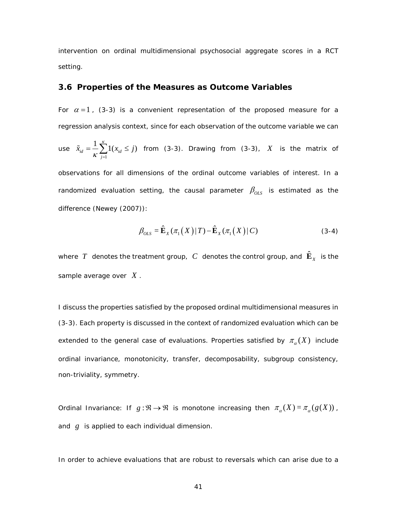intervention on ordinal multidimensional psychosocial aggregate scores in a RCT setting.

#### **3.6 Properties of the Measures as Outcome Variables**

For  $\alpha = 1$ , [\(3-3\)](#page-49-0) is a convenient representation of the proposed measure for a regression analysis context, since for each observation of the outcome variable we can

use 
$$
\tilde{x}_{id} = \frac{1}{K} \sum_{j=1}^{K} 1(x_{id} \le j)
$$
 from (3-3). Drawing from (3-3), X is the matrix of

observations for all dimensions of the ordinal outcome variables of interest. In a randomized evaluation setting, the causal parameter  $\beta_{OLS}$  is estimated as the difference [\(Newey \(2007\)](#page-99-1)):

$$
\beta_{OLS} = \hat{\mathbf{E}}_X(\pi_1(X) | T) - \hat{\mathbf{E}}_X(\pi_1(X) | C)
$$
\n(3-4)

where  $\ T$  denotes the treatment group,  $\ C\,$  denotes the control group, and  $\hat{\mathbf{E}}_{\scriptscriptstyle X}$  is the sample average over *X* .

I discuss the properties satisfied by the proposed ordinal multidimensional measures in (3-3). Each property is discussed in the context of randomized evaluation which can be extended to the general case of evaluations. Properties satisfied by  $\pi_\alpha(X)$  include ordinal invariance, monotonicity, transfer, decomposability, subgroup consistency, non-triviality, symmetry.

*Ordinal Invariance*: If  $g : \mathbb{R} \to \mathbb{R}$  is monotone increasing then  $\pi_{\alpha}(X) = \pi_{\alpha}(g(X))$ , and *g* is applied to each individual dimension.

In order to achieve evaluations that are robust to reversals which can arise due to a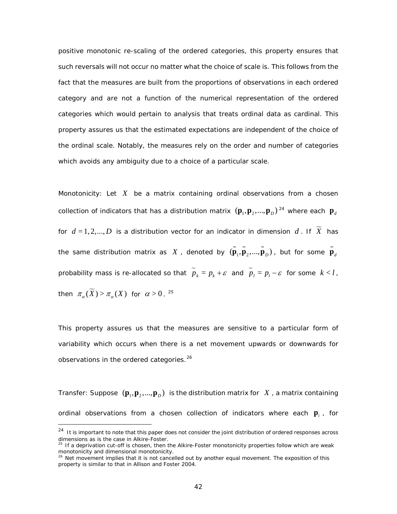positive monotonic re-scaling of the ordered categories, this property ensures that such reversals will not occur no matter what the choice of scale is. This follows from the fact that the measures are built from the *proportions* of observations in each ordered category and are not a function of the numerical representation of the ordered categories which would pertain to analysis that treats ordinal data as cardinal. This property assures us that the estimated expectations are independent of the choice of the ordinal scale. Notably, the measures rely on the order and number of categories which avoids any ambiguity due to a choice of a particular scale.

*Monotonicity*: Let *X* be a matrix containing ordinal observations from a chosen collection of indicators that has a distribution matrix  $(\bm{p}_1, \bm{p}_2, ..., \bm{p}_D)^{\,24}$  $(\bm{p}_1, \bm{p}_2, ..., \bm{p}_D)^{\,24}$  $(\bm{p}_1, \bm{p}_2, ..., \bm{p}_D)^{\,24}$  where each  $|\bm{p}_d|$ for  $d = 1, 2, ..., D$  is a distribution vector for an indicator in dimension  $d$  . If  $\widetilde{X}$  has the same distribution matrix as  $\ X$  , denoted by  $(\tilde{\bf p}_1,\tilde{\bf p}_2,...,\tilde{\bf p}_D)$  , but for some  $\tilde{\bf p}_d$ probability mass is re-allocated so that  $\widetilde{p}_k = p_k + \varepsilon$  and  $\widetilde{p}_l = p_l - \varepsilon$  for some  $k < l$ , then  $\pi_{\alpha}(\widetilde{X}) > \pi_{\alpha}(X)$  for  $\alpha > 0$ . <sup>[25](#page-52-1)</sup>

This property assures us that the measures are sensitive to a particular form of variability which occurs when there is a net movement upwards or downwards for observations in the ordered categories.<sup>[26](#page-52-2)</sup>

*Transfer*: Suppose  $(\mathbf{p}_1, \mathbf{p}_2, ..., \mathbf{p}_D)$  is the distribution matrix for *X*, a matrix containing ordinal observations from a chosen collection of indicators where each **p***<sup>i</sup>* , for

<span id="page-52-0"></span><sup>&</sup>lt;sup>24</sup> It is important to note that this paper does not consider the joint distribution of ordered responses across dimensions as is the case in Alkire-Foster.

<span id="page-52-1"></span> $25$  If a deprivation cut-off is chosen, then the Alkire-Foster monotonicity properties follow which are weak monotonicity and dimensional monotonicity.

<span id="page-52-2"></span> $26$  Net movement implies that it is not cancelled out by another equal movement. The exposition of this property is similar to that in Allison and Foster 2004.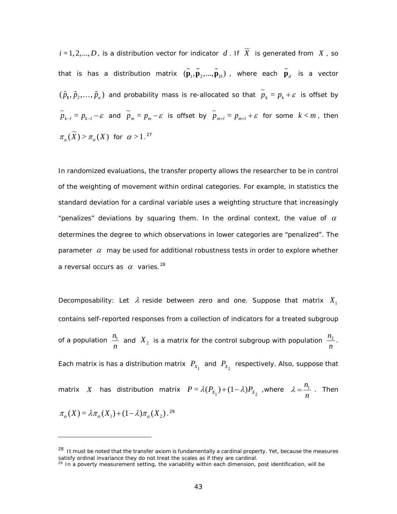$i$  = 1, 2, ...,  $D$  , is a distribution vector for indicator  $\ d$  . If  $\ \widetilde{X}\ \$ is generated from  $\ X$  , so that is has a distribution matrix  $(\tilde{\bm p}_1, \tilde{\bm p}_2, ..., \tilde{\bm p}_D)$  , where each  $\tilde{\bm p}_d$  is a vector  $(\tilde{p}_1, \tilde{p}_2,..., \tilde{p}_k)$  and probability mass is re-allocated so that  $\tilde{p}_k = p_k + \varepsilon$  is offset by  $\widetilde{p}_{k-l} = p_{k-l} - \varepsilon$  and  $\widetilde{p}_m = p_m - \varepsilon$  is offset by  $\widetilde{p}_{m+l} = p_{m+l} + \varepsilon$  for some  $k < m$ , then  $\pi_{\alpha}(\widetilde{X}) > \pi_{\alpha}(X)$  for  $\alpha > 1$ .<sup>[27](#page-53-0)</sup>

In randomized evaluations, the transfer property allows the researcher to be in control of the weighting of movement within ordinal categories. For example, in statistics the standard deviation for a cardinal variable uses a weighting structure that increasingly "penalizes" deviations by squaring them. In the ordinal context, the value of  $\alpha$ determines the degree to which observations in lower categories are "penalized". The parameter  $\alpha$  may be used for additional robustness tests in order to explore whether a reversal occurs as  $\alpha$  varies.<sup>[28](#page-53-1)</sup>

*Decomposability*: Let  $\lambda$  reside between zero and one. Suppose that matrix  $X_1$ contains self-reported responses from a collection of indicators for a treated subgroup of a population  $\frac{n_1}{n_2}$  $\frac{n_1}{n}$  and  $X_2$  is a matrix for the control subgroup with population  $\frac{n_2}{n}$ . Each matrix is has a distribution matrix  $\textbf{\emph{P}}_{X_1}$  and  $\textbf{\emph{P}}_{X_2}$  respectively. Also, suppose that matrix X has distribution matrix  $P = \lambda(P_{X_1}) + (1 - \lambda)P_{X_2}$  ,where  $\lambda = \frac{n_1}{n}$  $\lambda = \frac{n_1}{n_2}$ . Then  $\pi_{\alpha}(X) = \lambda \pi_{\alpha}(X_1) + (1 - \lambda) \pi_{\alpha}(X_2)$ .<sup>[29](#page-53-2)</sup>

i,

<span id="page-53-1"></span><span id="page-53-0"></span><sup>&</sup>lt;sup>28</sup> It must be noted that the transfer axiom is fundamentally a cardinal property. Yet, because the measures satisfy ordinal invariance they do not treat the scales as if they are cardinal.

<span id="page-53-2"></span> $29$  In a poverty measurement setting, the variability within each dimension, post identification, will be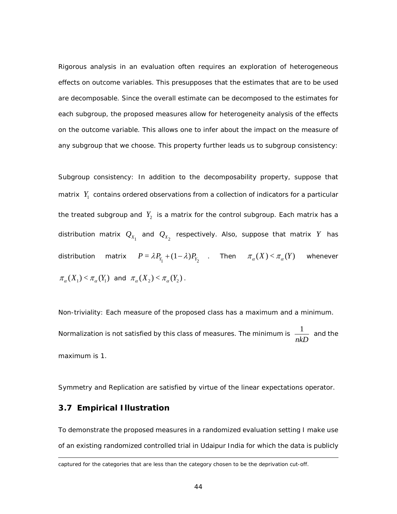Rigorous analysis in an evaluation often requires an exploration of heterogeneous effects on outcome variables. This presupposes that the estimates that are to be used are decomposable. Since the overall estimate can be decomposed to the estimates for each subgroup, the proposed measures allow for heterogeneity analysis of the effects on the outcome variable. This allows one to infer about the impact on the measure of any subgroup that we choose. This property further leads us to subgroup consistency:

*Subgroup consistency*: In addition to the decomposability property, suppose that matrix  $Y_1$  contains ordered observations from a collection of indicators for a particular the treated subgroup and  $Y_2$  is a matrix for the control subgroup. Each matrix has a distribution matrix  $\mathcal{Q}_{\scriptscriptstyle{X_1}}$  and  $\mathcal{Q}_{\scriptscriptstyle{X_2}}$  respectively. Also, suppose that matrix  $Y$  has distribution matrix  $P = \lambda P_{Y_1} + (1 - \lambda) P_{Y_2}$  . Then  $\pi_\alpha(X) < \pi_\alpha(Y)$  whenever  $\pi_{\alpha}(X_1) < \pi_{\alpha}(Y_1)$  and  $\pi_{\alpha}(X_2) < \pi_{\alpha}(Y_2)$ .

*Non-triviality*: Each measure of the proposed class has a maximum and a minimum. *Normalization* is not satisfied by this class of measures. The minimum is  $\frac{1}{1}$  $\frac{1}{nkD}$  and the maximum is 1.

*Symmetry* and *Replication* are satisfied by virtue of the linear expectations operator.

## **3.7 Empirical Illustration**

To demonstrate the proposed measures in a randomized evaluation setting I make use of an existing randomized controlled trial in Udaipur India for which the data is publicly

captured for the categories that are less than the category chosen to be the deprivation cut-off.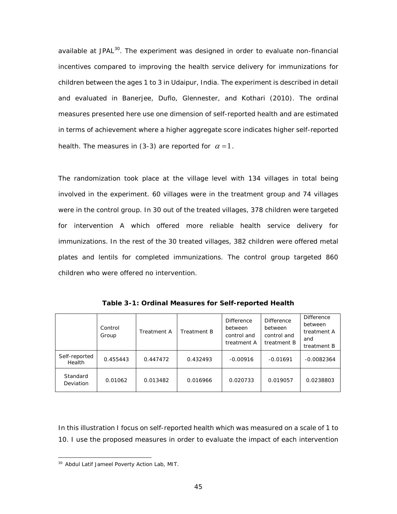available at JPAL<sup>30</sup>. The experiment was designed in order to evaluate non-financial incentives compared to improving the health service delivery for immunizations for children between the ages 1 to 3 in Udaipur, India. The experiment is described in detail and evaluated in [Banerjee, Duflo, Glennester, and Kothari \(2010\)](#page-95-2). The ordinal measures presented here use one dimension of self-reported health and are estimated in terms of achievement where a higher aggregate score indicates higher self-reported health. The measures in (3-3) are reported for  $\alpha = 1$ .

The randomization took place at the village level with 134 villages in total being involved in the experiment. 60 villages were in the treatment group and 74 villages were in the control group. In 30 out of the treated villages, 378 children were targeted for intervention A which offered more reliable health service delivery for immunizations. In the rest of the 30 treated villages, 382 children were offered metal plates and lentils for completed immunizations. The control group targeted 860 children who were offered no intervention.

<span id="page-55-1"></span>

|                         | Control<br>Group | <b>Treatment A</b> | Treatment B | <b>Difference</b><br>between<br>control and<br>treatment A | <b>Difference</b><br>between<br>control and<br>treatment B | <b>Difference</b><br>between<br>treatment A<br>and<br>treatment B |
|-------------------------|------------------|--------------------|-------------|------------------------------------------------------------|------------------------------------------------------------|-------------------------------------------------------------------|
| Self-reported<br>Health | 0.455443         | 0.447472           | 0.432493    | $-0.00916$                                                 | $-0.01691$                                                 | $-0.0082364$                                                      |
| Standard<br>Deviation   | 0.01062          | 0.013482           | 0.016966    | 0.020733                                                   | 0.019057                                                   | 0.0238803                                                         |

**Table 3-1: Ordinal Measures for Self-reported Health**

In this illustration I focus on self-reported health which was measured on a scale of 1 to 10. I use the proposed measures in order to evaluate the impact of each intervention

<span id="page-55-0"></span> <sup>30</sup> Abdul Latif Jameel Poverty Action Lab, MIT.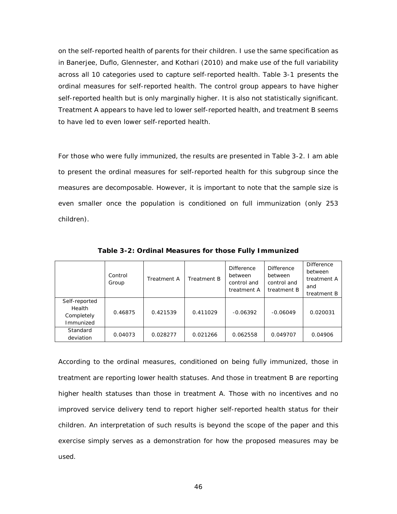on the self-reported health of parents for their children. I use the same specification as in [Banerjee, Duflo, Glennester, and Kothari \(2010\)](#page-95-2) and make use of the full variability across all 10 categories used to capture self-reported health. [Table 3-1](#page-55-1) presents the ordinal measures for self-reported health. The control group appears to have higher self-reported health but is only marginally higher. It is also not statistically significant. Treatment A appears to have led to lower self-reported health, and treatment B seems to have led to even lower self-reported health.

For those who were fully immunized, the results are presented in [Table 3-2.](#page-56-0) I am able to present the ordinal measures for self-reported health for this subgroup since the measures are decomposable. However, it is important to note that the sample size is even smaller once the population is conditioned on full immunization (only 253 children).

<span id="page-56-0"></span>

|                                                    | Control<br>Group | <b>Treatment A</b> | Treatment B | <b>Difference</b><br>between<br>control and<br>treatment A | <b>Difference</b><br>between<br>control and<br>treatment B | <b>Difference</b><br>between<br>treatment A<br>and<br>treatment B |
|----------------------------------------------------|------------------|--------------------|-------------|------------------------------------------------------------|------------------------------------------------------------|-------------------------------------------------------------------|
| Self-reported<br>Health<br>Completely<br>Immunized | 0.46875          | 0.421539           | 0.411029    | $-0.06392$                                                 | $-0.06049$                                                 | 0.020031                                                          |
| Standard<br>deviation                              | 0.04073          | 0.028277           | 0.021266    | 0.062558                                                   | 0.049707                                                   | 0.04906                                                           |

**Table 3-2: Ordinal Measures for those Fully Immunized**

According to the ordinal measures, conditioned on being fully immunized, those in treatment are reporting lower health statuses. And those in treatment B are reporting higher health statuses than those in treatment A. Those with no incentives and no improved service delivery tend to report higher self-reported health status for their children. An interpretation of such results is beyond the scope of the paper and this exercise simply serves as a demonstration for how the proposed measures may be used.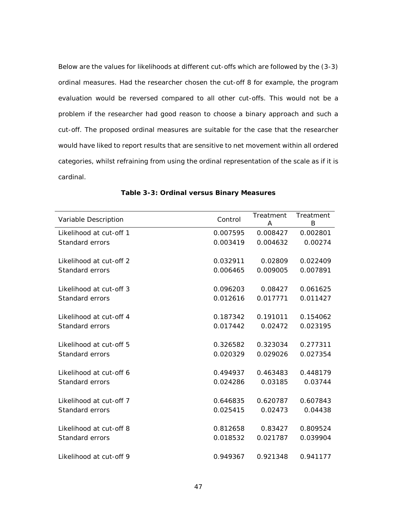Below are the values for likelihoods at different cut-offs which are followed by the (3-3) ordinal measures. Had the researcher chosen the cut-off 8 for example, the program evaluation would be reversed compared to all other cut-offs. This would not be a problem if the researcher had good reason to choose a binary approach and such a cut-off. The proposed ordinal measures are suitable for the case that the researcher would have liked to report results that are sensitive to net movement within all ordered categories, whilst refraining from using the ordinal representation of the scale as if it is cardinal.

| Variable Description    | Control  | Treatment<br>A | Treatment<br>B |
|-------------------------|----------|----------------|----------------|
| Likelihood at cut-off 1 | 0.007595 | 0.008427       | 0.002801       |
| Standard errors         | 0.003419 | 0.004632       | 0.00274        |
|                         | 0.032911 | 0.02809        |                |
| Likelihood at cut-off 2 |          |                | 0.022409       |
| <b>Standard errors</b>  | 0.006465 | 0.009005       | 0.007891       |
| Likelihood at cut-off 3 | 0.096203 | 0.08427        | 0.061625       |
| Standard errors         | 0.012616 | 0.017771       | 0.011427       |
|                         |          |                |                |
| Likelihood at cut-off 4 | 0.187342 | 0.191011       | 0.154062       |
| Standard errors         | 0.017442 | 0.02472        | 0.023195       |
| Likelihood at cut-off 5 | 0.326582 | 0.323034       | 0.277311       |
| Standard errors         | 0.020329 | 0.029026       | 0.027354       |
|                         |          |                |                |
| Likelihood at cut-off 6 | 0.494937 | 0.463483       | 0.448179       |
| Standard errors         | 0.024286 | 0.03185        | 0.03744        |
| Likelihood at cut-off 7 | 0.646835 | 0.620787       | 0.607843       |
| Standard errors         | 0.025415 | 0.02473        | 0.04438        |
|                         |          |                |                |
| Likelihood at cut-off 8 | 0.812658 | 0.83427        | 0.809524       |
| Standard errors         | 0.018532 | 0.021787       | 0.039904       |
| Likelihood at cut-off 9 |          |                |                |
|                         | 0.949367 | 0.921348       | 0.941177       |

**Table 3-3: Ordinal versus Binary Measures**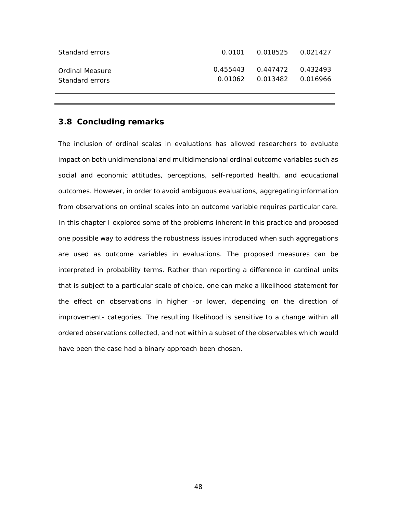| Standard errors                    | 0.0101  0.018525  0.021427       |  |
|------------------------------------|----------------------------------|--|
| Ordinal Measure<br>Standard errors | $0.455443$ $0.447472$ $0.432493$ |  |

## **3.8 Concluding remarks**

The inclusion of ordinal scales in evaluations has allowed researchers to evaluate impact on both unidimensional and multidimensional ordinal outcome variables such as social and economic attitudes, perceptions, self-reported health, and educational outcomes. However, in order to avoid ambiguous evaluations, aggregating information from observations on ordinal scales into an outcome variable requires particular care. In this chapter I explored some of the problems inherent in this practice and proposed one possible way to address the robustness issues introduced when such aggregations are used as outcome variables in evaluations. The proposed measures can be interpreted in probability terms. Rather than reporting a difference in cardinal units that is subject to a particular scale of choice, one can make a likelihood statement for the effect on observations in higher -or lower, depending on the direction of improvement- categories. The resulting likelihood is sensitive to a change within all ordered observations collected, and not within a subset of the observables which would have been the case had a binary approach been chosen.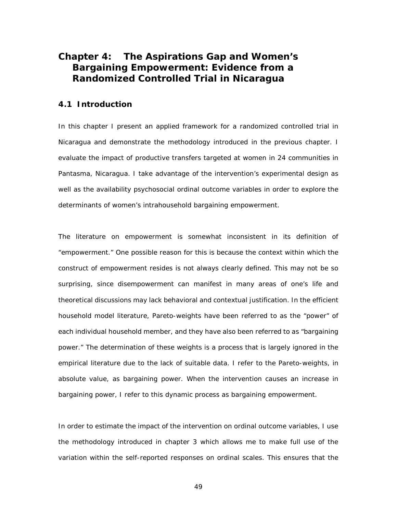# **Chapter 4: The Aspirations Gap and Women's Bargaining Empowerment: Evidence from a Randomized Controlled Trial in Nicaragua**

## **4.1 Introduction**

In this chapter I present an applied framework for a randomized controlled trial in Nicaragua and demonstrate the methodology introduced in the previous chapter. I evaluate the impact of productive transfers targeted at women in 24 communities in Pantasma, Nicaragua. I take advantage of the intervention's experimental design as well as the availability psychosocial ordinal outcome variables in order to explore the determinants of women's intrahousehold bargaining empowerment.

The literature on empowerment is somewhat inconsistent in its definition of "empowerment." One possible reason for this is because the context within which the construct of empowerment resides is not always clearly defined. This may not be so surprising, since disempowerment can manifest in many areas of one's life and theoretical discussions may lack behavioral and contextual justification. In the efficient household model literature, Pareto-weights have been referred to as the "power" of each individual household member, and they have also been referred to as "bargaining power." The determination of these weights is a process that is largely ignored in the empirical literature due to the lack of suitable data. I refer to the Pareto-weights, in absolute value, as bargaining power. When the intervention causes an increase in bargaining power, I refer to this dynamic process as bargaining empowerment.

In order to estimate the impact of the intervention on ordinal outcome variables, I use the methodology introduced in chapter 3 which allows me to make full use of the variation within the self-reported responses on ordinal scales. This ensures that the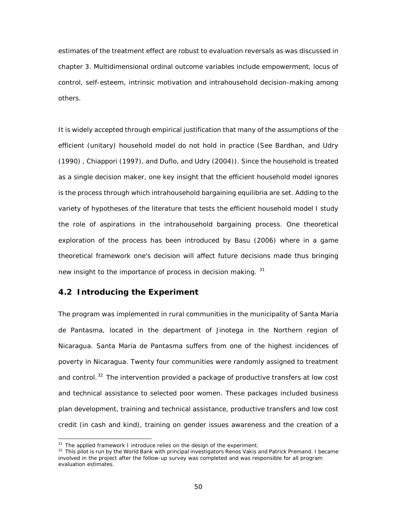estimates of the treatment effect are robust to evaluation reversals as was discussed in chapter 3. Multidimensional ordinal outcome variables include empowerment, locus of control, self-esteem, intrinsic motivation and intrahousehold decision-making among others.

It is widely accepted through empirical justification that many of the assumptions of the efficient (unitary) household model do not hold in practice (See [Bardhan, and Udry](#page-95-3)  [\(1990\)](#page-95-3) , [Chiappori \(1997\)](#page-96-2), and [Duflo, and Udry \(2004\)](#page-97-2)). Since the household is treated as a single decision maker, one key insight that the efficient household model ignores is the process through which intrahousehold bargaining equilibria are set. Adding to the variety of hypotheses of the literature that tests the efficient household model I study the role of aspirations in the intrahousehold bargaining process. One theoretical exploration of the process has been introduced by [Basu \(2006\)](#page-95-4) where in a game theoretical framework one's decision will affect future decisions made thus bringing new insight to the importance of *process* in decision making. [31](#page-60-0)

## **4.2 Introducing the Experiment**

The program was implemented in rural communities in the municipality of Santa Maria de Pantasma, located in the department of Jinotega in the Northern region of Nicaragua. Santa Maria de Pantasma suffers from one of the highest incidences of poverty in Nicaragua. Twenty four communities were randomly assigned to treatment and control.<sup>[32](#page-60-1)</sup> The intervention provided a package of productive transfers at low cost and technical assistance to selected poor women. These packages included business plan development, training and technical assistance, productive transfers and low cost credit (in cash and kind), training on gender issues awareness and the creation of a

<span id="page-60-0"></span><sup>&</sup>lt;sup>31</sup> The applied framework I introduce relies on the design of the experiment.

<span id="page-60-1"></span><sup>&</sup>lt;sup>32</sup> This pilot is run by the World Bank with principal investigators Renos Vakis and Patrick Premand. I became involved in the project after the follow-up survey was completed and was responsible for all program evaluation estimates.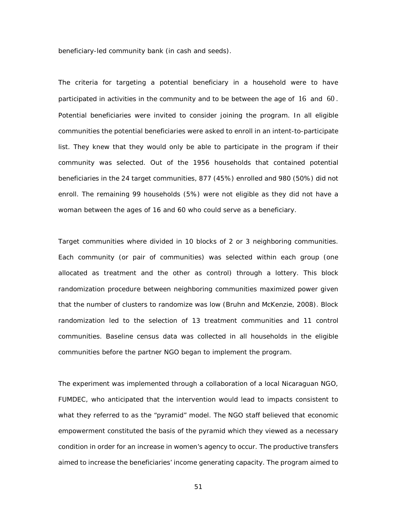beneficiary-led community bank (in cash and seeds).

The criteria for targeting a potential beneficiary in a household were to have participated in activities in the community and to be between the age of 16 and 60 . Potential beneficiaries were invited to consider joining the program. In all eligible communities the potential beneficiaries were asked to enroll in an intent-to-participate list. They knew that they would only be able to participate in the program if their community was selected. Out of the 1956 households that contained potential beneficiaries in the 24 target communities, 877 (45%) enrolled and 980 (50%) did not enroll. The remaining 99 households (5%) were not eligible as they did not have a woman between the ages of 16 and 60 who could serve as a beneficiary.

Target communities where divided in 10 blocks of 2 or 3 neighboring communities. Each community (or pair of communities) was selected within each group (one allocated as treatment and the other as control) through a lottery. This block randomization procedure between neighboring communities maximized power given that the number of clusters to randomize was low (Bruhn and McKenzie, 2008). Block randomization led to the selection of 13 treatment communities and 11 control communities. Baseline census data was collected in all households in the eligible communities before the partner NGO began to implement the program.

The experiment was implemented through a collaboration of a local Nicaraguan NGO, FUMDEC, who anticipated that the intervention would lead to impacts consistent to what they referred to as the "pyramid" model. The NGO staff believed that economic empowerment constituted the basis of the pyramid which they viewed as a necessary condition in order for an increase in women's agency to occur. The productive transfers aimed to increase the beneficiaries' income generating capacity. The program aimed to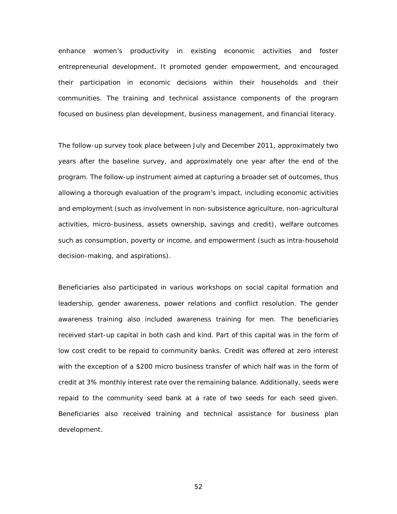enhance women's productivity in existing economic activities and foster entrepreneurial development. It promoted gender empowerment, and encouraged their participation in economic decisions within their households and their communities. The training and technical assistance components of the program focused on business plan development, business management, and financial literacy.

The follow-up survey took place between July and December 2011, approximately two years after the baseline survey, and approximately one year after the end of the program. The follow-up instrument aimed at capturing a broader set of outcomes, thus allowing a thorough evaluation of the program's impact, including economic activities and employment (such as involvement in non-subsistence agriculture, non-agricultural activities, micro-business, assets ownership, savings and credit), welfare outcomes such as consumption, poverty or income, and empowerment (such as intra-household decision-making, and aspirations).

Beneficiaries also participated in various workshops on social capital formation and leadership, gender awareness, power relations and conflict resolution. The gender awareness training also included awareness training for men. The beneficiaries received start-up capital in both cash and kind. Part of this capital was in the form of low cost credit to be repaid to community banks. Credit was offered at zero interest with the exception of a \$200 micro business transfer of which half was in the form of credit at 3% monthly interest rate over the remaining balance. Additionally, seeds were repaid to the community seed bank at a rate of two seeds for each seed given. Beneficiaries also received training and technical assistance for business plan development.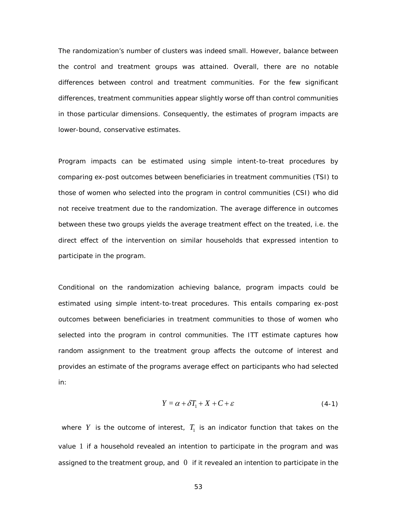The randomization's number of clusters was indeed small. However, balance between the control and treatment groups was attained. Overall, there are no notable differences between control and treatment communities. For the few significant differences, treatment communities appear slightly worse off than control communities in those particular dimensions. Consequently, the estimates of program impacts are lower-bound, conservative estimates.

Program impacts can be estimated using simple intent-to-treat procedures by comparing ex-post outcomes between beneficiaries in treatment communities (TSI) to those of women who selected into the program in control communities (CSI) who did not receive treatment due to the randomization. The average difference in outcomes between these two groups yields the average treatment effect on the treated, i.e. the direct effect of the intervention on similar households that expressed intention to participate in the program.

Conditional on the randomization achieving balance, program impacts could be estimated using simple intent-to-treat procedures. This entails comparing ex-post outcomes between beneficiaries in treatment communities to those of women who selected into the program in control communities. The ITT estimate captures how random assignment to the treatment group affects the outcome of interest and provides an estimate of the programs average effect on participants who had selected in:

$$
Y = \alpha + \delta T_1 + X + C + \varepsilon \tag{4-1}
$$

where *Y* is the outcome of interest,  $T_1$  is an indicator function that takes on the value 1 if a household revealed an intention to participate in the program and was assigned to the treatment group, and  $\theta$  if it revealed an intention to participate in the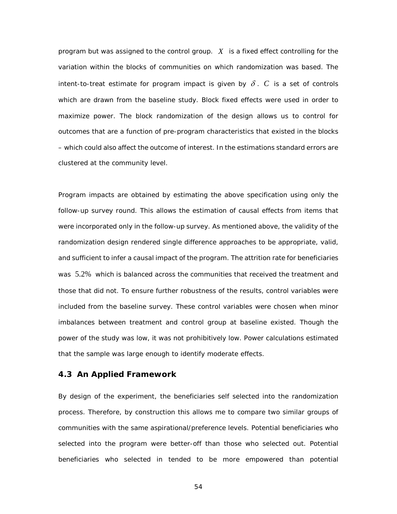program but was assigned to the control group. *X* is a fixed effect controlling for the variation within the blocks of communities on which randomization was based. The intent-to-treat estimate for program impact is given by  $\delta$ . C is a set of controls which are drawn from the baseline study. Block fixed effects were used in order to maximize power. The block randomization of the design allows us to control for outcomes that are a function of pre-program characteristics that existed in the blocks – which could also affect the outcome of interest. In the estimations standard errors are clustered at the community level.

Program impacts are obtained by estimating the above specification using only the follow-up survey round. This allows the estimation of causal effects from items that were incorporated only in the follow-up survey. As mentioned above, the validity of the randomization design rendered single difference approaches to be appropriate, valid, and sufficient to infer a causal impact of the program. The attrition rate for beneficiaries was 5.2% which is balanced across the communities that received the treatment and those that did not. To ensure further robustness of the results, control variables were included from the baseline survey. These control variables were chosen when minor imbalances between treatment and control group at baseline existed. Though the power of the study was low, it was not prohibitively low. Power calculations estimated that the sample was large enough to identify moderate effects.

## **4.3 An Applied Framework**

By design of the experiment, the beneficiaries self selected into the randomization process. Therefore, by construction this allows me to compare two similar groups of communities with the same aspirational/preference levels. Potential beneficiaries who selected into the program were better-off than those who selected out. Potential beneficiaries who selected in tended to be more empowered than potential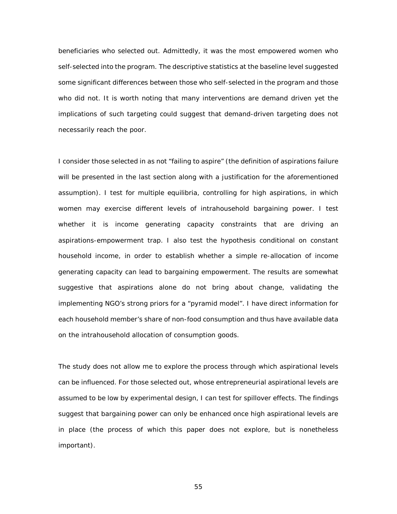beneficiaries who selected out. Admittedly, it was the most empowered women who self-selected into the program. The descriptive statistics at the baseline level suggested some significant differences between those who self-selected in the program and those who did not. It is worth noting that many interventions are demand driven yet the implications of such targeting could suggest that demand-driven targeting does not necessarily reach the poor.

I consider those selected in as not "failing to aspire" (the definition of aspirations failure will be presented in the last section along with a justification for the aforementioned assumption). I test for multiple equilibria, controlling for high aspirations, in which women may exercise different levels of intrahousehold bargaining power. I test whether it is income generating capacity constraints that are driving an aspirations-empowerment trap. I also test the hypothesis conditional on constant household income, in order to establish whether a simple re-allocation of income generating capacity can lead to bargaining empowerment. The results are somewhat suggestive that aspirations alone do not bring about change, validating the implementing NGO's strong priors for a "pyramid model". I have direct information for each household member's share of non-food consumption and thus have available data on the intrahousehold allocation of consumption goods.

The study does not allow me to explore the process through which aspirational levels can be influenced. For those selected out, whose entrepreneurial aspirational levels are assumed to be low by experimental design, I can test for spillover effects. The findings suggest that bargaining power can only be enhanced once high aspirational levels are in place (the process of which this paper does not explore, but is nonetheless important).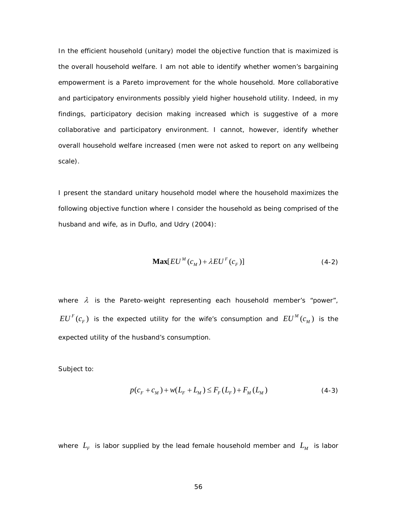In the efficient household (unitary) model the objective function that is maximized is the overall household welfare. I am not able to identify whether women's bargaining empowerment is a Pareto improvement for the whole household. More collaborative and participatory environments possibly yield higher household utility. Indeed, in my findings, participatory decision making increased which is suggestive of a more collaborative and participatory environment. I cannot, however, identify whether overall household welfare increased (men were not asked to report on any wellbeing scale).

I present the standard unitary household model where the household maximizes the following objective function where I consider the household as being comprised of the husband and wife, as in [Duflo, and Udry \(2004\)](#page-97-2):

$$
\mathbf{Max}[EU^M(c_M) + \lambda EU^F(c_F)] \tag{4-2}
$$

where  $\lambda$  is the Pareto-weight representing each household member's "power",  $EU<sup>F</sup>(c<sub>F</sub>)$  is the expected utility for the wife's consumption and  $EU<sup>M</sup>(c<sub>M</sub>)$  is the expected utility of the husband's consumption.

Subject to:

$$
p(c_F + c_M) + w(L_F + L_M) \le F_F(L_F) + F_M(L_M)
$$
\n(4-3)

where  $L_F$  is labor supplied by the lead female household member and  $L_M$  is labor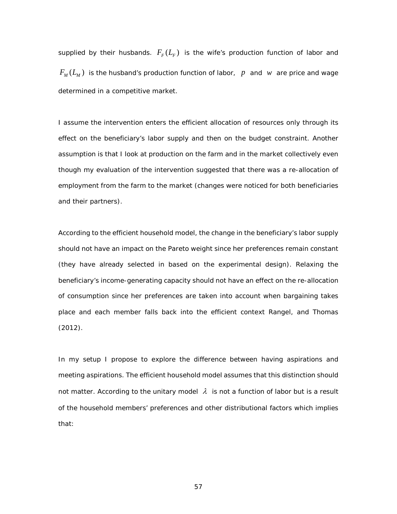supplied by their husbands.  $F_F(L_F)$  is the wife's production function of labor and  $F_M(L_M)$  is the husband's production function of labor, p and w are price and wage determined in a competitive market.

I assume the intervention enters the efficient allocation of resources only through its effect on the beneficiary's labor supply and then on the budget constraint. Another assumption is that I look at production on the farm and in the market collectively even though my evaluation of the intervention suggested that there was a re-allocation of employment from the farm to the market (changes were noticed for both beneficiaries and their partners).

According to the efficient household model, the change in the beneficiary's labor supply should not have an impact on the Pareto weight since her preferences remain constant (they have already selected in based on the experimental design). Relaxing the beneficiary's income-generating capacity should not have an effect on the re-allocation of consumption since her preferences are taken into account when bargaining takes place and each member falls back into the efficient context [Rangel, and Thomas](#page-99-2)  [\(2012\)](#page-99-2).

In my setup I propose to explore the difference between *having aspirations* and *meeting aspirations*. The efficient household model assumes that this distinction should not matter. According to the unitary model  $\lambda$  is not a function of labor but is a result of the household members' preferences and other distributional factors which implies that: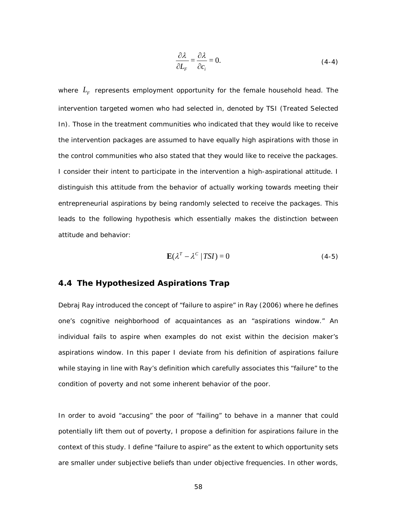$$
\frac{\partial \lambda}{\partial L_F} = \frac{\partial \lambda}{\partial c_i} = 0.
$$
 (4-4)

where  $L_F$  represents employment opportunity for the female household head. The intervention targeted women who had selected in, denoted by TSI (Treated Selected In). Those in the treatment communities who indicated that they would like to receive the intervention packages are assumed to have equally high aspirations with those in the control communities who also stated that they would like to receive the packages. I consider their intent to participate in the intervention a high-aspirational attitude. I distinguish this attitude from the behavior of actually working towards meeting their entrepreneurial aspirations by being randomly selected to receive the packages. This leads to the following hypothesis which essentially makes the distinction between attitude and behavior:

$$
\mathbf{E}(\lambda^T - \lambda^C | TSI) = 0 \tag{4-5}
$$

## **4.4 The Hypothesized Aspirations Trap**

Debraj Ray introduced the concept of "failure to aspire" in [Ray \(2006\)](#page-99-3) where he defines one's cognitive neighborhood of acquaintances as an "aspirations window." An individual fails to aspire when examples do not exist within the decision maker's aspirations window. In this paper I deviate from his definition of aspirations failure while staying in line with Ray's definition which carefully associates this "failure" to the condition of poverty and not some inherent behavior of the poor.

In order to avoid "accusing" the poor of "failing" to behave in a manner that could potentially lift them out of poverty, I propose a definition for aspirations failure in the context of this study. I define "failure to aspire" as the extent to which opportunity sets are smaller under subjective beliefs than under objective frequencies. In other words,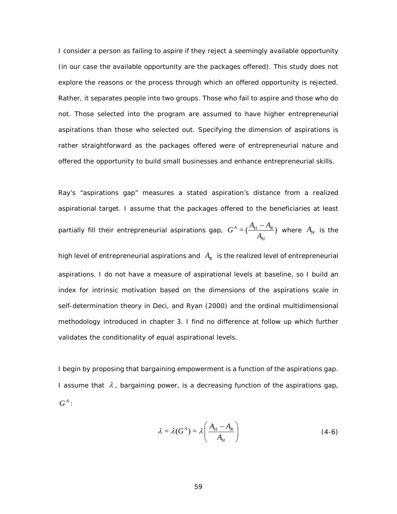I consider a person as failing to aspire if they reject a *seemingly* available opportunity (in our case the available opportunity are the packages offered). This study does not explore the reasons or the process through which an offered opportunity is rejected. Rather, it separates people into two groups. Those who fail to aspire and those who do not. Those selected into the program are assumed to have higher entrepreneurial aspirations than those who selected out. Specifying the dimension of aspirations is rather straightforward as the packages offered were of entrepreneurial nature and offered the opportunity to build small businesses and enhance entrepreneurial skills.

Ray's "aspirations gap" measures a stated aspiration's distance from a realized aspirational target. I assume that the packages offered to the beneficiaries at least partially fill their entrepreneurial aspirations gap,  $G^A = (\frac{A_H - A_R}{A_H})$ *H*  $G^{A} = (\frac{A_{H} - A_{H}}{A_{H}})$  $\frac{-A_R}{A_H}$ ) where  $A_H$  is the

high level of entrepreneurial aspirations and  $A_R$  is the realized level of entrepreneurial aspirations. I do not have a measure of aspirational levels at baseline, so I build an index for intrinsic motivation based on the dimensions of the aspirations scale in self-determination theory in [Deci, and Ryan \(2000\)](#page-96-3) and the ordinal multidimensional methodology introduced in chapter 3. I find no difference at follow up which further validates the conditionality of equal aspirational levels.

I begin by proposing that bargaining empowerment is a function of the aspirations gap. I assume that  $\lambda$ , bargaining power, is a decreasing function of the aspirations gap,  $G^A$  :

$$
\lambda = \lambda(G^A) = \lambda \left(\frac{A_H - A_R}{A_H}\right) \tag{4-6}
$$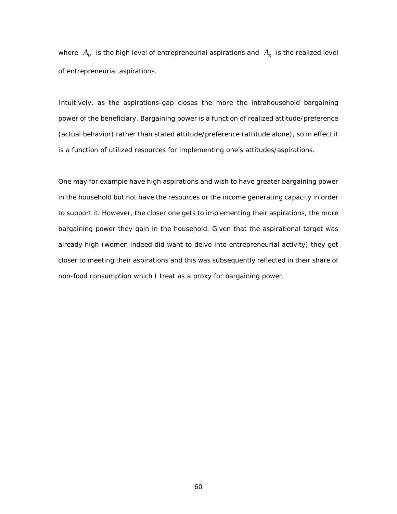where  $A_H$  is the high level of entrepreneurial aspirations and  $A_R$  is the realized level of entrepreneurial aspirations.

Intuitively, as the aspirations-gap closes the more the intrahousehold bargaining power of the beneficiary. Bargaining power is a function of *realized attitude/preference* (actual behavior) rather than *stated attitude/preference* (attitude alone), so in effect it is a function of utilized resources for implementing one's attitudes/aspirations.

One may for example have high aspirations and wish to have greater bargaining power in the household but not have the resources or the income generating capacity in order to support it. However, the closer one gets to implementing their aspirations, the more bargaining power they gain in the household. Given that the aspirational target was already high (women indeed did want to delve into entrepreneurial activity) they got closer to meeting their aspirations and this was subsequently reflected in their share of non-food consumption which I treat as a proxy for bargaining power.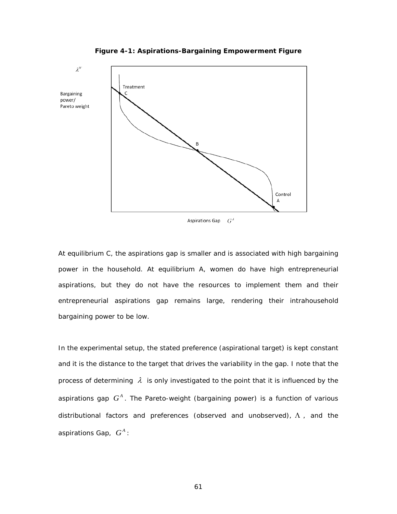

**Figure 4-1: Aspirations-Bargaining Empowerment Figure**

At equilibrium C, the aspirations gap is smaller and is associated with high bargaining power in the household. At equilibrium A, women do have high entrepreneurial aspirations, but they do not have the resources to implement them and their entrepreneurial aspirations gap remains large, rendering their intrahousehold bargaining power to be low.

In the experimental setup, the stated preference (aspirational target) is kept constant and it is the distance to the target that drives the variability in the gap. I note that the process of determining  $\lambda$  is only investigated to the point that it is influenced by the aspirations gap  $G^A$ . The Pareto-weight (bargaining power) is a function of various distributional factors and preferences (observed and unobserved),  $\Lambda$ , and the aspirations Gap,  $G^A$ :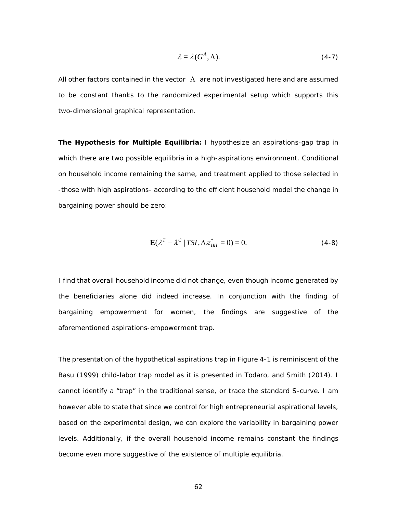$$
\lambda = \lambda(G^A, \Lambda). \tag{4-7}
$$

All other factors contained in the vector  $\Lambda$  are not investigated here and are assumed to be constant thanks to the randomized experimental setup which supports this two-dimensional graphical representation.

**The Hypothesis for Multiple Equilibria:** I hypothesize an aspirations-gap trap in which there are two possible equilibria in a high-aspirations environment. Conditional on household income remaining the same, and treatment applied to those selected in -those with high aspirations- according to the efficient household model the change in bargaining power should be zero:

$$
\mathbf{E}(\lambda^T - \lambda^C \mid TSI, \Delta \pi_{HH}^* = 0) = 0. \tag{4-8}
$$

I find that overall household income did not change, even though income generated by the beneficiaries alone did indeed increase. In conjunction with the finding of bargaining empowerment for women, the findings are suggestive of the aforementioned aspirations-empowerment trap.

The presentation of the hypothetical aspirations trap in [Figure 4-1](#page-71-0) is reminiscent of the [Basu \(1999\)](#page-95-0) child-labor trap model as it is presented in [Todaro, and Smith \(2014\)](#page-99-0). I cannot identify a "trap" in the traditional sense, or trace the standard S-curve. I am however able to state that since we control for high entrepreneurial aspirational levels, based on the experimental design, we can explore the variability in bargaining power levels. Additionally, if the overall household income remains constant the findings become even more suggestive of the existence of multiple equilibria.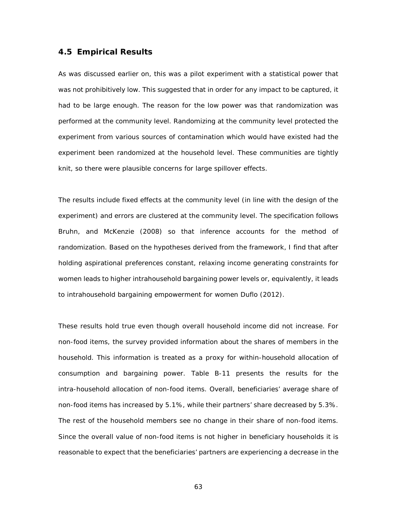#### **4.5 Empirical Results**

As was discussed earlier on, this was a pilot experiment with a statistical power that was not prohibitively low. This suggested that in order for any impact to be captured, it had to be large enough. The reason for the low power was that randomization was performed at the community level. Randomizing at the community level protected the experiment from various sources of contamination which would have existed had the experiment been randomized at the household level. These communities are tightly knit, so there were plausible concerns for large spillover effects.

The results include fixed effects at the community level (in line with the design of the experiment) and errors are clustered at the community level. The specification follows [Bruhn, and McKenzie \(2008\)](#page-96-0) so that inference accounts for the method of randomization. Based on the hypotheses derived from the framework, I find that after holding aspirational preferences constant, relaxing income generating constraints for women leads to higher intrahousehold bargaining power levels or, equivalently, it leads to intrahousehold bargaining empowerment for women [Duflo \(2012\)](#page-97-0).

These results hold true even though overall household income did not increase. For non-food items, the survey provided information about the shares of members in the household. This information is treated as a proxy for within-household allocation of consumption and bargaining power. [Table B-11](#page-110-0) presents the results for the intra-household allocation of non-food items. Overall, beneficiaries' average share of non-food items has increased by 5.1%, while their partners' share decreased by 5.3%. The rest of the household members see no change in their share of non-food items. Since the overall value of non-food items is not higher in beneficiary households it is reasonable to expect that the beneficiaries' partners are experiencing a decrease in the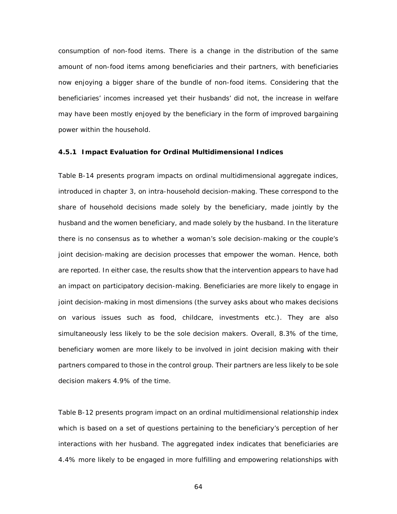consumption of non-food items. There is a change in the distribution of the same amount of non-food items among beneficiaries and their partners, with beneficiaries now enjoying a bigger share of the bundle of non-food items. Considering that the beneficiaries' incomes increased yet their husbands' did not, the increase in welfare may have been mostly enjoyed by the beneficiary in the form of improved bargaining power within the household.

#### **4.5.1 Impact Evaluation for Ordinal Multidimensional Indices**

[Table B-14](#page-112-0) presents program impacts on ordinal multidimensional aggregate indices, introduced in chapter 3, on intra-household decision-making. These correspond to the share of household decisions made solely by the beneficiary, made jointly by the husband and the women beneficiary, and made solely by the husband. In the literature there is no consensus as to whether a woman's sole decision-making or the couple's joint decision-making are decision processes that empower the woman. Hence, both are reported. In either case, the results show that the intervention appears to have had an impact on participatory decision-making. Beneficiaries are more likely to engage in joint decision-making in most dimensions (the survey asks about who makes decisions on various issues such as food, childcare, investments etc.). They are also simultaneously less likely to be the sole decision makers. Overall, 8.3% of the time, beneficiary women are more likely to be involved in joint decision making with their partners compared to those in the control group. Their partners are less likely to be sole decision makers 4.9% of the time.

[Table](#page-111-0) B-12 presents program impact on an ordinal multidimensional relationship index which is based on a set of questions pertaining to the beneficiary's perception of her interactions with her husband. The aggregated index indicates that beneficiaries are 4.4% more likely to be engaged in more fulfilling and empowering relationships with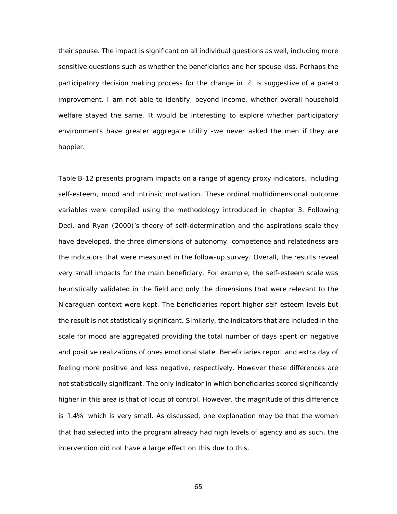their spouse. The impact is significant on all individual questions as well, including more sensitive questions such as whether the beneficiaries and her spouse kiss. Perhaps the participatory decision making process for the change in  $\lambda$  is suggestive of a pareto improvement. I am not able to identify, beyond income, whether overall household welfare stayed the same. It would be interesting to explore whether participatory environments have greater aggregate utility -we never asked the men if they are happier.

[Table B-12](#page-111-0) presents program impacts on a range of agency proxy indicators, including self-esteem, mood and intrinsic motivation. These ordinal multidimensional outcome variables were compiled using the methodology introduced in chapter 3. Following [Deci, and Ryan \(2000\)](#page-96-1)'s theory of self-determination and the aspirations scale they have developed, the three dimensions of autonomy, competence and relatedness are the indicators that were measured in the follow-up survey. Overall, the results reveal very small impacts for the main beneficiary. For example, the self-esteem scale was heuristically validated in the field and only the dimensions that were relevant to the Nicaraguan context were kept. The beneficiaries report higher self-esteem levels but the result is not statistically significant. Similarly, the indicators that are included in the scale for mood are aggregated providing the total number of days spent on negative and positive realizations of ones emotional state. Beneficiaries report and extra day of feeling more positive and less negative, respectively. However these differences are not statistically significant. The only indicator in which beneficiaries scored significantly higher in this area is that of locus of control. However, the magnitude of this difference is 1.4% which is very small. As discussed, one explanation may be that the women that had selected into the program already had high levels of agency and as such, the intervention did not have a large effect on this due to this.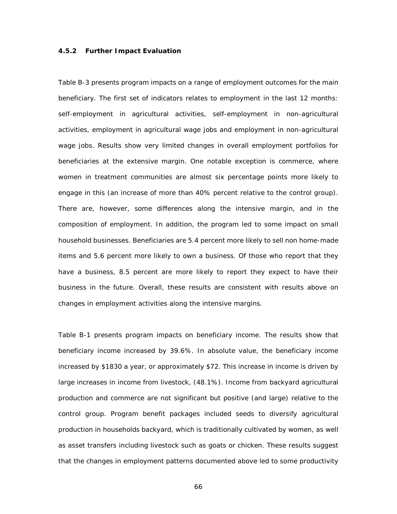#### **4.5.2 Further Impact Evaluation**

[Table](#page-104-0) B-3 presents program impacts on a range of employment outcomes for the main beneficiary. The first set of indicators relates to employment in the last 12 months: self-employment in agricultural activities, self-employment in non-agricultural activities, employment in agricultural wage jobs and employment in non-agricultural wage jobs. Results show very limited changes in overall employment portfolios for beneficiaries at the extensive margin. One notable exception is commerce, where women in treatment communities are almost six percentage points more likely to engage in this (an increase of more than 40% percent relative to the control group). There are, however, some differences along the intensive margin, and in the composition of employment. In addition, the program led to some impact on small household businesses. Beneficiaries are 5.4 percent more likely to sell non home-made items and 5.6 percent more likely to own a business. Of those who report that they have a business, 8.5 percent are more likely to report they expect to have their business in the future. Overall, these results are consistent with results above on changes in employment activities along the intensive margins.

[Table B-1](#page-102-0) presents program impacts on beneficiary income. The results show that beneficiary income increased by 39.6%. In absolute value, the beneficiary income increased by \$1830 a year, or approximately \$72. This increase in income is driven by large increases in income from livestock, (48.1%). Income from backyard agricultural production and commerce are not significant but positive (and large) relative to the control group. Program benefit packages included seeds to diversify agricultural production in households backyard, which is traditionally cultivated by women, as well as asset transfers including livestock such as goats or chicken. These results suggest that the changes in employment patterns documented above led to some productivity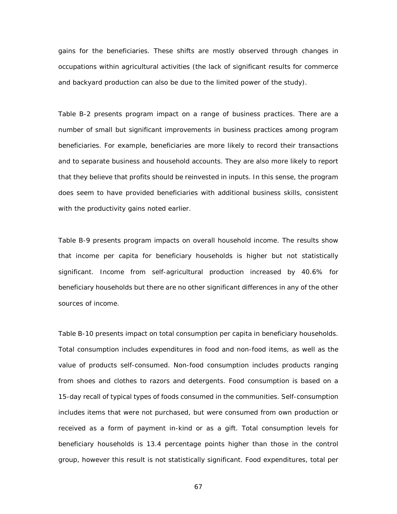gains for the beneficiaries. These shifts are mostly observed through changes in occupations within agricultural activities (the lack of significant results for commerce and backyard production can also be due to the limited power of the study).

[Table B-2](#page-102-1) presents program impact on a range of business practices. There are a number of small but significant improvements in business practices among program beneficiaries. For example, beneficiaries are more likely to record their transactions and to separate business and household accounts. They are also more likely to report that they believe that profits should be reinvested in inputs. In this sense, the program does seem to have provided beneficiaries with additional business skills, consistent with the productivity gains noted earlier.

[Table B-9](#page-109-0) presents program impacts on overall household income. The results show that income per capita for beneficiary households is higher but not statistically significant. Income from self-agricultural production increased by 40.6% for beneficiary households but there are no other significant differences in any of the other sources of income.

[Table B-10](#page-110-1) presents impact on total consumption per capita in beneficiary households. Total consumption includes expenditures in food and non-food items, as well as the value of products self-consumed. Non-food consumption includes products ranging from shoes and clothes to razors and detergents. Food consumption is based on a 15-day recall of typical types of foods consumed in the communities. Self-consumption includes items that were not purchased, but were consumed from own production or received as a form of payment in-kind or as a gift. Total consumption levels for beneficiary households is 13.4 percentage points higher than those in the control group, however this result is not statistically significant. Food expenditures, total per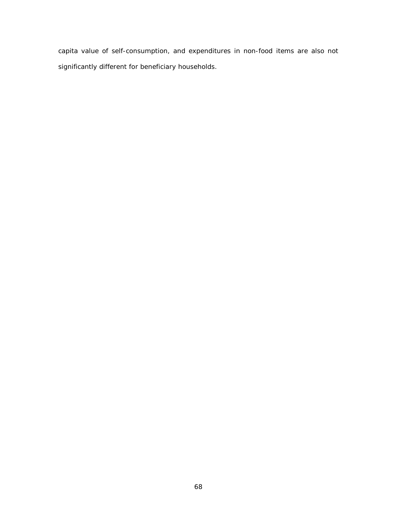capita value of self-consumption, and expenditures in non-food items are also not significantly different for beneficiary households.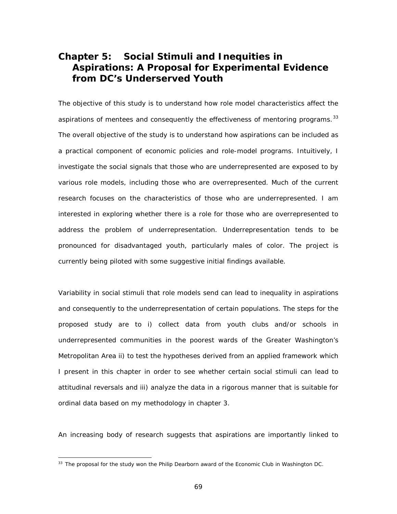# **Chapter 5: Social Stimuli and Inequities in Aspirations: A Proposal for Experimental Evidence from DC's Underserved Youth**

The objective of this study is to understand how role model characteristics affect the aspirations of mentees and consequently the effectiveness of mentoring programs.  $33$ The overall objective of the study is to understand how aspirations can be included as a practical component of economic policies and role-model programs. Intuitively, I investigate the social signals that those who are underrepresented are exposed to by various role models, including those who are overrepresented. Much of the current research focuses on the characteristics of those who are underrepresented. I am interested in exploring whether there is a role for those who are overrepresented to address the problem of underrepresentation. Underrepresentation tends to be pronounced for disadvantaged youth, particularly males of color. The project is currently being piloted with some suggestive initial findings available.

Variability in social stimuli that role models send can lead to inequality in aspirations and consequently to the underrepresentation of certain populations. The steps for the proposed study are to i) collect data from youth clubs and/or schools in underrepresented communities in the poorest wards of the Greater Washington's Metropolitan Area ii) to test the hypotheses derived from an applied framework which I present in this chapter in order to see whether certain social stimuli can lead to attitudinal reversals and iii) analyze the data in a rigorous manner that is suitable for ordinal data based on my methodology in chapter 3.

An increasing body of research suggests that aspirations are importantly linked to

<span id="page-79-0"></span><sup>&</sup>lt;sup>33</sup> The proposal for the study won the Philip Dearborn award of the Economic Club in Washington DC.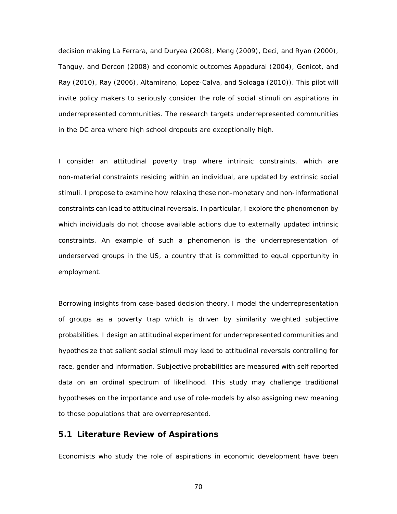decision making [La Ferrara, and Duryea \(2008\)](#page-98-0), [Meng \(2009\)](#page-99-1), [Deci, and Ryan \(2000\)](#page-96-1), [Tanguy, and Dercon \(2008\)](#page-99-2) and economic outcomes [Appadurai \(2004\)](#page-95-1), [Genicot, and](#page-97-1)  [Ray \(2010\)](#page-97-1), [Ray \(2006\)](#page-99-3), [Altamirano, Lopez-Calva, and Soloaga \(2010\)](#page-95-2)). This pilot will invite policy makers to seriously consider the role of social stimuli on aspirations in underrepresented communities. The research targets underrepresented communities in the DC area where high school dropouts are exceptionally high.

I consider an attitudinal poverty trap where intrinsic constraints, which are non-material constraints residing within an individual, are updated by extrinsic social stimuli. I propose to examine how relaxing these non-monetary and non-informational constraints can lead to attitudinal reversals. In particular, I explore the phenomenon by which individuals do not choose available actions due to externally updated intrinsic constraints. An example of such a phenomenon is the underrepresentation of underserved groups in the US, a country that is committed to equal opportunity in employment.

Borrowing insights from case-based decision theory, I model the underrepresentation of groups as a poverty trap which is driven by similarity weighted subjective probabilities. I design an attitudinal experiment for underrepresented communities and hypothesize that salient social stimuli may lead to attitudinal reversals controlling for race, gender and information. Subjective probabilities are measured with self reported data on an ordinal spectrum of likelihood. This study may challenge traditional hypotheses on the importance and use of role-models by also assigning new meaning to those populations that are overrepresented.

#### **5.1 Literature Review of Aspirations**

Economists who study the role of aspirations in economic development have been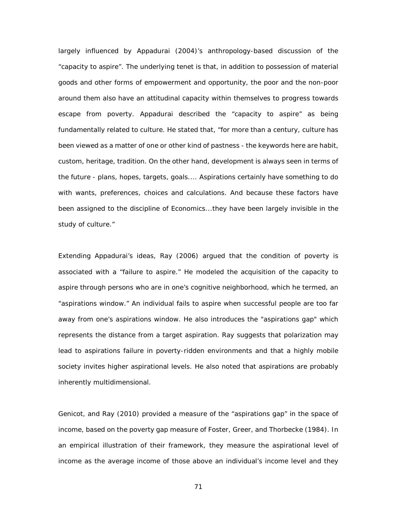largely influenced by [Appadurai \(2004\)](#page-95-1)'s anthropology-based discussion of the "capacity to aspire". The underlying tenet is that, in addition to possession of material goods and other forms of empowerment and opportunity, the poor and the non-poor around them also have an attitudinal capacity within themselves to progress towards escape from poverty. Appadurai described the "capacity to aspire" as being fundamentally related to culture. He stated that, "for more than a century, culture has been viewed as a matter of one or other kind of pastness - the keywords here are habit, custom, heritage, tradition. On the other hand, development is always seen in terms of the future - plans, hopes, targets, goals.... Aspirations certainly have something to do with wants, preferences, choices and calculations. And because these factors have been assigned to the discipline of Economics...they have been largely invisible in the study of culture."

Extending Appadurai's ideas, [Ray \(2006\)](#page-99-3) argued that the condition of poverty is associated with a "failure to aspire." He modeled the acquisition of the capacity to aspire through persons who are in one's cognitive neighborhood, which he termed, an "aspirations window." An individual fails to aspire when successful people are too far away from one's aspirations window. He also introduces the "aspirations gap" which represents the distance from a target aspiration. Ray suggests that polarization may lead to aspirations failure in poverty-ridden environments and that a highly mobile society invites higher aspirational levels. He also noted that aspirations are probably inherently multidimensional.

[Genicot, and Ray \(2010\)](#page-97-1) provided a measure of the "aspirations gap" in the space of income, based on the poverty gap measure of [Foster, Greer, and Thorbecke \(1984\)](#page-97-2). In an empirical illustration of their framework, they measure the aspirational level of income as the average income of those above an individual's income level and they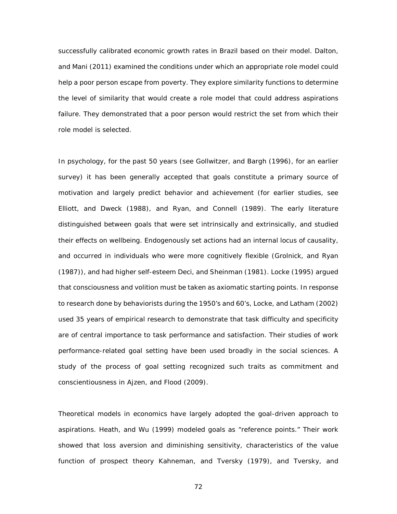successfully calibrated economic growth rates in Brazil based on their model. [Dalton,](#page-96-2)  [and Mani \(2011\)](#page-96-2) examined the conditions under which an appropriate role model could help a poor person escape from poverty. They explore similarity functions to determine the level of similarity that would create a role model that could address aspirations failure. They demonstrated that a poor person would restrict the set from which their role model is selected.

In psychology, for the past 50 years (see [Gollwitzer, and Bargh \(1996\)](#page-97-3), for an earlier survey) it has been generally accepted that goals constitute a primary source of motivation and largely predict behavior and achievement (for earlier studies, see [Elliott, and Dweck \(1988\)](#page-97-4), and [Ryan, and Connell \(1989\)](#page-99-4). The early literature distinguished between goals that were set intrinsically and extrinsically, and studied their effects on wellbeing. Endogenously set actions had an internal locus of causality, and occurred in individuals who were more cognitively flexible [\(Grolnick, and Ryan](#page-97-5)  [\(1987\)](#page-97-5)), and had higher self-esteem [Deci, and Sheinman \(1981\)](#page-96-3). [Locke \(1995\)](#page-98-1) argued that consciousness and volition must be taken as axiomatic starting points. In response to research done by behaviorists during the 1950's and 60's, [Locke, and Latham \(2002\)](#page-98-2) used 35 years of empirical research to demonstrate that task difficulty and specificity are of central importance to task performance and satisfaction. Their studies of work performance-related goal setting have been used broadly in the social sciences. A study of the process of goal setting recognized such traits as commitment and conscientiousness in [Ajzen, and Flood \(2009\)](#page-95-3).

Theoretical models in economics have largely adopted the goal-driven approach to aspirations. [Heath, and Wu \(1999\)](#page-98-3) modeled goals as "reference points." Their work showed that loss aversion and diminishing sensitivity, characteristics of the value function of prospect theory [Kahneman, and Tversky \(1979\)](#page-98-4), and [Tversky, and](#page-99-5)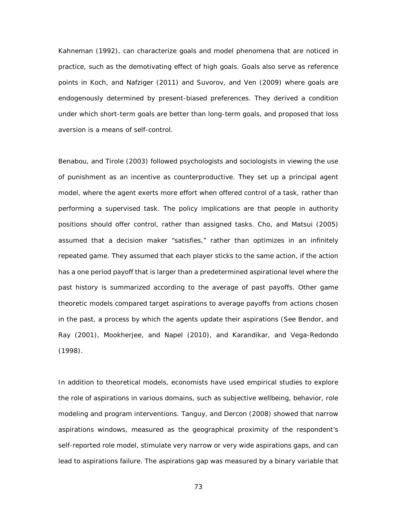[Kahneman \(1992\)](#page-99-5), can characterize goals and model phenomena that are noticed in practice, such as the demotivating effect of high goals. Goals also serve as reference points in Koch, [and Nafziger \(2011\)](#page-98-5) and [Suvorov, and Ven \(2009\)](#page-99-6) where goals are endogenously determined by present-biased preferences. They derived a condition under which short-term goals are better than long-term goals, and proposed that loss aversion is a means of self-control.

[Benabou, and Tirole \(2003\)](#page-95-4) followed psychologists and sociologists in viewing the use of punishment as an incentive as counterproductive. They set up a principal agent model, where the agent exerts more effort when offered control of a task, rather than performing a supervised task. The policy implications are that people in authority positions should offer control, rather than assigned tasks. [Cho, and Matsui \(2005\)](#page-96-4) assumed that a decision maker "satisfies," rather than optimizes in an infinitely repeated game. They assumed that each player sticks to the same action, if the action has a one period payoff that is larger than a predetermined aspirational level where the past history is summarized according to the average of past payoffs. Other game theoretic models compared target aspirations to average payoffs from actions chosen in the past, a process by which the agents update their aspirations (See [Bendor, and](#page-96-5)  [Ray \(2001\)](#page-96-5), [Mookherjee, and Napel \(2010\)](#page-99-7), and [Karandikar, and Vega-Redondo](#page-98-6)  [\(1998\)](#page-98-6).

In addition to theoretical models, economists have used empirical studies to explore the role of aspirations in various domains, such as subjective wellbeing, behavior, role modeling and program interventions. [Tanguy, and Dercon \(2008\)](#page-99-2) showed that narrow aspirations windows, measured as the geographical proximity of the respondent's self-reported role model, stimulate very narrow or very wide aspirations gaps, and can lead to aspirations failure. The aspirations gap was measured by a binary variable that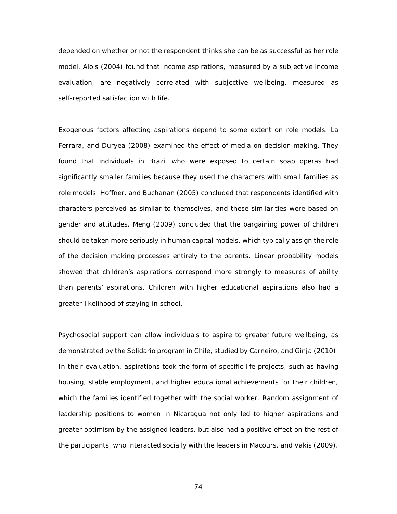depended on whether or not the respondent thinks she can be as successful as her role model. [Alois \(2004\)](#page-95-5) found that income aspirations, measured by a subjective income evaluation, are negatively correlated with subjective wellbeing, measured as self-reported satisfaction with life.

Exogenous factors affecting aspirations depend to some extent on role models. [La](#page-98-0)  [Ferrara, and Duryea \(2008\)](#page-98-0) examined the effect of media on decision making. They found that individuals in Brazil who were exposed to certain soap operas had significantly smaller families because they used the characters with small families as role models. [Hoffner, and Buchanan \(2005\)](#page-98-7) concluded that respondents identified with characters perceived as similar to themselves, and these similarities were based on gender and attitudes. [Meng \(2009\)](#page-99-1) concluded that the bargaining power of children should be taken more seriously in human capital models, which typically assign the role of the decision making processes entirely to the parents. Linear probability models showed that children's aspirations correspond more strongly to measures of ability than parents' aspirations. Children with higher educational aspirations also had a greater likelihood of staying in school.

Psychosocial support can allow individuals to aspire to greater future wellbeing, as demonstrated by the Solidario program in Chile, studied by [Carneiro, and Ginja \(2010\)](#page-96-6). In their evaluation, aspirations took the form of specific life projects, such as having housing, stable employment, and higher educational achievements for their children, which the families identified together with the social worker. Random assignment of leadership positions to women in Nicaragua not only led to higher aspirations and greater optimism by the assigned leaders, but also had a positive effect on the rest of the participants, who interacted socially with the leaders in [Macours, and Vakis \(2009\)](#page-98-8).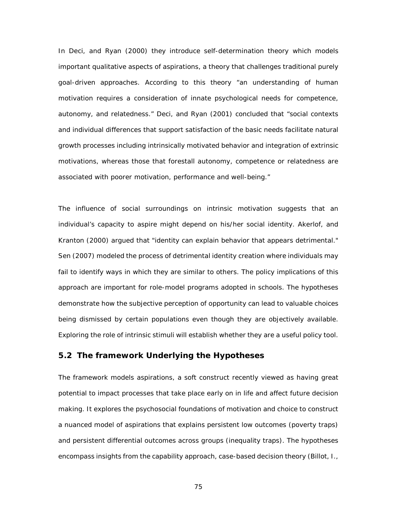In [Deci, and Ryan \(2000\)](#page-96-1) they introduce self-determination theory which models important qualitative aspects of aspirations, a theory that challenges traditional purely goal-driven approaches. According to this theory "an understanding of human motivation requires a consideration of innate psychological needs for competence, autonomy, and relatedness." [Deci, and Ryan \(2001\)](#page-97-6) concluded that "social contexts and individual differences that support satisfaction of the basic needs facilitate natural growth processes including intrinsically motivated behavior and integration of extrinsic motivations, whereas those that forestall autonomy, competence or relatedness are associated with poorer motivation, performance and well-being."

The influence of social surroundings on intrinsic motivation suggests that an individual's capacity to aspire might depend on his/her social identity. [Akerlof, and](#page-95-6)  [Kranton \(2000\)](#page-95-6) argued that "identity can explain behavior that appears detrimental." [Sen \(2007\)](#page-99-8) modeled the process of detrimental identity creation where individuals may fail to identify ways in which they are similar to others. The policy implications of this approach are important for role-model programs adopted in schools. The hypotheses demonstrate how the subjective perception of opportunity can lead to valuable choices being dismissed by certain populations even though they are objectively available. Exploring the role of intrinsic stimuli will establish whether they are a useful policy tool.

#### **5.2 The framework Underlying the Hypotheses**

The framework models aspirations, a soft construct recently viewed as having great potential to impact processes that take place early on in life and affect future decision making. It explores the psychosocial foundations of motivation and choice to construct a nuanced model of aspirations that explains persistent low outcomes (poverty traps) and persistent differential outcomes across groups (inequality traps). The hypotheses encompass insights from the capability approach, case-based decision theory [\(Billot, I.,](#page-96-7)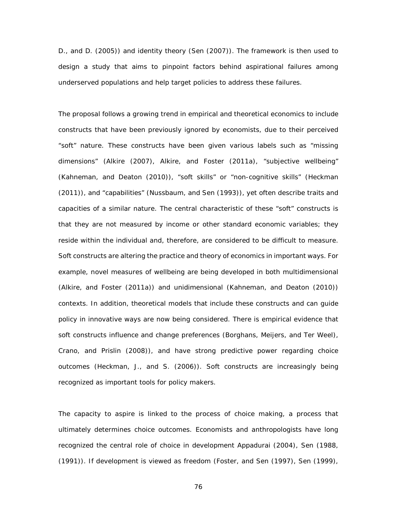[D., and D. \(2005\)](#page-96-7)) and identity theory (Sen [\(2007\)](#page-99-8)). The framework is then used to design a study that aims to pinpoint factors behind aspirational failures among underserved populations and help target policies to address these failures.

The proposal follows a growing trend in empirical and theoretical economics to include constructs that have been previously ignored by economists, due to their perceived "soft" nature. These constructs have been given various labels such as "missing dimensions" [\(Alkire \(2007\)](#page-95-7), [Alkire, and Foster \(2011a\)](#page-95-8), "subjective wellbeing" [\(Kahneman, and](#page-98-9) Deaton (2010)), "soft skills" or "non-cognitive skills" [\(Heckman](#page-98-10)  [\(2011\)](#page-98-10)), and "capabilities" [\(Nussbaum, and Sen \(1993\)](#page-99-9)), yet often describe traits and capacities of a similar nature. The central characteristic of these "soft" constructs is that they are not measured by income or other standard economic variables; they reside within the individual and, therefore, are considered to be difficult to measure. Soft constructs are altering the practice and theory of economics in important ways. For example, novel measures of wellbeing are being developed in both multidimensional [\(Alkire, and Foster \(2011a\)](#page-95-8)) and unidimensional [\(Kahneman, and Deaton \(2010\)](#page-98-9)) contexts. In addition, theoretical models that include these constructs and can guide policy in innovative ways are now being considered. There is empirical evidence that soft constructs influence and change preferences [\(Borghans, Meijers, and Ter Weel\)](#page-96-8), [Crano, and Prislin \(2008\)](#page-96-9)), and have strong predictive power regarding choice outcomes [\(Heckman, J., and S. \(2006\)](#page-98-11)). Soft constructs are increasingly being recognized as important tools for policy makers.

The capacity to aspire is linked to the process of choice making, a process that ultimately determines choice outcomes. Economists and anthropologists have long recognized the central role of choice in development [Appadurai \(2004\)](#page-95-1), [Sen \(1988,](#page-99-10) [\(1991\)](#page-99-11)). If development is viewed as freedom [\(Foster, and Sen \(1997\)](#page-97-7), [Sen \(1999\)](#page-99-12),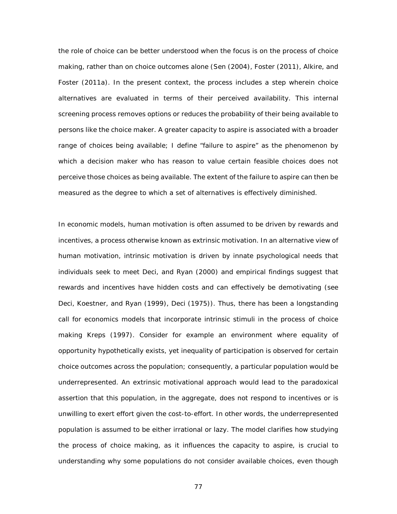the role of choice can be better understood when the focus is on the process of choice making, rather than on choice outcomes alone [\(Sen \(2004\)](#page-99-13), [Foster \(2011\)](#page-97-8), [Alkire, and](#page-95-8)  [Foster \(2011a\)](#page-95-8). In the present context, the process includes a step wherein choice alternatives are evaluated in terms of their perceived availability. This internal screening process removes options or reduces the probability of their being available to persons like the choice maker. A greater capacity to aspire is associated with a broader range of choices being available; I define "failure to aspire" as the phenomenon by which a decision maker who has reason to value certain feasible choices does not perceive those choices as being available. The extent of the failure to aspire can then be measured as the degree to which a set of alternatives is effectively diminished.

In economic models, human motivation is often assumed to be driven by rewards and incentives, a process otherwise known as extrinsic motivation. In an alternative view of human motivation, intrinsic motivation is driven by innate psychological needs that individuals seek to meet [Deci, and Ryan \(2000\)](#page-96-1) and empirical findings suggest that rewards and incentives have hidden costs and can effectively be demotivating (see [Deci, Koestner, and Ryan \(1999\)](#page-96-10), [Deci \(1975\)](#page-96-11)). Thus, there has been a longstanding call for economics models that incorporate intrinsic stimuli in the process of choice making [Kreps \(1997\)](#page-98-12). Consider for example an environment where equality of opportunity hypothetically exists, yet inequality of participation is observed for certain choice outcomes across the population; consequently, a particular population would be underrepresented. An extrinsic motivational approach would lead to the paradoxical assertion that this population, in the aggregate, does not respond to incentives or is unwilling to exert effort given the cost-to-effort. In other words, the underrepresented population is assumed to be either irrational or lazy. The model clarifies how studying the process of choice making, as it influences the capacity to aspire, is crucial to understanding why some populations do not consider available choices, even though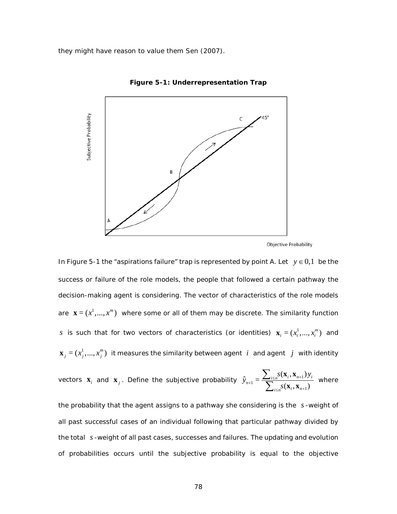<span id="page-88-0"></span>they might have reason to value them [Sen \(2007\)](#page-99-8).



**Figure 5-1: Underrepresentation Trap**

In [Figure 5-1](#page-88-0) the "aspirations failure" trap is represented by point A. Let  $y \in 0,1$  be the success or failure of the role models, the people that followed a certain pathway the decision-making agent is considering. The vector of characteristics of the role models are  $\mathbf{x} = (x^1, ..., x^m)$  where some or all of them may be discrete. The similarity function *s* is such that for two vectors of characteristics (or identities)  $\mathbf{x}_i = (x_i^1, ..., x_i^m)$  and  $\mathbf{x}_j = (x_j^1, ..., x_j^m)$  it measures the similarity between agent  $\boldsymbol{i}$  and agent  $\boldsymbol{j}$  with identity

vectors 
$$
\mathbf{x}_i
$$
 and  $\mathbf{x}_j$ . Define the subjective probability  $\hat{y}_{n+1} = \frac{\sum_{i \le n} s(\mathbf{x}_i, \mathbf{x}_{n+1}) y_i}{\sum_{i \le n} s(\mathbf{x}_i, \mathbf{x}_{n+1})}$  where

the probability that the agent assigns to a pathway she considering is the *s* -weight of all past successful cases of an individual following that particular pathway divided by the total *s* -weight of all past cases, successes and failures. The updating and evolution of probabilities occurs until the subjective probability is equal to the objective

Objective Probability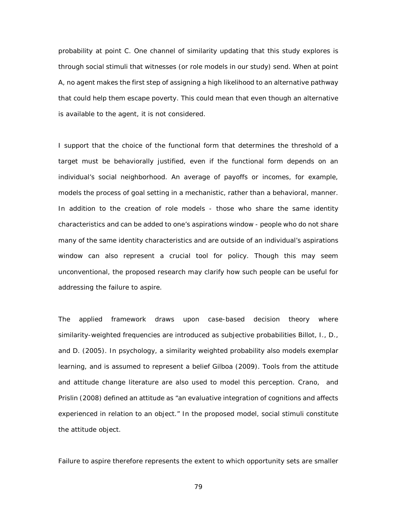probability at point C. One channel of similarity updating that this study explores is through social stimuli that witnesses (or role models in our study) send. When at point A, no agent makes the first step of assigning a high likelihood to an alternative pathway that could help them escape poverty. This could mean that even though an alternative is available to the agent, it is not considered.

I support that the choice of the functional form that determines the threshold of a target must be behaviorally justified, even if the functional form depends on an individual's social neighborhood. An average of payoffs or incomes, for example, models the process of goal setting in a mechanistic, rather than a behavioral, manner. In addition to the creation of role models - those who share the same identity characteristics and can be added to one's aspirations window - people who do not share many of the same identity characteristics and are outside of an individual's aspirations window can also represent a crucial tool for policy. Though this may seem unconventional, the proposed research may clarify how such people can be useful for addressing the failure to aspire.

The applied framework draws upon case-based decision theory where similarity-weighted frequencies are introduced as subjective probabilities [Billot, I., D.,](#page-96-7)  [and D. \(2005\)](#page-96-7). In psychology, a similarity weighted probability also models exemplar learning, and is assumed to represent a belief [Gilboa \(2009\)](#page-97-9). Tools from the attitude and attitude change literature are also used to model this perception. [Crano, and](#page-96-9)  Prislin (2008) defined an attitude as "an evaluative integration of cognitions and affects experienced in relation to an object." In the proposed model, social stimuli constitute the attitude object.

Failure to aspire therefore represents the extent to which opportunity sets are smaller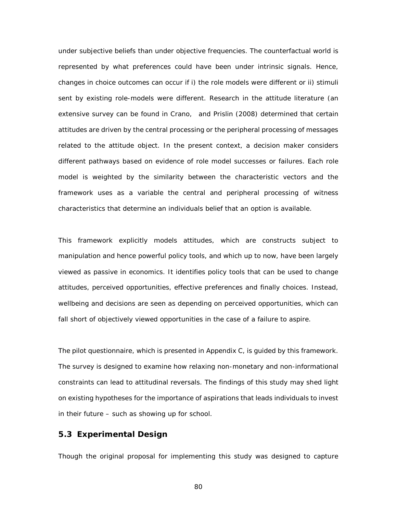under subjective beliefs than under objective frequencies. The counterfactual world is represented by what preferences could have been under intrinsic signals. Hence, changes in choice outcomes can occur if i) the role models were different or ii) stimuli sent by existing role-models were different. Research in the attitude literature (an extensive survey can be found in [Crano, and Prislin \(2008\)](#page-96-9) determined that certain attitudes are driven by the central processing or the peripheral processing of messages related to the attitude object. In the present context, a decision maker considers different pathways based on evidence of role model successes or failures. Each role model is weighted by the similarity between the characteristic vectors and the framework uses as a variable the central and peripheral processing of witness characteristics that determine an individuals belief that an option is available.

This framework explicitly models attitudes, which are constructs subject to manipulation and hence powerful policy tools, and which up to now, have been largely viewed as passive in economics. It identifies policy tools that can be used to change attitudes, perceived opportunities, effective preferences and finally choices. Instead, wellbeing and decisions are seen as depending on perceived opportunities, which can fall short of objectively viewed opportunities in the case of a failure to aspire.

The pilot questionnaire, which is presented in Appendix C, is guided by this framework. The survey is designed to examine how relaxing non-monetary and non-informational constraints can lead to attitudinal reversals. The findings of this study may shed light on existing hypotheses for the importance of aspirations that leads individuals to invest in their future – such as showing up for school.

#### **5.3 Experimental Design**

Though the original proposal for implementing this study was designed to capture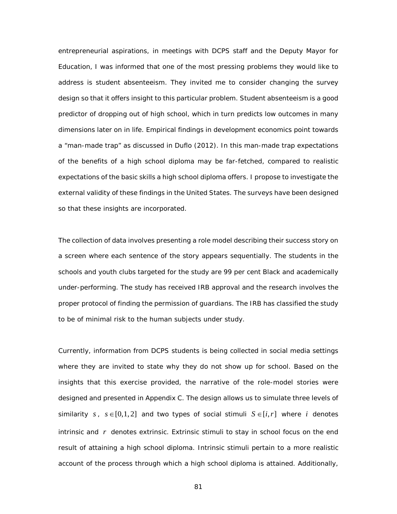entrepreneurial aspirations, in meetings with DCPS staff and the Deputy Mayor for Education, I was informed that one of the most pressing problems they would like to address is student absenteeism. They invited me to consider changing the survey design so that it offers insight to this particular problem. Student absenteeism is a good predictor of dropping out of high school, which in turn predicts low outcomes in many dimensions later on in life. Empirical findings in development economics point towards a "man-made trap" as discussed in [Duflo \(2012\)](#page-97-0). In this man-made trap expectations of the benefits of a high school diploma may be far-fetched, compared to realistic expectations of the basic skills a high school diploma offers. I propose to investigate the external validity of these findings in the United States. The surveys have been designed so that these insights are incorporated.

The collection of data involves presenting a role model describing their success story on a screen where each sentence of the story appears sequentially. The students in the schools and youth clubs targeted for the study are 99 per cent Black and academically under-performing. The study has received IRB approval and the research involves the proper protocol of finding the permission of guardians. The IRB has classified the study to be of minimal risk to the human subjects under study.

Currently, information from DCPS students is being collected in social media settings where they are invited to state why they do not show up for school. Based on the insights that this exercise provided, the narrative of the role-model stories were designed and presented in Appendix C. The design allows us to simulate three levels of similarity *s*,  $s \in [0,1,2]$  and two types of social stimuli  $S \in [i, r]$  where *i* denotes intrinsic and *r* denotes extrinsic. Extrinsic stimuli to stay in school focus on the end result of attaining a high school diploma. Intrinsic stimuli pertain to a more realistic account of the process through which a high school diploma is attained. Additionally,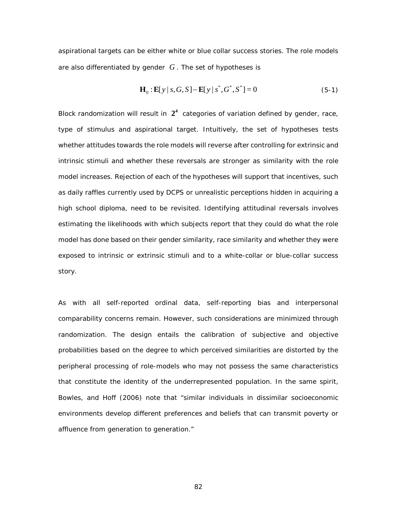aspirational targets can be either white or blue collar success stories. The role models are also differentiated by gender *G* . The set of hypotheses is

$$
\mathbf{H}_0: \mathbf{E}[y \mid s, G, S] - \mathbf{E}[y \mid s^*, G^*, S^*] = 0 \tag{5-1}
$$

Block randomization will result in  $2<sup>4</sup>$  categories of variation defined by gender, race, type of stimulus and aspirational target. Intuitively, the set of hypotheses tests whether attitudes towards the role models will reverse after controlling for extrinsic and intrinsic stimuli and whether these reversals are stronger as similarity with the role model increases. Rejection of each of the hypotheses will support that incentives, such as daily raffles currently used by DCPS or unrealistic perceptions hidden in acquiring a high school diploma, need to be revisited. Identifying attitudinal reversals involves estimating the likelihoods with which subjects report that they could do what the role model has done based on their gender similarity, race similarity and whether they were exposed to intrinsic or extrinsic stimuli and to a white-collar or blue-collar success story.

As with all self-reported ordinal data, self-reporting bias and interpersonal comparability concerns remain. However, such considerations are minimized through randomization. The design entails the calibration of subjective and objective probabilities based on the degree to which perceived similarities are distorted by the peripheral processing of role-models who may not possess the same characteristics that constitute the identity of the underrepresented population. In the same spirit, [Bowles, and Hoff \(2006\)](#page-96-12) note that "similar individuals in dissimilar socioeconomic environments develop different preferences and beliefs that can transmit poverty or affluence from generation to generation."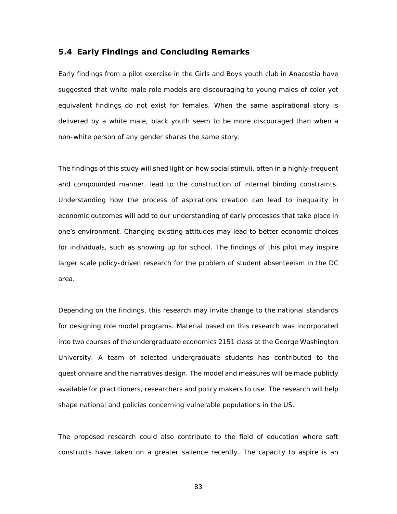#### **5.4 Early Findings and Concluding Remarks**

Early findings from a pilot exercise in the Girls and Boys youth club in Anacostia have suggested that white male role models are discouraging to young males of color yet equivalent findings do not exist for females. When the same aspirational story is delivered by a white male, black youth seem to be more discouraged than when a non-white person of any gender shares the same story.

The findings of this study will shed light on how social stimuli, often in a highly-frequent and compounded manner, lead to the construction of internal binding constraints. Understanding how the process of aspirations creation can lead to inequality in economic outcomes will add to our understanding of early processes that take place in one's environment. Changing existing attitudes may lead to better economic choices for individuals, such as showing up for school. The findings of this pilot may inspire larger scale policy-driven research for the problem of student absenteeism in the DC area.

Depending on the findings, this research may invite change to the national standards for designing role model programs. Material based on this research was incorporated into two courses of the undergraduate economics 2151 class at the George Washington University. A team of selected undergraduate students has contributed to the questionnaire and the narratives design. The model and measures will be made publicly available for practitioners, researchers and policy makers to use. The research will help shape national and policies concerning vulnerable populations in the US.

The proposed research could also contribute to the field of education where soft constructs have taken on a greater salience recently. The capacity to aspire is an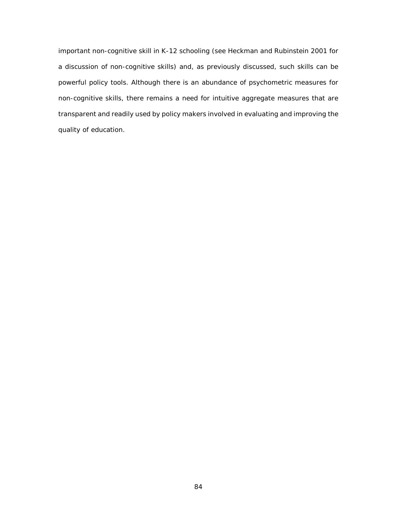important non-cognitive skill in K-12 schooling (see Heckman and Rubinstein 2001 for a discussion of non-cognitive skills) and, as previously discussed, such skills can be powerful policy tools. Although there is an abundance of psychometric measures for non-cognitive skills, there remains a need for intuitive aggregate measures that are transparent and readily used by policy makers involved in evaluating and improving the quality of education.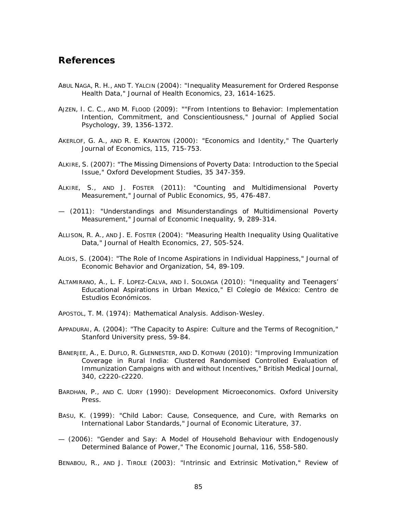## **References**

- ABUL NAGA, R. H., AND T. YALCIN (2004): "Inequality Measurement for Ordered Response Health Data," *Journal of Health Economics*, 23, 1614-1625.
- <span id="page-95-3"></span>AJZEN, I. C. C., AND M. FLOOD (2009): ""From Intentions to Behavior: Implementation Intention, Commitment, and Conscientiousness," *Journal of Applied Social Psychology*, 39, 1356-1372.
- <span id="page-95-6"></span>AKERLOF, G. A., AND R. E. KRANTON (2000): "Economics and Identity," *The Quarterly Journal of Economics*, 115, 715-753.
- <span id="page-95-7"></span>ALKIRE, S. (2007): "The Missing Dimensions of Poverty Data: Introduction to the Special Issue," *Oxford Development Studies*, 35 347-359.
- <span id="page-95-8"></span>ALKIRE, S., AND J. FOSTER (2011): "Counting and Multidimensional Poverty Measurement," *Journal of Public Economics*, 95, 476-487.
- (2011): "Understandings and Misunderstandings of Multidimensional Poverty Measurement," *Journal of Economic Inequality*, 9, 289-314.
- ALLISON, R. A., AND J. E. FOSTER (2004): "Measuring Health Inequality Using Qualitative Data," *Journal of Health Economics*, 27, 505-524.
- <span id="page-95-5"></span>ALOIS, S. (2004): "The Role of Income Aspirations in Individual Happiness," *Journal of Economic Behavior and Organization*, 54, 89-109.
- <span id="page-95-2"></span>ALTAMIRANO, A., L. F. LOPEZ-CALVA, AND I. SOLOAGA (2010): "Inequality and Teenagers' Educational Aspirations in Urban Mexico," El Colegio de México: Centro de Estudios Económicos.
- APOSTOL, T. M. (1974): *Mathematical Analysis*. Addison-Wesley.
- <span id="page-95-1"></span>APPADURAI, A. (2004): "The Capacity to Aspire: Culture and the Terms of Recognition," Stanford University press, 59-84.
- BANERJEE, A., E. DUFLO, R. GLENNESTER, AND D. KOTHARI (2010): "Improving Immunization Coverage in Rural India: Clustered Randomised Controlled Evaluation of Immunization Campaigns with and without Incentives," *British Medical Journal*, 340, c2220-c2220.
- BARDHAN, P., AND C. UDRY (1990): *Development Microeconomics*. Oxford University Press.
- <span id="page-95-0"></span>BASU, K. (1999): "Child Labor: Cause, Consequence, and Cure, with Remarks on International Labor Standards," *Journal of Economic Literature*, 37.
- (2006): "Gender and Say: A Model of Household Behaviour with Endogenously Determined Balance of Power," *The Economic Journal*, 116, 558-580.

<span id="page-95-4"></span>BENABOU, R., AND J. TIROLE (2003): "Intrinsic and Extrinsic Motivation," *Review of*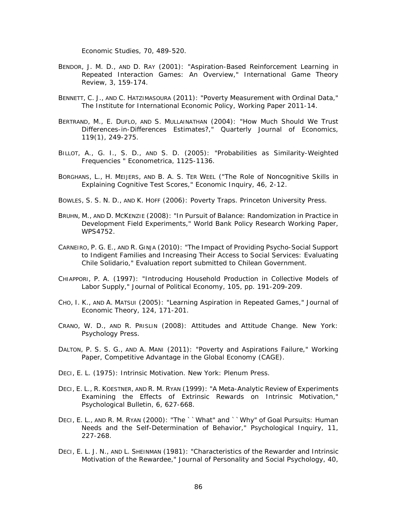*Economic Studies*, 70, 489-520.

- <span id="page-96-5"></span>BENDOR, J. M. D., AND D. RAY (2001): "Aspiration-Based Reinforcement Learning in Repeated Interaction Games: An Overview," *International Game Theory Review*, 3, 159-174.
- BENNETT, C. J., AND C. HATZIMASOURA (2011): "Poverty Measurement with Ordinal Data," *The Institute for International Economic Policy*, Working Paper 2011-14.
- BERTRAND, M., E. DUFLO, AND S. MULLAINATHAN (2004): "How Much Should We Trust Differences-in-Differences Estimates?," *Quarterly Journal of Economics*, 119(1), 249-275.
- <span id="page-96-7"></span>BILLOT, A., G. I., S. D., AND S. D. (2005): "Probabilities as Similarity-Weighted Frequencies " *Econometrica*, 1125-1136.
- <span id="page-96-8"></span>BORGHANS, L., H. MEIJERS, AND B. A. S. TER WEEL ("The Role of Noncognitive Skills in Explaining Cognitive Test Scores," *Economic Inquiry*, 46, 2-12.
- <span id="page-96-12"></span>BOWLES, S. S. N. D., AND K. HOFF (2006): *Poverty Traps*. Princeton University Press.
- <span id="page-96-0"></span>BRUHN, M., AND D. MCKENZIE (2008): "In Pursuit of Balance: Randomization in Practice in Development Field Experiments," *World Bank Policy Research Working Paper*, WPS4752.
- <span id="page-96-6"></span>CARNEIRO, P. G. E., AND R. GINJA (2010): "The Impact of Providing Psycho-Social Support to Indigent Families and Increasing Their Access to Social Services: Evaluating Chile Solidario," *Evaluation report submitted to Chilean Government*.
- CHIAPPORI, P. A. (1997): "Introducing Household Production in Collective Models of Labor Supply," *Journal of Political Economy*, 105, pp. 191-209-209.
- <span id="page-96-4"></span>CHO, I. K., AND A. MATSUI (2005): "Learning Aspiration in Repeated Games," *Journal of Economic Theory*, 124, 171-201.
- <span id="page-96-9"></span>CRANO, W. D., AND R. PRISLIN (2008): *Attitudes and Attitude Change*. New York: Psychology Press.
- <span id="page-96-2"></span>DALTON, P. S. S. G., AND A. MANI (2011): "Poverty and Aspirations Failure," *Working Paper, Competitive Advantage in the Global Economy (CAGE)*.
- <span id="page-96-11"></span>DECI, E. L. (1975): *Intrinsic Motivation*. New York: Plenum Press.
- <span id="page-96-10"></span>DECI, E. L., R. KOESTNER, AND R. M. RYAN (1999): "A Meta-Analytic Review of Experiments Examining the Effects of Extrinsic Rewards on Intrinsic Motivation," *Psychological Bulletin*, 6, 627-668.
- <span id="page-96-1"></span>DECI, E. L., AND R. M. RYAN (2000): "The ``What" and ``Why" of Goal Pursuits: Human Needs and the Self-Determination of Behavior," *Psychological Inquiry*, 11, 227-268.
- <span id="page-96-3"></span>DECI, E. L. J. N., AND L. SHEINMAN (1981): "Characteristics of the Rewarder and Intrinsic Motivation of the Rewardee," *Journal of Personality and Social Psychology*, 40,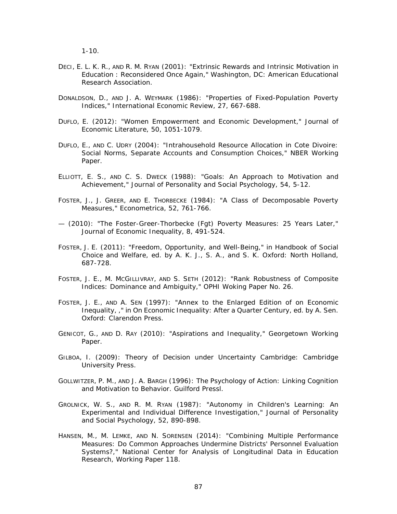$1 - 10.$ 

- <span id="page-97-6"></span>DECI, E. L. K. R., AND R. M. RYAN (2001): "Extrinsic Rewards and Intrinsic Motivation in Education : Reconsidered Once Again," *Washington, DC: American Educational Research Association*.
- DONALDSON, D., AND J. A. WEYMARK (1986): "Properties of Fixed-Population Poverty Indices," *International Economic Review*, 27, 667-688.
- <span id="page-97-0"></span>DUFLO, E. (2012): "Women Empowerment and Economic Development," *Journal of Economic Literature*, 50, 1051-1079.
- DUFLO, E., AND C. UDRY (2004): "Intrahousehold Resource Allocation in Cote Divoire: Social Norms, Separate Accounts and Consumption Choices," *NBER Working Paper*.
- <span id="page-97-4"></span>ELLIOTT, E. S., AND C. S. DWECK (1988): "Goals: An Approach to Motivation and Achievement," *Journal of Personality and Social Psychology*, 54, 5-12.
- <span id="page-97-2"></span>FOSTER, J., J. GREER, AND E. THORBECKE (1984): "A Class of Decomposable Poverty Measures," *Econometrica*, 52, 761-766.
- (2010): "The Foster-Greer-Thorbecke (Fgt) Poverty Measures: 25 Years Later," *Journal of Economic Inequality*, 8, 491-524.
- <span id="page-97-8"></span>FOSTER, J. E. (2011): "Freedom, Opportunity, and Well-Being," in *Handbook of Social Choice and Welfare*, ed. by A. K. J., S. A., and S. K. Oxford: North Holland, 687-728.
- FOSTER, J. E., M. MCGILLIVRAY, AND S. SETH (2012): "Rank Robustness of Composite Indices: Dominance and Ambiguity," *OPHI Woking Paper No. 26*.
- <span id="page-97-7"></span>FOSTER, J. E., AND A. SEN (1997): "Annex to the Enlarged Edition of on Economic Inequality, ," in *On Economic Inequality: After a Quarter Century*, ed. by A. Sen. Oxford: Clarendon Press.
- <span id="page-97-1"></span>GENICOT, G., AND D. RAY (2010): "Aspirations and Inequality," *Georgetown Working Paper*.
- <span id="page-97-9"></span>GILBOA, I. (2009): *Theory of Decision under Uncertainty* Cambridge: Cambridge University Press.
- <span id="page-97-3"></span>GOLLWITZER, P. M., AND J. A. BARGH (1996): *The Psychology of Action: Linking Cognition and Motivation to Behavior*. Guilford Pressl.
- <span id="page-97-5"></span>GROLNICK, W. S., AND R. M. RYAN (1987): "Autonomy in Children's Learning: An Experimental and Individual Difference Investigation," *Journal of Personality and Social Psychology*, 52, 890-898.
- HANSEN, M., M. LEMKE, AND N. SORENSEN (2014): "Combining Multiple Performance Measures: Do Common Approaches Undermine Districts' Personnel Evaluation Systems?," *National Center for Analysis of Longitudinal Data in Education Research, Working Paper 118*.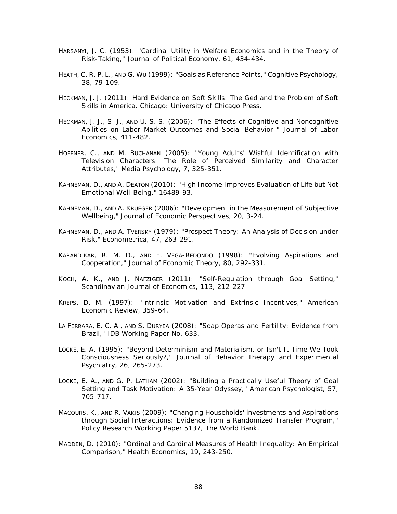- HARSANYI, J. C. (1953): "Cardinal Utility in Welfare Economics and in the Theory of Risk-Taking," *Journal of Political Economy*, 61, 434-434.
- <span id="page-98-3"></span>HEATH, C. R. P. L., AND G. WU (1999): "Goals as Reference Points," *Cognitive Psychology*, 38, 79-109.
- <span id="page-98-10"></span>HECKMAN, J. J. (2011): *Hard Evidence on Soft Skills: The Ged and the Problem of Soft Skills in America*. Chicago: University of Chicago Press.
- <span id="page-98-11"></span>HECKMAN, J. J., S. J., AND U. S. S. (2006): "The Effects of Cognitive and Noncognitive Abilities on Labor Market Outcomes and Social Behavior " *Journal of Labor Economics*, 411-482.
- <span id="page-98-7"></span>HOFFNER, C., AND M. BUCHANAN (2005): "Young Adults' Wishful Identification with Television Characters: The Role of Perceived Similarity and Character Attributes," *Media Psychology*, 7, 325-351.
- <span id="page-98-9"></span>KAHNEMAN, D., AND A. DEATON (2010): "High Income Improves Evaluation of Life but Not Emotional Well-Being," 16489-93.
- KAHNEMAN, D., AND A. KRUEGER (2006): "Development in the Measurement of Subjective Wellbeing," *Journal of Economic Perspectives*, 20, 3-24.
- <span id="page-98-4"></span>KAHNEMAN, D., AND A. TVERSKY (1979): "Prospect Theory: An Analysis of Decision under Risk," *Econometrica*, 47, 263-291.
- <span id="page-98-6"></span>KARANDIKAR, R. M. D., AND F. VEGA-REDONDO (1998): "Evolving Aspirations and Cooperation," *Journal of Economic Theory*, 80, 292-331.
- <span id="page-98-5"></span>KOCH, A. K., AND J. NAFZIGER (2011): "Self-Regulation through Goal Setting," *Scandinavian Journal of Economics*, 113, 212-227.
- <span id="page-98-12"></span>KREPS, D. M. (1997): "Intrinsic Motivation and Extrinsic Incentives," *American Economic Review*, 359-64.
- <span id="page-98-0"></span>LA FERRARA, E. C. A., AND S. DURYEA (2008): "Soap Operas and Fertility: Evidence from Brazil," *IDB Working Paper No. 633*.
- <span id="page-98-1"></span>LOCKE, E. A. (1995): "Beyond Determinism and Materialism, or Isn't It Time We Took Consciousness Seriously?," *Journal of Behavior Therapy and Experimental Psychiatry*, 26, 265-273.
- <span id="page-98-2"></span>LOCKE, E. A., AND G. P. LATHAM (2002): "Building a Practically Useful Theory of Goal Setting and Task Motivation: A 35-Year Odyssey," *American Psychologist*, 57, 705-717.
- <span id="page-98-8"></span>MACOURS, K., AND R. VAKIS (2009): "Changing Households' investments and Aspirations through Social Interactions: Evidence from a Randomized Transfer Program," *Policy Research Working Paper 5137, The World Bank*.
- MADDEN, D. (2010): "Ordinal and Cardinal Measures of Health Inequality: An Empirical Comparison," *Health Economics*, 19, 243-250.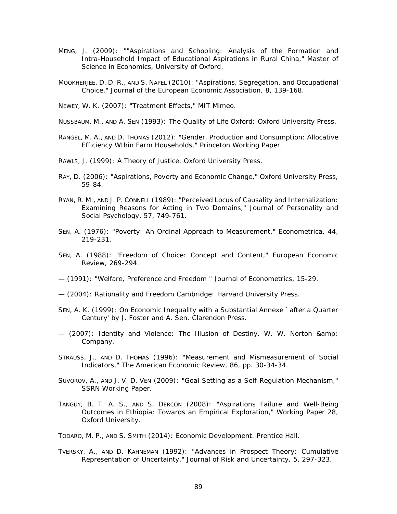- <span id="page-99-1"></span>MENG, J. (2009): ""Aspirations and Schooling: Analysis of the Formation and Intra-Household Impact of Educational Aspirations in Rural China," *Master of Science in Economics, University of Oxford*.
- <span id="page-99-7"></span>MOOKHERJEE, D. D. R., AND S. NAPEL (2010): "Aspirations, Segregation, and Occupational Choice," *Journal of the European Economic Association*, 8, 139-168.

NEWEY, W. K. (2007): "Treatment Effects," *MIT Mimeo*.

- <span id="page-99-9"></span>NUSSBAUM, M., AND A. SEN (1993): *The Quality of Life* Oxford: Oxford University Press.
- RANGEL, M. A., AND D. THOMAS (2012): "Gender, Production and Consumption: Allocative Efficiency Wthin Farm Households," *Princeton Working Paper*.
- RAWLS, J. (1999): *A Theory of Justice*. Oxford University Press.
- <span id="page-99-3"></span>RAY, D. (2006): "Aspirations, Poverty and Economic Change," Oxford University Press, 59-84.
- <span id="page-99-4"></span>RYAN, R. M., AND J. P. CONNELL (1989): "Perceived Locus of Causality and Internalization: Examining Reasons for Acting in Two Domains," *Journal of Personality and Social Psychology*, 57, 749-761.
- SEN, A. (1976): "Poverty: An Ordinal Approach to Measurement," *Econometrica*, 44, 219-231.
- <span id="page-99-10"></span>SEN, A. (1988): "Freedom of Choice: Concept and Content," *European Economic Review*, 269-294.
- <span id="page-99-11"></span>— (1991): "Welfare, Preference and Freedom " *Journal of Econometrics*, 15-29.
- <span id="page-99-13"></span>— (2004): *Rationality and Freedom* Cambridge: Harvard University Press.
- <span id="page-99-12"></span>SEN, A. K. (1999): *On Economic Inequality with a Substantial Annexe `after a Quarter Century' by J. Foster and A. Sen*. Clarendon Press.
- <span id="page-99-8"></span>— (2007): *Identity and Violence: The Illusion of Destiny*. W. W. Norton & Company.
- STRAUSS, J., AND D. THOMAS (1996): "Measurement and Mismeasurement of Social Indicators," *The American Economic Review*, 86, pp. 30-34-34.
- <span id="page-99-6"></span>SUVOROV, A., AND J. V. D. VEN (2009): "Goal Setting as a Self-Regulation Mechanism," *SSRN Working Paper*.
- <span id="page-99-2"></span>TANGUY, B. T. A. S., AND S. DERCON (2008): "Aspirations Failure and Well-Being Outcomes in Ethiopia: Towards an Empirical Exploration," *Working Paper 28, Oxford University*.

<span id="page-99-0"></span>TODARO, M. P., AND S. SMITH (2014): *Economic Development*. Prentice Hall.

<span id="page-99-5"></span>TVERSKY, A., AND D. KAHNEMAN (1992): "Advances in Prospect Theory: Cumulative Representation of Uncertainty," *Journal of Risk and Uncertainty*, 5, 297-323.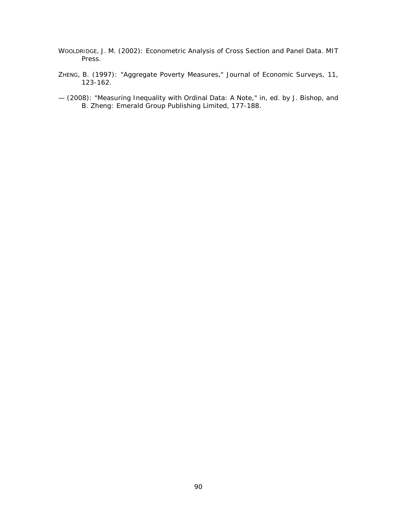- WOOLDRIDGE, J. M. (2002): *Econometric Analysis of Cross Section and Panel Data*. MIT Press.
- ZHENG, B. (1997): "Aggregate Poverty Measures," *Journal of Economic Surveys*, 11, 123-162.
- (2008): "Measuring Inequality with Ordinal Data: A Note," in, ed. by J. Bishop, and B. Zheng: Emerald Group Publishing Limited, 177-188.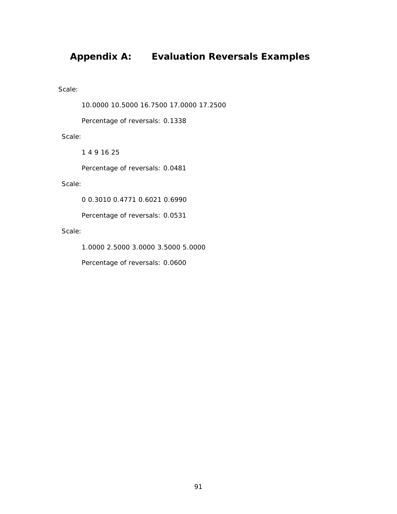# **Appendix A: Evaluation Reversals Examples**

Scale:

10.0000 10.5000 16.7500 17.0000 17.2500

Percentage of reversals: 0.1338

Scale:

1 4 9 16 25

Percentage of reversals: 0.0481

Scale:

0 0.3010 0.4771 0.6021 0.6990

Percentage of reversals: 0.0531

Scale:

1.0000 2.5000 3.0000 3.5000 5.0000

Percentage of reversals: 0.0600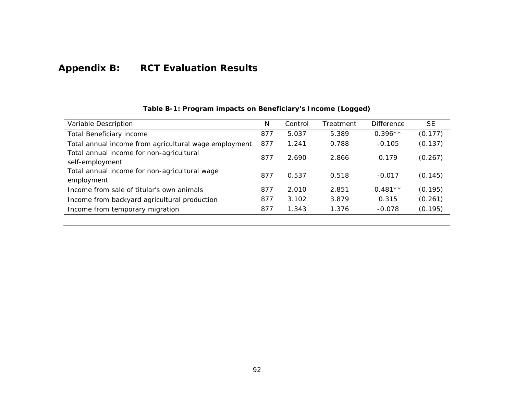# **Appendix B: RCT Evaluation Results**

<span id="page-102-1"></span><span id="page-102-0"></span>

| Variable Description                                        | N   | Control | Treatment | Difference | <b>SE</b> |
|-------------------------------------------------------------|-----|---------|-----------|------------|-----------|
| Total Beneficiary income                                    | 877 | 5.037   | 5.389     | $0.396**$  | (0.177)   |
| Total annual income from agricultural wage employment       | 877 | 1.241   | 0.788     | $-0.105$   | (0.137)   |
| Total annual income for non-agricultural<br>self-employment | 877 | 2.690   | 2.866     | 0.179      | (0.267)   |
| Total annual income for non-agricultural wage<br>employment | 877 | 0.537   | 0.518     | $-0.017$   | (0.145)   |
| Income from sale of titular's own animals                   | 877 | 2.010   | 2.851     | $0.481**$  | (0.195)   |
| Income from backyard agricultural production                | 877 | 3.102   | 3.879     | 0.315      | (0.261)   |
| Income from temporary migration                             | 877 | 1.343   | 1.376     | $-0.078$   | (0.195)   |

### **Table B-1: Program impacts on Beneficiary's Income (Logged)**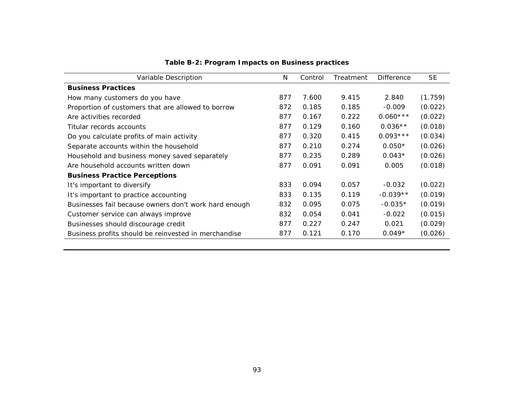| Variable Description                                  | N   | Treatment<br>Control |       | <b>Difference</b> | <b>SE</b> |
|-------------------------------------------------------|-----|----------------------|-------|-------------------|-----------|
| <b>Business Practices</b>                             |     |                      |       |                   |           |
| How many customers do you have                        | 877 | 7.600                | 9.415 | 2.840             | (1.759)   |
| Proportion of customers that are allowed to borrow    | 872 | 0.185                | 0.185 | $-0.009$          | (0.022)   |
| Are activities recorded                               | 877 | 0.167                | 0.222 | $0.060***$        | (0.022)   |
| Titular records accounts                              | 877 | 0.129                | 0.160 | $0.036**$         | (0.018)   |
| Do you calculate profits of main activity             | 877 | 0.320                | 0.415 | $0.093***$        | (0.034)   |
| Separate accounts within the household                | 877 | 0.210                | 0.274 | $0.050*$          | (0.026)   |
| Household and business money saved separately         | 877 | 0.235                | 0.289 | $0.043*$          | (0.026)   |
| Are household accounts written down                   | 877 | 0.091                | 0.091 | 0.005             | (0.018)   |
| <b>Business Practice Perceptions</b>                  |     |                      |       |                   |           |
| It's important to diversify                           | 833 | 0.094                | 0.057 | $-0.032$          | (0.022)   |
| It's important to practice accounting                 | 833 | 0.135                | 0.119 | $-0.039**$        | (0.019)   |
| Businesses fail because owners don't work hard enough | 832 | 0.095                | 0.075 | $-0.035*$         | (0.019)   |
| Customer service can always improve                   | 832 | 0.054                | 0.041 | $-0.022$          | (0.015)   |
| Businesses should discourage credit                   | 877 | 0.227                | 0.247 | 0.021             | (0.029)   |
| Business profits should be reinvested in merchandise  | 877 | 0.121                | 0.170 | $0.049*$          | (0.026)   |

**Table B-2: Program Impacts on Business practices**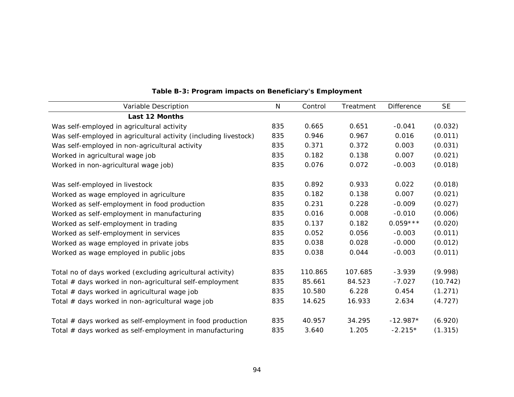<span id="page-104-0"></span>

| Variable Description                                             | $\mathsf{N}$ | Control | Treatment | <b>Difference</b> | <b>SE</b> |
|------------------------------------------------------------------|--------------|---------|-----------|-------------------|-----------|
| <b>Last 12 Months</b>                                            |              |         |           |                   |           |
| Was self-employed in agricultural activity                       | 835          | 0.665   | 0.651     | $-0.041$          | (0.032)   |
| Was self-employed in agricultural activity (including livestock) | 835          | 0.946   | 0.967     | 0.016             | (0.011)   |
| Was self-employed in non-agricultural activity                   | 835          | 0.371   | 0.372     | 0.003             | (0.031)   |
| Worked in agricultural wage job                                  | 835          | 0.182   | 0.138     | 0.007             | (0.021)   |
| Worked in non-agricultural wage job)                             | 835          | 0.076   | 0.072     | $-0.003$          | (0.018)   |
| Was self-employed in livestock                                   | 835          | 0.892   | 0.933     | 0.022             | (0.018)   |
| Worked as wage employed in agriculture                           | 835          | 0.182   | 0.138     | 0.007             | (0.021)   |
| Worked as self-employment in food production                     | 835          | 0.231   | 0.228     | $-0.009$          | (0.027)   |
| Worked as self-employment in manufacturing                       | 835          | 0.016   | 0.008     | $-0.010$          | (0.006)   |
| Worked as self-employment in trading                             | 835          | 0.137   | 0.182     | $0.059***$        | (0.020)   |
| Worked as self-employment in services                            | 835          | 0.052   | 0.056     | $-0.003$          | (0.011)   |
| Worked as wage employed in private jobs                          | 835          | 0.038   | 0.028     | $-0.000$          | (0.012)   |
| Worked as wage employed in public jobs                           | 835          | 0.038   | 0.044     | $-0.003$          | (0.011)   |
| Total no of days worked (excluding agricultural activity)        | 835          | 110.865 | 107.685   | $-3.939$          | (9.998)   |
| Total # days worked in non-agricultural self-employment          | 835          | 85.661  | 84.523    | $-7.027$          | (10.742)  |
| Total # days worked in agricultural wage job                     | 835          | 10.580  | 6.228     | 0.454             | (1.271)   |
| Total # days worked in non-agricultural wage job                 | 835          | 14.625  | 16.933    | 2.634             | (4.727)   |
| Total # days worked as self-employment in food production        | 835          | 40.957  | 34.295    | $-12.987*$        | (6.920)   |
| Total # days worked as self-employment in manufacturing          | 835          | 3.640   | 1.205     | $-2.215*$         | (1.315)   |

# **Table B-3: Program impacts on Beneficiary's Employment**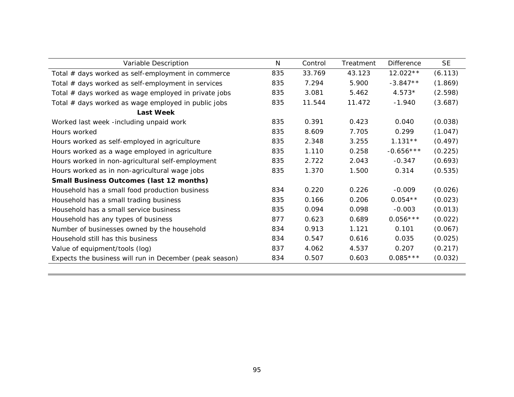| Variable Description                                    | N   | Control | Treatment | <b>Difference</b> | <b>SE</b> |
|---------------------------------------------------------|-----|---------|-----------|-------------------|-----------|
| Total # days worked as self-employment in commerce      | 835 | 33.769  | 43.123    | 12.022 **         | (6.113)   |
| Total # days worked as self-employment in services      | 835 | 7.294   | 5.900     | $-3.847**$        | (1.869)   |
| Total # days worked as wage employed in private jobs    | 835 | 3.081   | 5.462     | $4.573*$          | (2.598)   |
| Total # days worked as wage employed in public jobs     | 835 | 11.544  | 11.472    | $-1.940$          | (3.687)   |
| <b>Last Week</b>                                        |     |         |           |                   |           |
| Worked last week -including unpaid work                 | 835 | 0.391   | 0.423     | 0.040             | (0.038)   |
| Hours worked                                            | 835 | 8.609   | 7.705     | 0.299             | (1.047)   |
| Hours worked as self-employed in agriculture            | 835 | 2.348   | 3.255     | $1.131**$         | (0.497)   |
| Hours worked as a wage employed in agriculture          | 835 | 1.110   | 0.258     | $-0.656***$       | (0.225)   |
| Hours worked in non-agricultural self-employment        | 835 | 2.722   | 2.043     | $-0.347$          | (0.693)   |
| Hours worked as in non-agricultural wage jobs           | 835 | 1.370   | 1.500     | 0.314             | (0.535)   |
| <b>Small Business Outcomes (last 12 months)</b>         |     |         |           |                   |           |
| Household has a small food production business          | 834 | 0.220   | 0.226     | $-0.009$          | (0.026)   |
| Household has a small trading business                  | 835 | 0.166   | 0.206     | $0.054**$         | (0.023)   |
| Household has a small service business                  | 835 | 0.094   | 0.098     | $-0.003$          | (0.013)   |
| Household has any types of business                     | 877 | 0.623   | 0.689     | $0.056***$        | (0.022)   |
| Number of businesses owned by the household             | 834 | 0.913   | 1.121     | 0.101             | (0.067)   |
| Household still has this business                       | 834 | 0.547   | 0.616     | 0.035             | (0.025)   |
| Value of equipment/tools (log)                          | 837 | 4.062   | 4.537     | 0.207             | (0.217)   |
| Expects the business will run in December (peak season) | 834 | 0.507   | 0.603     | $0.085***$        | (0.032)   |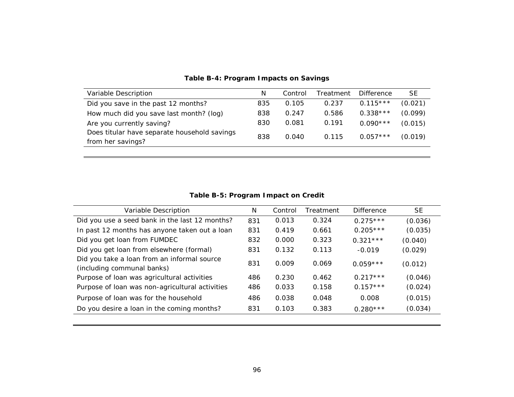| Variable Description                                              | N   | Control | Treatment | <b>Difference</b> | SE      |
|-------------------------------------------------------------------|-----|---------|-----------|-------------------|---------|
| Did you save in the past 12 months?                               | 835 | 0.105   | 0.237     | $0.115***$        | (0.021) |
| How much did you save last month? (log)                           | 838 | 0.247   | 0.586     | $0.338***$        | (0.099) |
| Are you currently saving?                                         | 830 | 0.081   | 0.191     | $0.090***$        | (0.015) |
| Does titular have separate household savings<br>from her savings? | 838 | 0.040   | 0.115     | $0.057***$        | (0.019) |

### **Table B-4: Program Impacts on Savings**

**Table B-5: Program Impact on Credit**

| Variable Description                                                      | N   | Control | Treatment | <b>Difference</b> | <b>SE</b> |
|---------------------------------------------------------------------------|-----|---------|-----------|-------------------|-----------|
| Did you use a seed bank in the last 12 months?                            | 831 | 0.013   | 0.324     | $0.275***$        | (0.036)   |
| In past 12 months has anyone taken out a loan                             | 831 | 0.419   | 0.661     | $0.205***$        | (0.035)   |
| Did you get loan from FUMDEC                                              | 832 | 0.000   | 0.323     | $0.321***$        | (0.040)   |
| Did you get loan from elsewhere (formal)                                  | 831 | 0.132   | 0.113     | $-0.019$          | (0.029)   |
| Did you take a loan from an informal source<br>(including communal banks) | 831 | 0.009   | 0.069     | $0.059***$        | (0.012)   |
| Purpose of loan was agricultural activities                               | 486 | 0.230   | 0.462     | $0.217***$        | (0.046)   |
| Purpose of loan was non-agricultural activities                           | 486 | 0.033   | 0.158     | $0.157***$        | (0.024)   |
| Purpose of loan was for the household                                     | 486 | 0.038   | 0.048     | 0.008             | (0.015)   |
| Do you desire a loan in the coming months?                                | 831 | 0.103   | 0.383     | $0.280***$        | (0.034)   |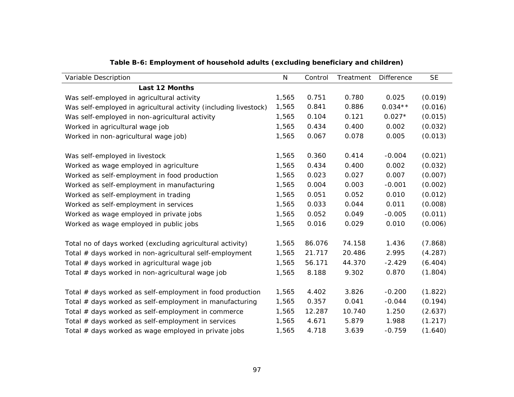| Variable Description                                             | $\mathsf{N}$ | Control | Treatment | <b>Difference</b> | <b>SE</b> |
|------------------------------------------------------------------|--------------|---------|-----------|-------------------|-----------|
| <b>Last 12 Months</b>                                            |              |         |           |                   |           |
| Was self-employed in agricultural activity                       | 1,565        | 0.751   | 0.780     | 0.025             | (0.019)   |
| Was self-employed in agricultural activity (including livestock) | 1,565        | 0.841   | 0.886     | $0.034**$         | (0.016)   |
| Was self-employed in non-agricultural activity                   | 1,565        | 0.104   | 0.121     | $0.027*$          | (0.015)   |
| Worked in agricultural wage job                                  | 1,565        | 0.434   | 0.400     | 0.002             | (0.032)   |
| Worked in non-agricultural wage job)                             | 1,565        | 0.067   | 0.078     | 0.005             | (0.013)   |
| Was self-employed in livestock                                   | 1,565        | 0.360   | 0.414     | $-0.004$          | (0.021)   |
| Worked as wage employed in agriculture                           | 1,565        | 0.434   | 0.400     | 0.002             | (0.032)   |
| Worked as self-employment in food production                     | 1,565        | 0.023   | 0.027     | 0.007             | (0.007)   |
| Worked as self-employment in manufacturing                       | 1,565        | 0.004   | 0.003     | $-0.001$          | (0.002)   |
| Worked as self-employment in trading                             | 1,565        | 0.051   | 0.052     | 0.010             | (0.012)   |
| Worked as self-employment in services                            | 1,565        | 0.033   | 0.044     | 0.011             | (0.008)   |
| Worked as wage employed in private jobs                          | 1,565        | 0.052   | 0.049     | $-0.005$          | (0.011)   |
| Worked as wage employed in public jobs                           | 1,565        | 0.016   | 0.029     | 0.010             | (0.006)   |
| Total no of days worked (excluding agricultural activity)        | 1,565        | 86.076  | 74.158    | 1.436             | (7.868)   |
| Total # days worked in non-agricultural self-employment          | 1,565        | 21.717  | 20.486    | 2.995             | (4.287)   |
| Total # days worked in agricultural wage job                     | 1,565        | 56.171  | 44.370    | $-2.429$          | (6.404)   |
| Total # days worked in non-agricultural wage job                 | 1,565        | 8.188   | 9.302     | 0.870             | (1.804)   |
| Total $#$ days worked as self-employment in food production      | 1,565        | 4.402   | 3.826     | $-0.200$          | (1.822)   |
| Total # days worked as self-employment in manufacturing          | 1,565        | 0.357   | 0.041     | $-0.044$          | (0.194)   |
| Total # days worked as self-employment in commerce               | 1,565        | 12.287  | 10.740    | 1.250             | (2.637)   |
| Total # days worked as self-employment in services               | 1,565        | 4.671   | 5.879     | 1.988             | (1.217)   |
| Total # days worked as wage employed in private jobs             | 1,565        | 4.718   | 3.639     | $-0.759$          | (1.640)   |

**Table B-6: Employment of household adults (excluding beneficiary and children)**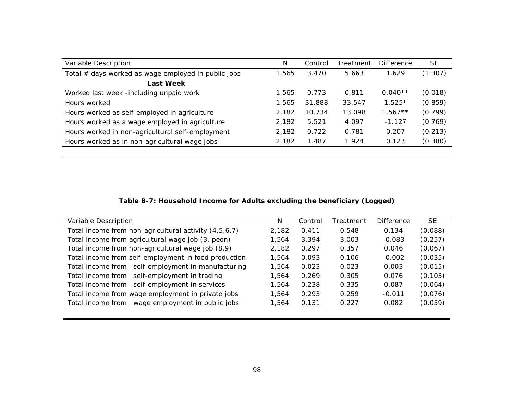| Variable Description                                | N     | Control | Treatment | <b>Difference</b> | <b>SE</b> |
|-----------------------------------------------------|-------|---------|-----------|-------------------|-----------|
| Total # days worked as wage employed in public jobs | 1,565 | 3.470   | 5.663     | 1.629             | (1.307)   |
| <b>Last Week</b>                                    |       |         |           |                   |           |
| Worked last week -including unpaid work             | 1,565 | 0.773   | 0.811     | $0.040**$         | (0.018)   |
| Hours worked                                        | 1,565 | 31.888  | 33.547    | $1.525*$          | (0.859)   |
| Hours worked as self-employed in agriculture        | 2.182 | 10.734  | 13.098    | $1.567**$         | (0.799)   |
| Hours worked as a wage employed in agriculture      | 2,182 | 5.521   | 4.097     | $-1.127$          | (0.769)   |
| Hours worked in non-agricultural self-employment    | 2,182 | 0.722   | 0.781     | 0.207             | (0.213)   |
| Hours worked as in non-agricultural wage jobs       | 2,182 | 1.487   | 1.924     | 0.123             | (0.380)   |

# **Table B-7: Household Income for Adults excluding the beneficiary (Logged)**

| Variable Description                                  | N     | Control | Treatment | <b>Difference</b> | <b>SE</b> |
|-------------------------------------------------------|-------|---------|-----------|-------------------|-----------|
| Total income from non-agricultural activity (4,5,6,7) | 2.182 | 0.411   | 0.548     | 0.134             | (0.088)   |
| Total income from agricultural wage job (3, peon)     | 1.564 | 3.394   | 3.003     | $-0.083$          | (0.257)   |
| Total income from non-agricultural wage job (8,9)     | 2.182 | 0.297   | 0.357     | 0.046             | (0.067)   |
| Total income from self-employment in food production  | 1.564 | 0.093   | 0.106     | $-0.002$          | (0.035)   |
| Total income from self-employment in manufacturing    | 1.564 | 0.023   | 0.023     | 0.003             | (0.015)   |
| Total income from self-employment in trading          | 1.564 | 0.269   | 0.305     | 0.076             | (0.103)   |
| Total income from self-employment in services         | 1.564 | 0.238   | 0.335     | 0.087             | (0.064)   |
| Total income from wage employment in private jobs     | 1.564 | 0.293   | 0.259     | $-0.011$          | (0.076)   |
| Total income from wage employment in public jobs      | 1.564 | 0.131   | 0.227     | 0.082             | (0.059)   |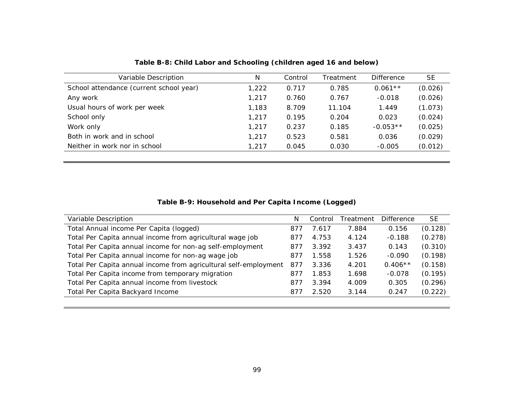| Variable Description                    | N     | Control | Treatment | <b>Difference</b> | <b>SE</b> |
|-----------------------------------------|-------|---------|-----------|-------------------|-----------|
| School attendance (current school year) | 1,222 | 0.717   | 0.785     | $0.061**$         | (0.026)   |
| Any work                                | 1,217 | 0.760   | 0.767     | $-0.018$          | (0.026)   |
| Usual hours of work per week            | 1,183 | 8.709   | 11.104    | 1.449             | (1.073)   |
| School only                             | 1,217 | 0.195   | 0.204     | 0.023             | (0.024)   |
| Work only                               | 1,217 | 0.237   | 0.185     | $-0.053**$        | (0.025)   |
| Both in work and in school              | 1,217 | 0.523   | 0.581     | 0.036             | (0.029)   |
| Neither in work nor in school           | 1,217 | 0.045   | 0.030     | $-0.005$          | (0.012)   |
|                                         |       |         |           |                   |           |

**Table B-8: Child Labor and Schooling (children aged 16 and below)**

### **Table B-9: Household and Per Capita Income (Logged)**

| Variable Description                                             | N   | Control | Treatment | <b>Difference</b> | <b>SE</b> |
|------------------------------------------------------------------|-----|---------|-----------|-------------------|-----------|
| Total Annual income Per Capita (logged)                          | 877 | 7.617   | 7.884     | 0.156             | (0.128)   |
| Total Per Capita annual income from agricultural wage job        | 877 | 4.753   | 4.124     | $-0.188$          | (0.278)   |
| Total Per Capita annual income for non-ag self-employment        | 877 | 3.392   | 3.437     | 0.143             | (0.310)   |
| Total Per Capita annual income for non-ag wage job               | 877 | 1.558   | 1.526     | $-0.090$          | (0.198)   |
| Total Per Capita annual income from agricultural self-employment | 877 | 3.336   | 4.201     | $0.406**$         | (0.158)   |
| Total Per Capita income from temporary migration                 | 877 | 1.853   | 1.698     | $-0.078$          | (0.195)   |
| Total Per Capita annual income from livestock                    | 877 | 3.394   | 4.009     | 0.305             | (0.296)   |
| Total Per Capita Backyard Income                                 | 877 | 2.520   | 3.144     | 0.247             | (0.222)   |
|                                                                  |     |         |           |                   |           |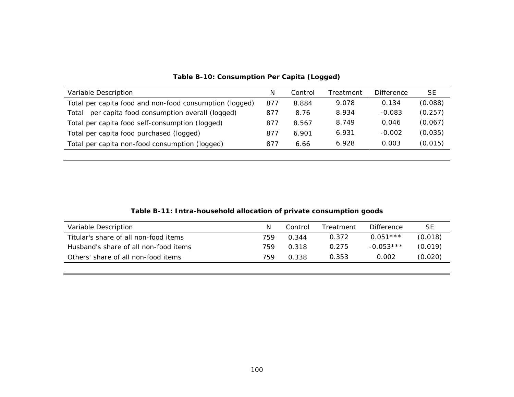| Variable Description                                    | N   | Control | Treatment | <b>Difference</b> | SE      |
|---------------------------------------------------------|-----|---------|-----------|-------------------|---------|
| Total per capita food and non-food consumption (logged) | 877 | 8.884   | 9.078     | 0.134             | (0.088) |
| per capita food consumption overall (logged)<br>Total   | 877 | 8.76    | 8.934     | $-0.083$          | (0.257) |
| Total per capita food self-consumption (logged)         | 877 | 8.567   | 8.749     | 0.046             | (0.067) |
| Total per capita food purchased (logged)                | 877 | 6.901   | 6.931     | $-0.002$          | (0.035) |
| Total per capita non-food consumption (logged)          | 877 | 6.66    | 6.928     | 0.003             | (0.015) |

## **Table B-10: Consumption Per Capita (Logged)**

| Table B-11: Intra-household allocation of private consumption goods |  |  |
|---------------------------------------------------------------------|--|--|
|                                                                     |  |  |

| Variable Description                  |     | Control | Treatment | <b>Difference</b> | SЕ      |
|---------------------------------------|-----|---------|-----------|-------------------|---------|
| Titular's share of all non-food items | 759 | 0.344   | 0.372     | $0.051***$        | (0.018) |
| Husband's share of all non-food items | 759 | 0.318   | 0.275     | $-0.053***$       | (0.019) |
| Others' share of all non-food items   | 759 | 0.338   | 0.353     | 0.002             | (0.020) |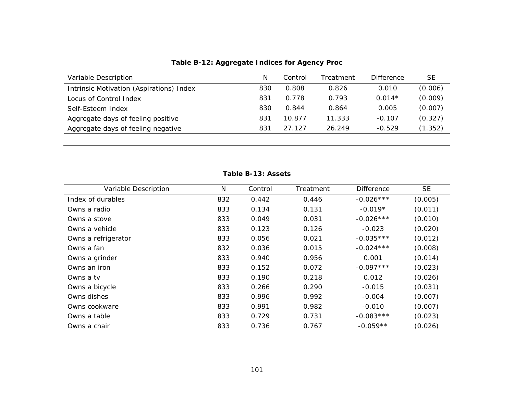| Variable Description                     | N   | Control | Treatment | <b>Difference</b> | <b>SE</b> |
|------------------------------------------|-----|---------|-----------|-------------------|-----------|
| Intrinsic Motivation (Aspirations) Index | 830 | 0.808   | 0.826     | 0.010             | (0.006)   |
| Locus of Control Index                   | 831 | 0.778   | 0.793     | $0.014*$          | (0.009)   |
| Self-Esteem Index                        | 830 | 0.844   | 0.864     | 0.005             | (0.007)   |
| Aggregate days of feeling positive       | 831 | 10.877  | 11.333    | $-0.107$          | (0.327)   |
| Aggregate days of feeling negative       | 831 | 27 127  | 26.249    | $-0.529$          | (1.352)   |
|                                          |     |         |           |                   |           |

**Table B-12: Aggregate Indices for Agency Proc**

| Variable Description | N   | Control | Treatment | <b>Difference</b> | <b>SE</b> |
|----------------------|-----|---------|-----------|-------------------|-----------|
| Index of durables    | 832 | 0.442   | 0.446     | $-0.026***$       | (0.005)   |
| Owns a radio         | 833 | 0.134   | 0.131     | $-0.019*$         | (0.011)   |
| Owns a stove         | 833 | 0.049   | 0.031     | $-0.026***$       | (0.010)   |
| Owns a vehicle       | 833 | 0.123   | 0.126     | $-0.023$          | (0.020)   |
| Owns a refrigerator  | 833 | 0.056   | 0.021     | $-0.035***$       | (0.012)   |
| Owns a fan           | 832 | 0.036   | 0.015     | $-0.024***$       | (0.008)   |
| Owns a grinder       | 833 | 0.940   | 0.956     | 0.001             | (0.014)   |
| Owns an iron         | 833 | 0.152   | 0.072     | $-0.097***$       | (0.023)   |
| Owns a tv            | 833 | 0.190   | 0.218     | 0.012             | (0.026)   |
| Owns a bicycle       | 833 | 0.266   | 0.290     | $-0.015$          | (0.031)   |
| Owns dishes          | 833 | 0.996   | 0.992     | $-0.004$          | (0.007)   |
| Owns cookware        | 833 | 0.991   | 0.982     | $-0.010$          | (0.007)   |
| Owns a table         | 833 | 0.729   | 0.731     | $-0.083***$       | (0.023)   |
| Owns a chair         | 833 | 0.736   | 0.767     | $-0.059**$        | (0.026)   |

#### **Table B-13: Assets**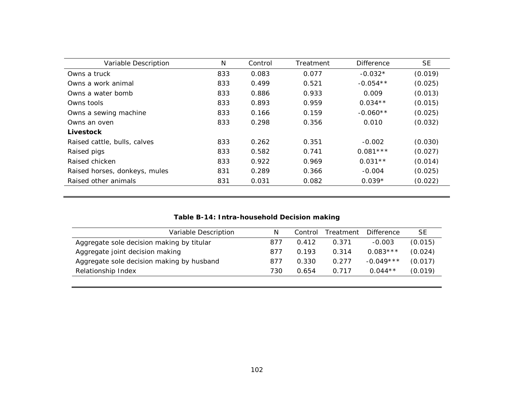| Variable Description          | N   | Control | Treatment | <b>Difference</b> | SE      |
|-------------------------------|-----|---------|-----------|-------------------|---------|
| Owns a truck                  | 833 | 0.083   | 0.077     | $-0.032*$         | (0.019) |
| Owns a work animal            | 833 | 0.499   | 0.521     | $-0.054**$        | (0.025) |
| Owns a water bomb             | 833 | 0.886   | 0.933     | 0.009             | (0.013) |
| Owns tools                    | 833 | 0.893   | 0.959     | $0.034**$         | (0.015) |
| Owns a sewing machine         | 833 | 0.166   | 0.159     | $-0.060**$        | (0.025) |
| Owns an oven                  | 833 | 0.298   | 0.356     | 0.010             | (0.032) |
| Livestock                     |     |         |           |                   |         |
| Raised cattle, bulls, calves  | 833 | 0.262   | 0.351     | $-0.002$          | (0.030) |
| Raised pigs                   | 833 | 0.582   | 0.741     | $0.081***$        | (0.027) |
| Raised chicken                | 833 | 0.922   | 0.969     | $0.031**$         | (0.014) |
| Raised horses, donkeys, mules | 831 | 0.289   | 0.366     | $-0.004$          | (0.025) |
| Raised other animals          | 831 | 0.031   | 0.082     | $0.039*$          | (0.022) |

## **Table B-14: Intra-household Decision making**

| Variable Description                      | N   | Control | Treatment | <b>Difference</b> | <b>SE</b> |
|-------------------------------------------|-----|---------|-----------|-------------------|-----------|
| Aggregate sole decision making by titular | 877 | 0.412   | 0.371     | $-0.003$          | (0.015)   |
| Aggregate joint decision making           | 877 | 0.193   | 0.314     | $0.083***$        | (0.024)   |
| Aggregate sole decision making by husband | 877 | 0.330   | 0.277     | $-0.049***$       | (0.017)   |
| Relationship Index                        | 730 | 0.654   | 0.717     | $0.044**$         | (0.019)   |
|                                           |     |         |           |                   |           |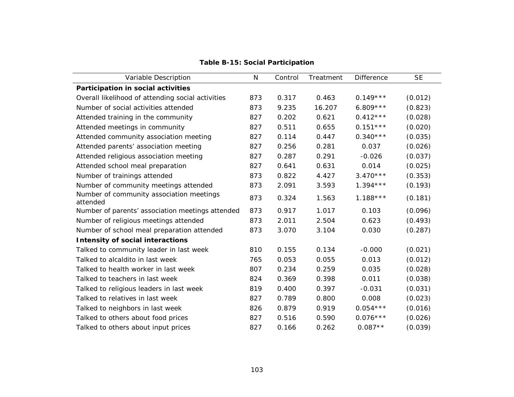| Variable Description                                 | N   | Control | Treatment | <b>Difference</b> | <b>SE</b> |
|------------------------------------------------------|-----|---------|-----------|-------------------|-----------|
| Participation in social activities                   |     |         |           |                   |           |
| Overall likelihood of attending social activities    | 873 | 0.317   | 0.463     | $0.149***$        | (0.012)   |
| Number of social activities attended                 | 873 | 9.235   | 16.207    | $6.809***$        | (0.823)   |
| Attended training in the community                   | 827 | 0.202   | 0.621     | $0.412***$        | (0.028)   |
| Attended meetings in community                       | 827 | 0.511   | 0.655     | $0.151***$        | (0.020)   |
| Attended community association meeting               | 827 | 0.114   | 0.447     | $0.340***$        | (0.035)   |
| Attended parents' association meeting                | 827 | 0.256   | 0.281     | 0.037             | (0.026)   |
| Attended religious association meeting               | 827 | 0.287   | 0.291     | $-0.026$          | (0.037)   |
| Attended school meal preparation                     | 827 | 0.641   | 0.631     | 0.014             | (0.025)   |
| Number of trainings attended                         | 873 | 0.822   | 4.427     | $3.470***$        | (0.353)   |
| Number of community meetings attended                | 873 | 2.091   | 3.593     | $1.394***$        | (0.193)   |
| Number of community association meetings<br>attended | 873 | 0.324   | 1.563     | $1.188***$        | (0.181)   |
| Number of parents' association meetings attended     | 873 | 0.917   | 1.017     | 0.103             | (0.096)   |
| Number of religious meetings attended                | 873 | 2.011   | 2.504     | 0.623             | (0.493)   |
| Number of school meal preparation attended           | 873 | 3.070   | 3.104     | 0.030             | (0.287)   |
| <b>Intensity of social interactions</b>              |     |         |           |                   |           |
| Talked to community leader in last week              | 810 | 0.155   | 0.134     | $-0.000$          | (0.021)   |
| Talked to alcaldito in last week                     | 765 | 0.053   | 0.055     | 0.013             | (0.012)   |
| Talked to health worker in last week                 | 807 | 0.234   | 0.259     | 0.035             | (0.028)   |
| Talked to teachers in last week                      | 824 | 0.369   | 0.398     | 0.011             | (0.038)   |
| Talked to religious leaders in last week             | 819 | 0.400   | 0.397     | $-0.031$          | (0.031)   |
| Talked to relatives in last week                     | 827 | 0.789   | 0.800     | 0.008             | (0.023)   |
| Talked to neighbors in last week                     | 826 | 0.879   | 0.919     | $0.054***$        | (0.016)   |
| Talked to others about food prices                   | 827 | 0.516   | 0.590     | $0.076***$        | (0.026)   |
| Talked to others about input prices                  | 827 | 0.166   | 0.262     | $0.087**$         | (0.039)   |

**Table B-15: Social Participation**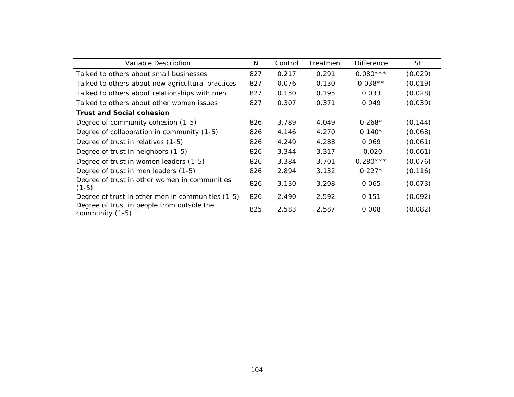| Variable Description                                          | N   | Control | Treatment | <b>Difference</b> | <b>SE</b> |
|---------------------------------------------------------------|-----|---------|-----------|-------------------|-----------|
| Talked to others about small businesses                       | 827 | 0.217   | 0.291     | $0.080***$        | (0.029)   |
| Talked to others about new agricultural practices             | 827 | 0.076   | 0.130     | $0.038**$         | (0.019)   |
| Talked to others about relationships with men                 | 827 | 0.150   | 0.195     | 0.033             | (0.028)   |
| Talked to others about other women issues                     | 827 | 0.307   | 0.371     | 0.049             | (0.039)   |
| <b>Trust and Social cohesion</b>                              |     |         |           |                   |           |
| Degree of community cohesion (1-5)                            | 826 | 3.789   | 4.049     | $0.268*$          | (0.144)   |
| Degree of collaboration in community (1-5)                    | 826 | 4.146   | 4.270     | $0.140*$          | (0.068)   |
| Degree of trust in relatives (1-5)                            | 826 | 4.249   | 4.288     | 0.069             | (0.061)   |
| Degree of trust in neighbors (1-5)                            | 826 | 3.344   | 3.317     | $-0.020$          | (0.061)   |
| Degree of trust in women leaders (1-5)                        | 826 | 3.384   | 3.701     | $0.280***$        | (0.076)   |
| Degree of trust in men leaders (1-5)                          | 826 | 2.894   | 3.132     | $0.227*$          | (0.116)   |
| Degree of trust in other women in communities<br>$(1-5)$      | 826 | 3.130   | 3.208     | 0.065             | (0.073)   |
| Degree of trust in other men in communities (1-5)             | 826 | 2.490   | 2.592     | 0.151             | (0.092)   |
| Degree of trust in people from outside the<br>community (1-5) | 825 | 2.583   | 2.587     | 0.008             | (0.082)   |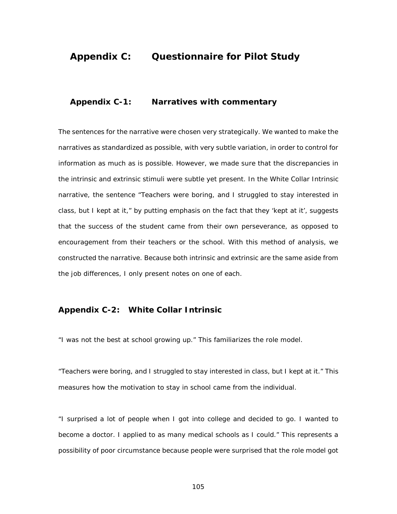# **Appendix C: Questionnaire for Pilot Study**

#### **Appendix C-1: Narratives with commentary**

The sentences for the narrative were chosen very strategically. We wanted to make the narratives as standardized as possible, with very subtle variation, in order to control for information as much as is possible. However, we made sure that the discrepancies in the intrinsic and extrinsic stimuli were subtle yet present. In the White Collar Intrinsic narrative, the sentence "Teachers were boring, and I struggled to stay interested in class, but I kept at it," by putting emphasis on the fact that they 'kept at it', suggests that the success of the student came from their own perseverance, as opposed to encouragement from their teachers or the school. With this method of analysis, we constructed the narrative. Because both intrinsic and extrinsic are the same aside from the job differences, I only present notes on one of each.

### **Appendix C-2: White Collar Intrinsic**

*"I was not the best at school growing up."* This familiarizes the role model.

*"Teachers were boring, and I struggled to stay interested in class, but I kept at it."* This measures how the motivation to stay in school came from the individual.

*"I surprised a lot of people when I got into college and decided to go. I wanted to become a doctor. I applied to as many medical schools as I could."* This represents a possibility of poor circumstance because people were surprised that the role model got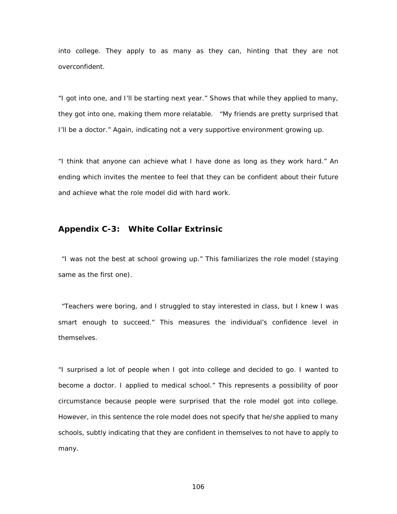into college. They apply to as many as they can, hinting that they are not overconfident.

*"I got into one, and I'll be starting next year."* Shows that while they applied to many, they got into one, making them more relatable. "My friends are pretty surprised that I'll be a doctor." Again, indicating not a very supportive environment growing up.

*"I think that anyone can achieve what I have done as long as they work hard."* An ending which invites the mentee to feel that they can be confident about their future and achieve what the role model did with hard work.

## **Appendix C-3: White Collar Extrinsic**

*"I was not the best at school growing up."* This familiarizes the role model (staying same as the first one).

*"Teachers were boring, and I struggled to stay interested in class, but I knew I was smart enough to succeed."* This measures the individual's confidence level in themselves.

*"I surprised a lot of people when I got into college and decided to go. I wanted to become a doctor. I applied to medical school."* This represents a possibility of poor circumstance because people were surprised that the role model got into college. However, in this sentence the role model does not specify that he/she applied to many schools, subtly indicating that they are confident in themselves to not have to apply to many.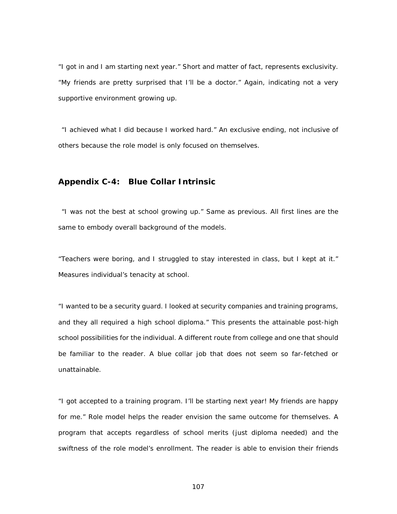*"I got in and I am starting next year."* Short and matter of fact, represents exclusivity. *"My friends are pretty surprised that I'll be a doctor."* Again, indicating not a very supportive environment growing up.

*"I achieved what I did because I worked hard."* An exclusive ending, not inclusive of others because the role model is only focused on themselves.

#### **Appendix C-4: Blue Collar Intrinsic**

*"I was not the best at school growing up."* Same as previous. All first lines are the same to embody overall background of the models.

*"Teachers were boring, and I struggled to stay interested in class, but I kept at it."*  Measures individual's tenacity at school.

*"I wanted to be a security guard. I looked at security companies and training programs, and they all required a high school diploma."* This presents the attainable post-high school possibilities for the individual. A different route from college and one that should be familiar to the reader. A blue collar job that does not seem so far-fetched or unattainable.

*"I got accepted to a training program. I'll be starting next year! My friends are happy for me."* Role model helps the reader envision the same outcome for themselves. A program that accepts regardless of school merits (just diploma needed) and the swiftness of the role model's enrollment. The reader is able to envision their friends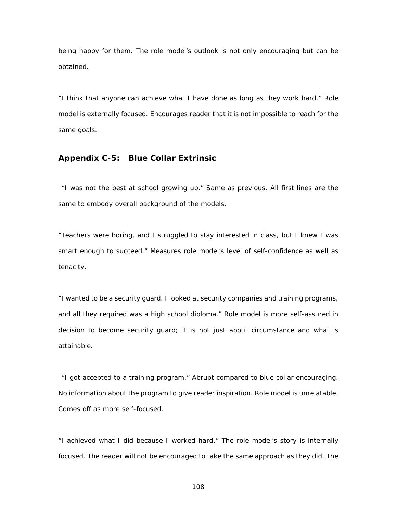being happy for them. The role model's outlook is not only encouraging but can be obtained.

*"I think that anyone can achieve what I have done as long as they work hard."* Role model is externally focused. Encourages reader that it is not impossible to reach for the same goals.

#### **Appendix C-5: Blue Collar Extrinsic**

*"I was not the best at school growing up."* Same as previous. All first lines are the same to embody overall background of the models.

*"Teachers were boring, and I struggled to stay interested in class, but I knew I was smart enough to succeed."* Measures role model's level of self-confidence as well as tenacity.

*"I wanted to be a security guard. I looked at security companies and training programs, and all they required was a high school diploma."* Role model is more self-assured in decision to become security guard; it is not just about circumstance and what is attainable.

*"I got accepted to a training program."* Abrupt compared to blue collar encouraging. No information about the program to give reader inspiration. Role model is unrelatable. Comes off as more self-focused.

*"I achieved what I did because I worked hard."* The role model's story is internally focused. The reader will not be encouraged to take the same approach as they did. The

108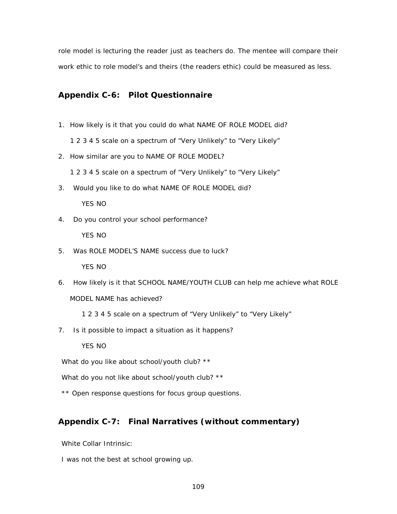role model is lecturing the reader just as teachers do. The mentee will compare their work ethic to role model's and theirs (the readers ethic) could be measured as less.

#### **Appendix C-6: Pilot Questionnaire**

- 1. How likely is it that you could do what NAME OF ROLE MODEL did?
	- 1 2 3 4 5 scale on a spectrum of "Very Unlikely" to "Very Likely"
- 2. How similar are you to NAME OF ROLE MODEL?

1 2 3 4 5 scale on a spectrum of "Very Unlikely" to "Very Likely"

3. Would you like to do what NAME OF ROLE MODEL did?

YES NO

4. Do you control your school performance?

YES NO

5. Was ROLE MODEL'S NAME success due to luck?

YES NO

- 6. How likely is it that SCHOOL NAME/YOUTH CLUB can help me achieve what ROLE MODEL NAME has achieved?
	- 1 2 3 4 5 scale on a spectrum of "Very Unlikely" to "Very Likely"
- 7. Is it possible to impact a situation as it happens?

YES NO

What do you like about school/youth club? \*\*

What do you not like about school/youth club? \*\*

\*\* Open response questions for focus group questions.

## **Appendix C-7: Final Narratives (without commentary)**

White Collar Intrinsic:

I was not the best at school growing up.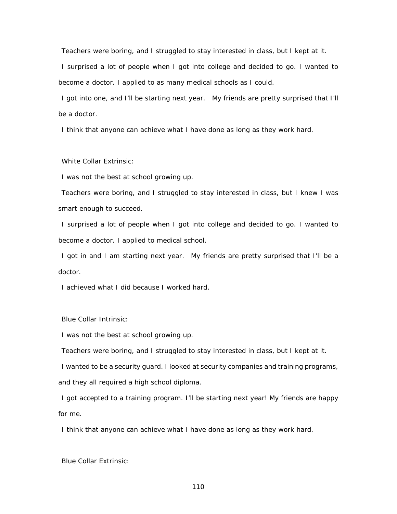Teachers were boring, and I struggled to stay interested in class, but I kept at it.

I surprised a lot of people when I got into college and decided to go. I wanted to become a doctor. I applied to as many medical schools as I could.

I got into one, and I'll be starting next year. My friends are pretty surprised that I'll be a doctor.

I think that anyone can achieve what I have done as long as they work hard.

White Collar Extrinsic:

I was not the best at school growing up.

Teachers were boring, and I struggled to stay interested in class, but I knew I was smart enough to succeed.

I surprised a lot of people when I got into college and decided to go. I wanted to become a doctor. I applied to medical school.

I got in and I am starting next year. My friends are pretty surprised that I'll be a doctor.

I achieved what I did because I worked hard.

Blue Collar Intrinsic:

I was not the best at school growing up.

Teachers were boring, and I struggled to stay interested in class, but I kept at it.

I wanted to be a security guard. I looked at security companies and training programs, and they all required a high school diploma.

I got accepted to a training program. I'll be starting next year! My friends are happy for me.

I think that anyone can achieve what I have done as long as they work hard.

Blue Collar Extrinsic: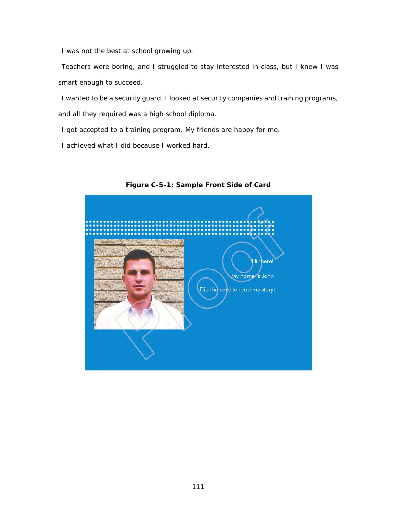I was not the best at school growing up.

Teachers were boring, and I struggled to stay interested in class, but I knew I was smart enough to succeed.

I wanted to be a security guard. I looked at security companies and training programs, and all they required was a high school diploma.

I got accepted to a training program. My friends are happy for me.

I achieved what I did because I worked hard.



**Figure C-5-1: Sample Front Side of Card**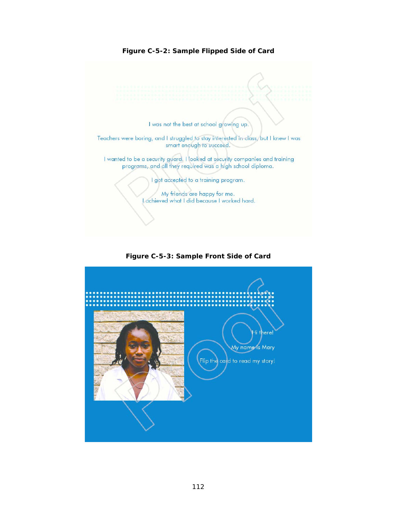

**Figure C-5-2: Sample Flipped Side of Card**

**Figure C-5-3: Sample Front Side of Card**